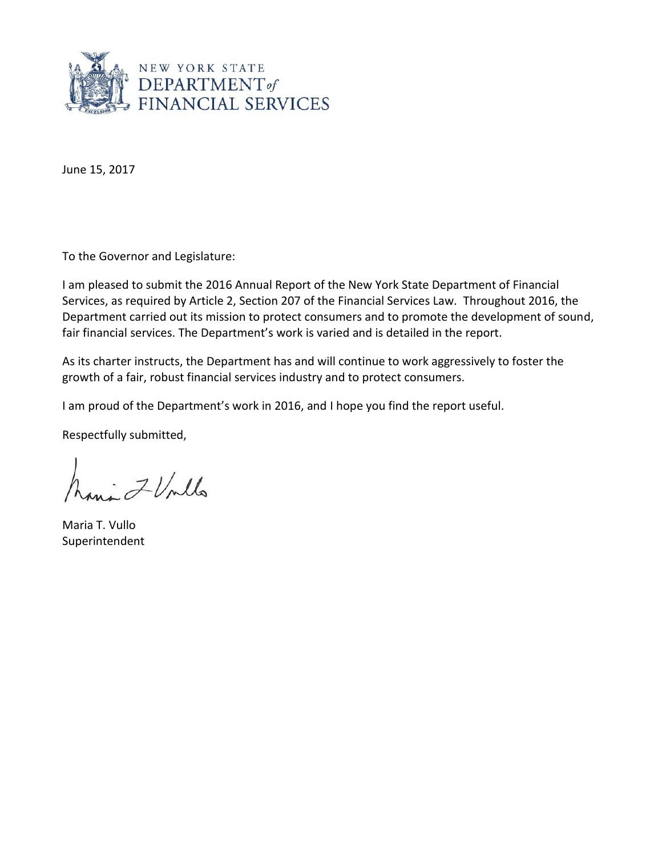

June 15, 2017

To the Governor and Legislature:

I am pleased to submit the 2016 Annual Report of the New York State Department of Financial Services, as required by Article 2, Section 207 of the Financial Services Law. Throughout 2016, the Department carried out its mission to protect consumers and to promote the development of sound, fair financial services. The Department's work is varied and is detailed in the report.

As its charter instructs, the Department has and will continue to work aggressively to foster the growth of a fair, robust financial services industry and to protect consumers.

I am proud of the Department's work in 2016, and I hope you find the report useful.

Respectfully submitted,

hani IVnlla

Maria T. Vullo Superintendent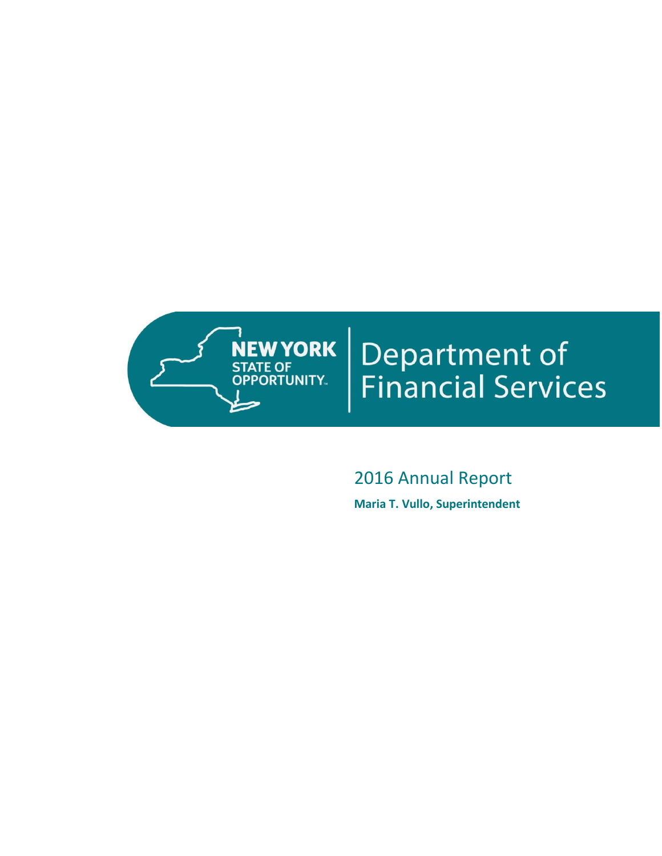

# **Department of<br>Financial Services**

# 2016 Annual Report

**Maria T. Vullo, Superintendent**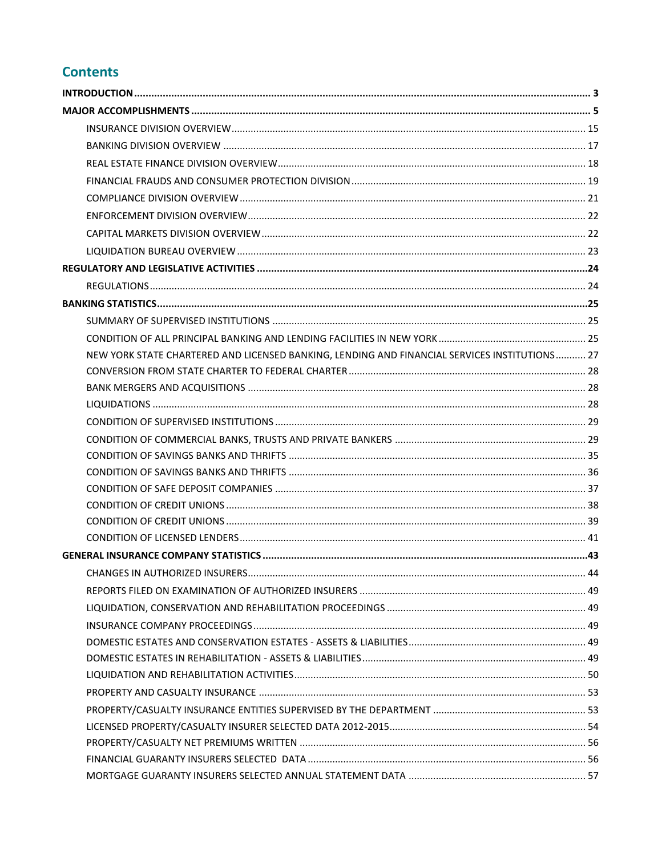# **Contents**

| NEW YORK STATE CHARTERED AND LICENSED BANKING, LENDING AND FINANCIAL SERVICES INSTITUTIONS 27 |  |
|-----------------------------------------------------------------------------------------------|--|
|                                                                                               |  |
|                                                                                               |  |
|                                                                                               |  |
|                                                                                               |  |
|                                                                                               |  |
|                                                                                               |  |
|                                                                                               |  |
|                                                                                               |  |
|                                                                                               |  |
|                                                                                               |  |
|                                                                                               |  |
|                                                                                               |  |
|                                                                                               |  |
|                                                                                               |  |
|                                                                                               |  |
|                                                                                               |  |
|                                                                                               |  |
|                                                                                               |  |
|                                                                                               |  |
|                                                                                               |  |
|                                                                                               |  |
|                                                                                               |  |
|                                                                                               |  |
|                                                                                               |  |
|                                                                                               |  |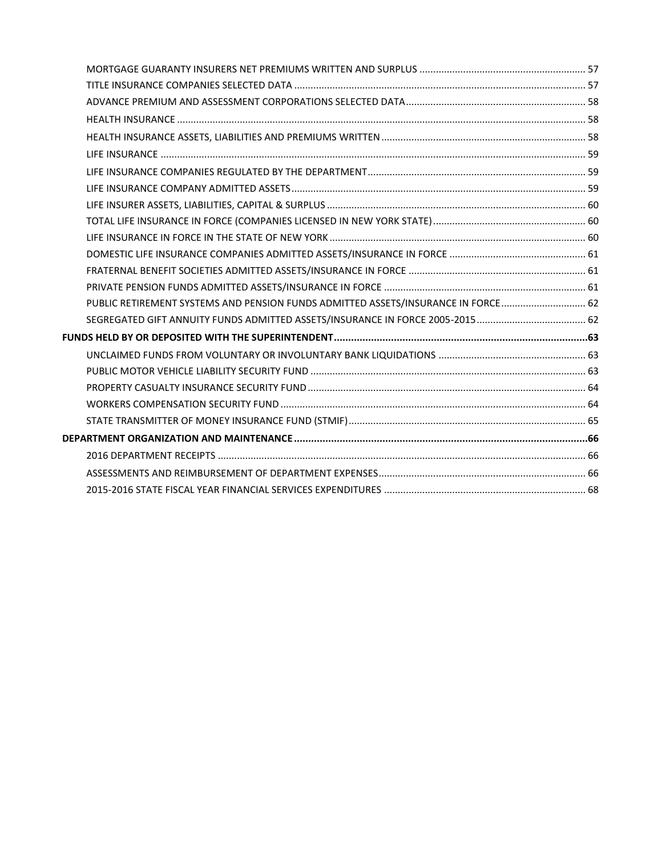| PUBLIC RETIREMENT SYSTEMS AND PENSION FUNDS ADMITTED ASSETS/INSURANCE IN FORCE 62 |  |
|-----------------------------------------------------------------------------------|--|
|                                                                                   |  |
|                                                                                   |  |
|                                                                                   |  |
|                                                                                   |  |
|                                                                                   |  |
|                                                                                   |  |
|                                                                                   |  |
|                                                                                   |  |
|                                                                                   |  |
|                                                                                   |  |
|                                                                                   |  |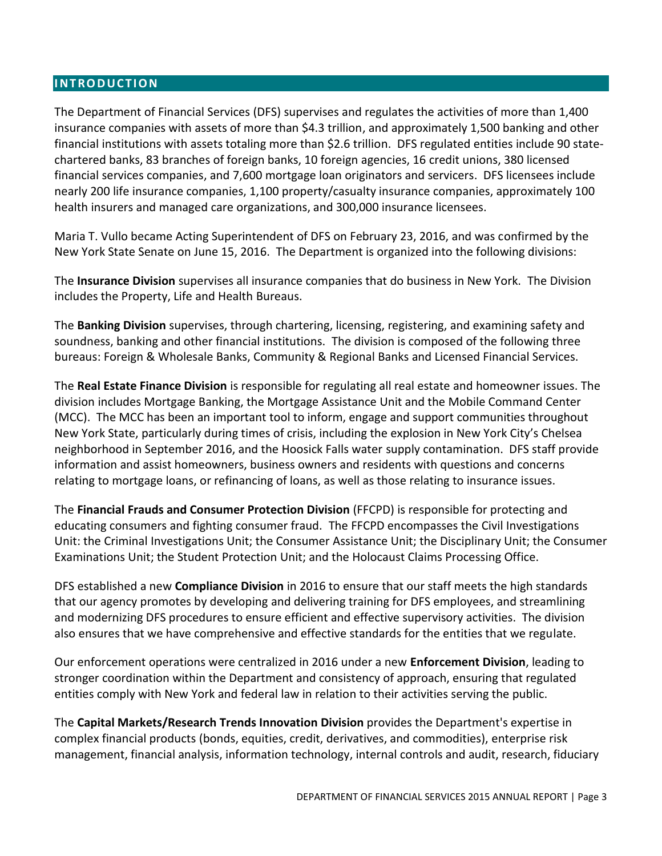## <span id="page-4-0"></span>**I N T R O D U C T I O N**

The Department of Financial Services (DFS) supervises and regulates the activities of more than 1,400 insurance companies with assets of more than \$4.3 trillion, and approximately 1,500 banking and other financial institutions with assets totaling more than \$2.6 trillion. DFS regulated entities include 90 statechartered banks, 83 branches of foreign banks, 10 foreign agencies, 16 credit unions, 380 licensed financial services companies, and 7,600 mortgage loan originators and servicers. DFS licensees include nearly 200 life insurance companies, 1,100 property/casualty insurance companies, approximately 100 health insurers and managed care organizations, and 300,000 insurance licensees.

Maria T. Vullo became Acting Superintendent of DFS on February 23, 2016, and was confirmed by the New York State Senate on June 15, 2016. The Department is organized into the following divisions:

The **Insurance Division** supervises all insurance companies that do business in New York. The Division includes the Property, Life and Health Bureaus.

The **Banking Division** supervises, through chartering, licensing, registering, and examining safety and soundness, banking and other financial institutions. The division is composed of the following three bureaus: Foreign & Wholesale Banks, Community & Regional Banks and Licensed Financial Services.

The **Real Estate Finance Division** is responsible for regulating all real estate and homeowner issues. The division includes Mortgage Banking, the Mortgage Assistance Unit and the Mobile Command Center (MCC). The MCC has been an important tool to inform, engage and support communities throughout New York State, particularly during times of crisis, including the explosion in New York City's Chelsea neighborhood in September 2016, and the Hoosick Falls water supply contamination. DFS staff provide information and assist homeowners, business owners and residents with questions and concerns relating to mortgage loans, or refinancing of loans, as well as those relating to insurance issues.

The **Financial Frauds and Consumer Protection Division** (FFCPD) is responsible for protecting and educating consumers and fighting consumer fraud. The FFCPD encompasses the Civil Investigations Unit: the Criminal Investigations Unit; the Consumer Assistance Unit; the Disciplinary Unit; the Consumer Examinations Unit; the Student Protection Unit; and the Holocaust Claims Processing Office.

DFS established a new **Compliance Division** in 2016 to ensure that our staff meets the high standards that our agency promotes by developing and delivering training for DFS employees, and streamlining and modernizing DFS procedures to ensure efficient and effective supervisory activities. The division also ensures that we have comprehensive and effective standards for the entities that we regulate.

Our enforcement operations were centralized in 2016 under a new **Enforcement Division**, leading to stronger coordination within the Department and consistency of approach, ensuring that regulated entities comply with New York and federal law in relation to their activities serving the public.

The **Capital Markets/Research Trends Innovation Division** provides the Department's expertise in complex financial products (bonds, equities, credit, derivatives, and commodities), enterprise risk management, financial analysis, information technology, internal controls and audit, research, fiduciary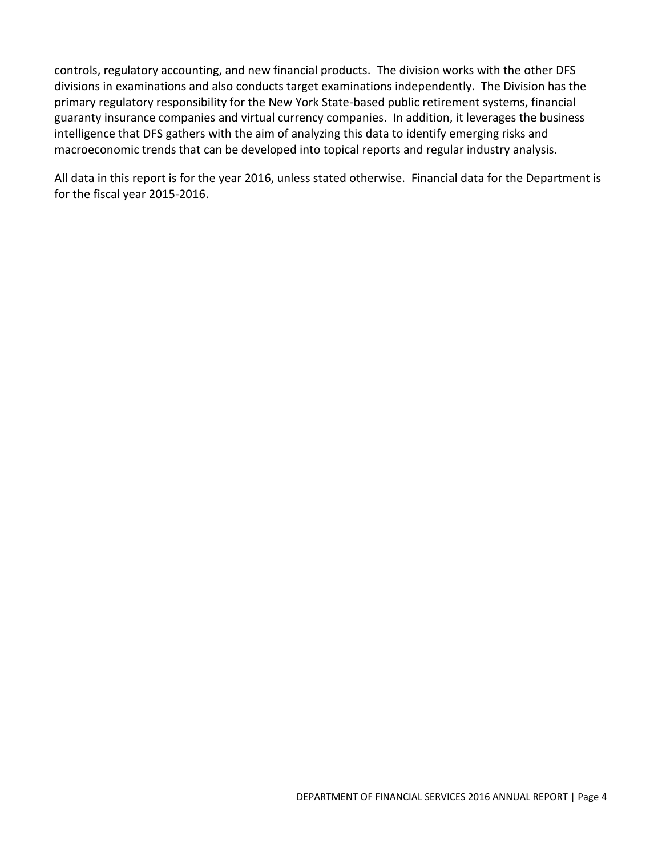controls, regulatory accounting, and new financial products. The division works with the other DFS divisions in examinations and also conducts target examinations independently. The Division has the primary regulatory responsibility for the New York State-based public retirement systems, financial guaranty insurance companies and virtual currency companies. In addition, it leverages the business intelligence that DFS gathers with the aim of analyzing this data to identify emerging risks and macroeconomic trends that can be developed into topical reports and regular industry analysis.

All data in this report is for the year 2016, unless stated otherwise. Financial data for the Department is for the fiscal year 2015-2016.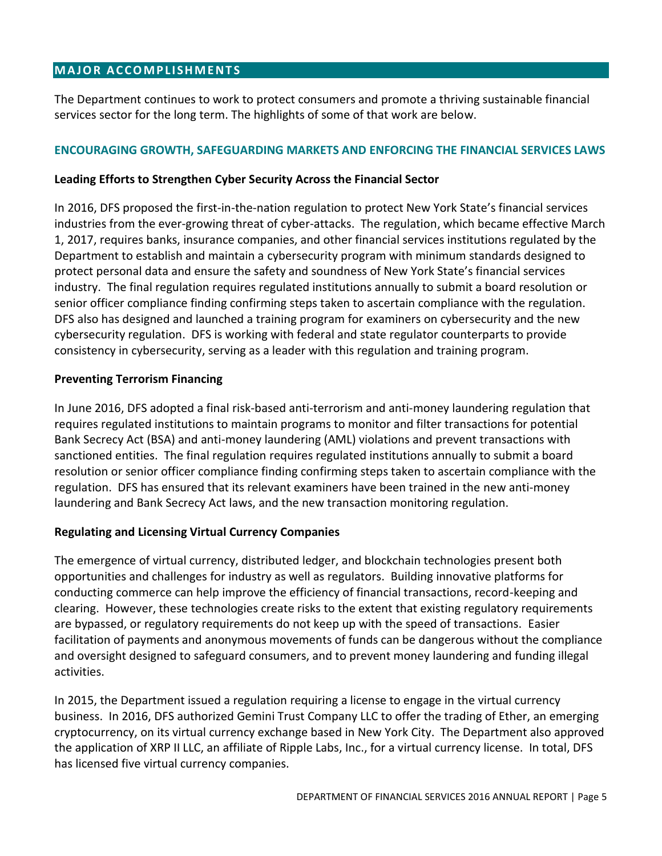# <span id="page-6-0"></span>**MAJOR ACCOMPLISHMENTS**

The Department continues to work to protect consumers and promote a thriving sustainable financial services sector for the long term. The highlights of some of that work are below.

#### **ENCOURAGING GROWTH, SAFEGUARDING MARKETS AND ENFORCING THE FINANCIAL SERVICES LAWS**

#### **Leading Efforts to Strengthen Cyber Security Across the Financial Sector**

In 2016, DFS proposed the first-in-the-nation regulation to protect New York State's financial services industries from the ever-growing threat of cyber-attacks. The regulation, which became effective March 1, 2017, requires banks, insurance companies, and other financial services institutions regulated by the Department to establish and maintain a cybersecurity program with minimum standards designed to protect personal data and ensure the safety and soundness of New York State's financial services industry. The final regulation requires regulated institutions annually to submit a board resolution or senior officer compliance finding confirming steps taken to ascertain compliance with the regulation. DFS also has designed and launched a training program for examiners on cybersecurity and the new cybersecurity regulation. DFS is working with federal and state regulator counterparts to provide consistency in cybersecurity, serving as a leader with this regulation and training program.

#### **Preventing Terrorism Financing**

In June 2016, DFS adopted a final risk-based anti-terrorism and anti-money laundering regulation that requires regulated institutions to maintain programs to monitor and filter transactions for potential Bank Secrecy Act (BSA) and anti-money laundering (AML) violations and prevent transactions with sanctioned entities. The final regulation requires regulated institutions annually to submit a board resolution or senior officer compliance finding confirming steps taken to ascertain compliance with the regulation. DFS has ensured that its relevant examiners have been trained in the new anti-money laundering and Bank Secrecy Act laws, and the new transaction monitoring regulation.

#### **Regulating and Licensing Virtual Currency Companies**

The emergence of virtual currency, distributed ledger, and blockchain technologies present both opportunities and challenges for industry as well as regulators. Building innovative platforms for conducting commerce can help improve the efficiency of financial transactions, record-keeping and clearing. However, these technologies create risks to the extent that existing regulatory requirements are bypassed, or regulatory requirements do not keep up with the speed of transactions. Easier facilitation of payments and anonymous movements of funds can be dangerous without the compliance and oversight designed to safeguard consumers, and to prevent money laundering and funding illegal activities.

In 2015, the Department issued a regulation requiring a license to engage in the virtual currency business. In 2016, DFS authorized Gemini Trust Company LLC to offer the trading of Ether, an emerging cryptocurrency, on its virtual currency exchange based in New York City. The Department also approved the application of XRP II LLC, an affiliate of Ripple Labs, Inc., for a virtual currency license. In total, DFS has licensed five virtual currency companies.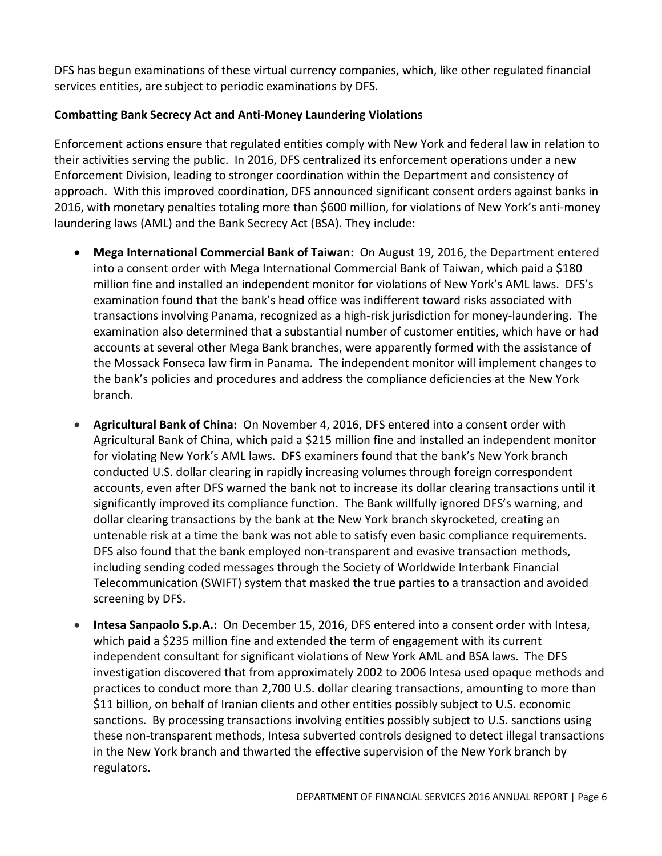DFS has begun examinations of these virtual currency companies, which, like other regulated financial services entities, are subject to periodic examinations by DFS.

# **Combatting Bank Secrecy Act and Anti-Money Laundering Violations**

Enforcement actions ensure that regulated entities comply with New York and federal law in relation to their activities serving the public. In 2016, DFS centralized its enforcement operations under a new Enforcement Division, leading to stronger coordination within the Department and consistency of approach. With this improved coordination, DFS announced significant consent orders against banks in 2016, with monetary penalties totaling more than \$600 million, for violations of New York's anti-money laundering laws (AML) and the Bank Secrecy Act (BSA). They include:

- **Mega International Commercial Bank of Taiwan:** On August 19, 2016, the Department entered into a consent order with Mega International Commercial Bank of Taiwan, which paid a \$180 million fine and installed an independent monitor for violations of New York's AML laws. DFS's examination found that the bank's head office was indifferent toward risks associated with transactions involving Panama, recognized as a high-risk jurisdiction for money-laundering. The examination also determined that a substantial number of customer entities, which have or had accounts at several other Mega Bank branches, were apparently formed with the assistance of the Mossack Fonseca law firm in Panama. The independent monitor will implement changes to the bank's policies and procedures and address the compliance deficiencies at the New York branch.
- **Agricultural Bank of China:** On November 4, 2016, DFS entered into a consent order with Agricultural Bank of China, which paid a \$215 million fine and installed an independent monitor for violating New York's AML laws. DFS examiners found that the bank's New York branch conducted U.S. dollar clearing in rapidly increasing volumes through foreign correspondent accounts, even after DFS warned the bank not to increase its dollar clearing transactions until it significantly improved its compliance function. The Bank willfully ignored DFS's warning, and dollar clearing transactions by the bank at the New York branch skyrocketed, creating an untenable risk at a time the bank was not able to satisfy even basic compliance requirements. DFS also found that the bank employed non-transparent and evasive transaction methods, including sending coded messages through the Society of Worldwide Interbank Financial Telecommunication (SWIFT) system that masked the true parties to a transaction and avoided screening by DFS.
- **Intesa Sanpaolo S.p.A.:** On December 15, 2016, DFS entered into a consent order with Intesa, which paid a \$235 million fine and extended the term of engagement with its current independent consultant for significant violations of New York AML and BSA laws. The DFS investigation discovered that from approximately 2002 to 2006 Intesa used opaque methods and practices to conduct more than 2,700 U.S. dollar clearing transactions, amounting to more than \$11 billion, on behalf of Iranian clients and other entities possibly subject to U.S. economic sanctions. By processing transactions involving entities possibly subject to U.S. sanctions using these non-transparent methods, Intesa subverted controls designed to detect illegal transactions in the New York branch and thwarted the effective supervision of the New York branch by regulators.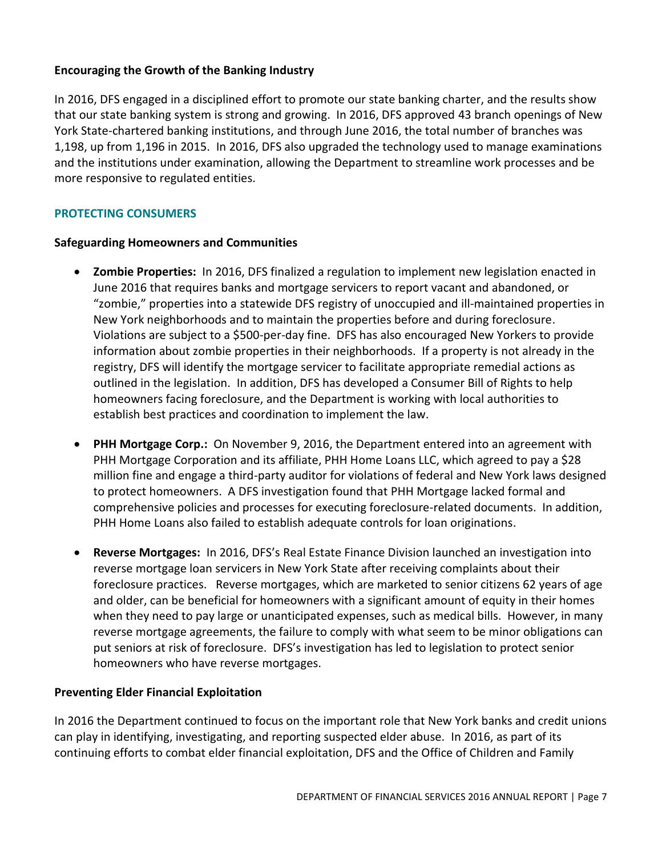# **Encouraging the Growth of the Banking Industry**

In 2016, DFS engaged in a disciplined effort to promote our state banking charter, and the results show that our state banking system is strong and growing. In 2016, DFS approved 43 branch openings of New York State-chartered banking institutions, and through June 2016, the total number of branches was 1,198, up from 1,196 in 2015. In 2016, DFS also upgraded the technology used to manage examinations and the institutions under examination, allowing the Department to streamline work processes and be more responsive to regulated entities.

# **PROTECTING CONSUMERS**

#### **Safeguarding Homeowners and Communities**

- **Zombie Properties:** In 2016, DFS finalized a regulation to implement new legislation enacted in June 2016 that requires banks and mortgage servicers to report vacant and abandoned, or "zombie," properties into a statewide DFS registry of unoccupied and ill-maintained properties in New York neighborhoods and to maintain the properties before and during foreclosure. Violations are subject to a \$500-per-day fine. DFS has also encouraged New Yorkers to provide information about zombie properties in their neighborhoods. If a property is not already in the registry, DFS will identify the mortgage servicer to facilitate appropriate remedial actions as outlined in the legislation.In addition, DFS has developed a Consumer Bill of Rights to help homeowners facing foreclosure, and the Department is working with local authorities to establish best practices and coordination to implement the law.
- **PHH Mortgage Corp.:** On November 9, 2016, the Department entered into an agreement with PHH Mortgage Corporation and its affiliate, PHH Home Loans LLC, which agreed to pay a \$28 million fine and engage a third-party auditor for violations of federal and New York laws designed to protect homeowners. A DFS investigation found that PHH Mortgage lacked formal and comprehensive policies and processes for executing foreclosure-related documents. In addition, PHH Home Loans also failed to establish adequate controls for loan originations.
- **Reverse Mortgages:** In 2016, DFS's Real Estate Finance Division launched an investigation into reverse mortgage loan servicers in New York State after receiving complaints about their foreclosure practices. Reverse mortgages, which are marketed to senior citizens 62 years of age and older, can be beneficial for homeowners with a significant amount of equity in their homes when they need to pay large or unanticipated expenses, such as medical bills. However, in many reverse mortgage agreements, the failure to comply with what seem to be minor obligations can put seniors at risk of foreclosure. DFS's investigation has led to legislation to protect senior homeowners who have reverse mortgages.

#### **Preventing Elder Financial Exploitation**

In 2016 the Department continued to focus on the important role that New York banks and credit unions can play in identifying, investigating, and reporting suspected elder abuse. In 2016, as part of its continuing efforts to combat elder financial exploitation, DFS and the Office of Children and Family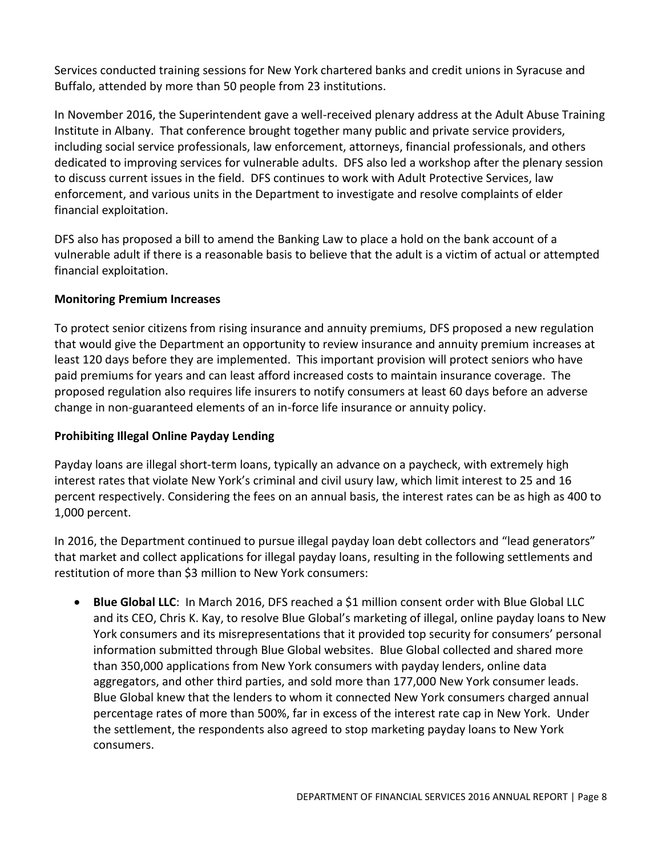Services conducted training sessions for New York chartered banks and credit unions in Syracuse and Buffalo, attended by more than 50 people from 23 institutions.

In November 2016, the Superintendent gave a well-received plenary address at the Adult Abuse Training Institute in Albany. That conference brought together many public and private service providers, including social service professionals, law enforcement, attorneys, financial professionals, and others dedicated to improving services for vulnerable adults. DFS also led a workshop after the plenary session to discuss current issues in the field. DFS continues to work with Adult Protective Services, law enforcement, and various units in the Department to investigate and resolve complaints of elder financial exploitation.

DFS also has proposed a bill to amend the Banking Law to place a hold on the bank account of a vulnerable adult if there is a reasonable basis to believe that the adult is a victim of actual or attempted financial exploitation.

# **Monitoring Premium Increases**

To protect senior citizens from rising insurance and annuity premiums, DFS proposed a new regulation that would give the Department an opportunity to review insurance and annuity premium increases at least 120 days before they are implemented. This important provision will protect seniors who have paid premiums for years and can least afford increased costs to maintain insurance coverage. The proposed regulation also requires life insurers to notify consumers at least 60 days before an adverse change in non-guaranteed elements of an in-force life insurance or annuity policy.

# **Prohibiting Illegal Online Payday Lending**

Payday loans are illegal short-term loans, typically an advance on a paycheck, with extremely high interest rates that violate New York's criminal and civil usury law, which limit interest to 25 and 16 percent respectively. Considering the fees on an annual basis, the interest rates can be as high as 400 to 1,000 percent.

In 2016, the Department continued to pursue illegal payday loan debt collectors and "lead generators" that market and collect applications for illegal payday loans, resulting in the following settlements and restitution of more than \$3 million to New York consumers:

 **Blue Global LLC**: In March 2016, DFS reached a \$1 million consent order with Blue Global LLC and its CEO, Chris K. Kay, to resolve Blue Global's marketing of illegal, online payday loans to New York consumers and its misrepresentations that it provided top security for consumers' personal information submitted through Blue Global websites. Blue Global collected and shared more than 350,000 applications from New York consumers with payday lenders, online data aggregators, and other third parties, and sold more than 177,000 New York consumer leads. Blue Global knew that the lenders to whom it connected New York consumers charged annual percentage rates of more than 500%, far in excess of the interest rate cap in New York. Under the settlement, the respondents also agreed to stop marketing payday loans to New York consumers.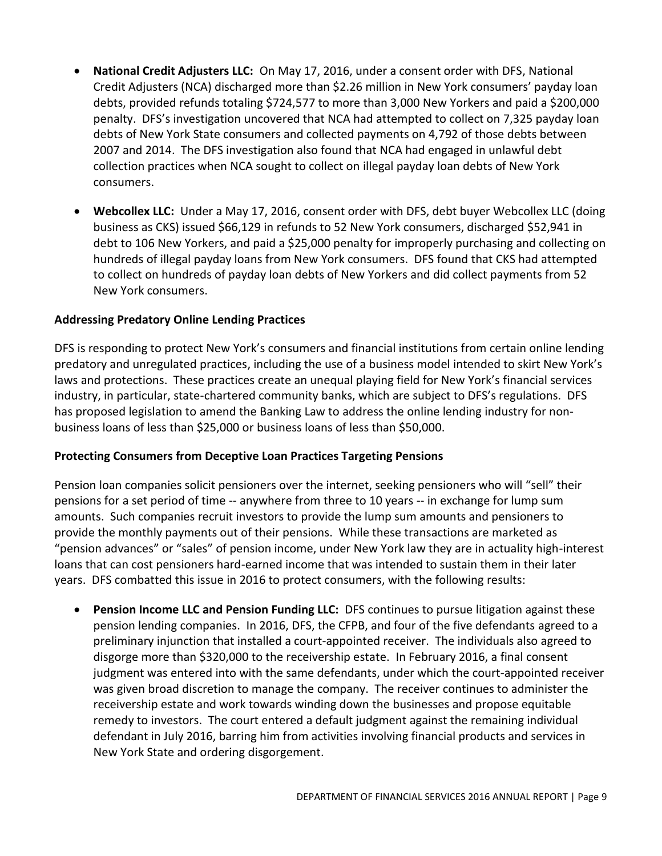- **National Credit Adjusters LLC:** On May 17, 2016, under a consent order with DFS, National Credit Adjusters (NCA) discharged more than \$2.26 million in New York consumers' payday loan debts, provided refunds totaling \$724,577 to more than 3,000 New Yorkers and paid a \$200,000 penalty. DFS's investigation uncovered that NCA had attempted to collect on 7,325 payday loan debts of New York State consumers and collected payments on 4,792 of those debts between 2007 and 2014. The DFS investigation also found that NCA had engaged in unlawful debt collection practices when NCA sought to collect on illegal payday loan debts of New York consumers.
- **Webcollex LLC:** Under a May 17, 2016, consent order with DFS, debt buyer Webcollex LLC (doing business as CKS) issued \$66,129 in refunds to 52 New York consumers, discharged \$52,941 in debt to 106 New Yorkers, and paid a \$25,000 penalty for improperly purchasing and collecting on hundreds of illegal payday loans from New York consumers. DFS found that CKS had attempted to collect on hundreds of payday loan debts of New Yorkers and did collect payments from 52 New York consumers.

# **Addressing Predatory Online Lending Practices**

DFS is responding to protect New York's consumers and financial institutions from certain online lending predatory and unregulated practices, including the use of a business model intended to skirt New York's laws and protections. These practices create an unequal playing field for New York's financial services industry, in particular, state-chartered community banks, which are subject to DFS's regulations. DFS has proposed legislation to amend the Banking Law to address the online lending industry for nonbusiness loans of less than \$25,000 or business loans of less than \$50,000.

#### **Protecting Consumers from Deceptive Loan Practices Targeting Pensions**

Pension loan companies solicit pensioners over the internet, seeking pensioners who will "sell" their pensions for a set period of time -- anywhere from three to 10 years -- in exchange for lump sum amounts. Such companies recruit investors to provide the lump sum amounts and pensioners to provide the monthly payments out of their pensions. While these transactions are marketed as "pension advances" or "sales" of pension income, under New York law they are in actuality high-interest loans that can cost pensioners hard-earned income that was intended to sustain them in their later years. DFS combatted this issue in 2016 to protect consumers, with the following results:

**Pension Income LLC and Pension Funding LLC:** DFS continues to pursue litigation against these pension lending companies. In 2016, DFS, the CFPB, and four of the five defendants agreed to a preliminary injunction that installed a court-appointed receiver. The individuals also agreed to disgorge more than \$320,000 to the receivership estate. In February 2016, a final consent judgment was entered into with the same defendants, under which the court-appointed receiver was given broad discretion to manage the company. The receiver continues to administer the receivership estate and work towards winding down the businesses and propose equitable remedy to investors. The court entered a default judgment against the remaining individual defendant in July 2016, barring him from activities involving financial products and services in New York State and ordering disgorgement.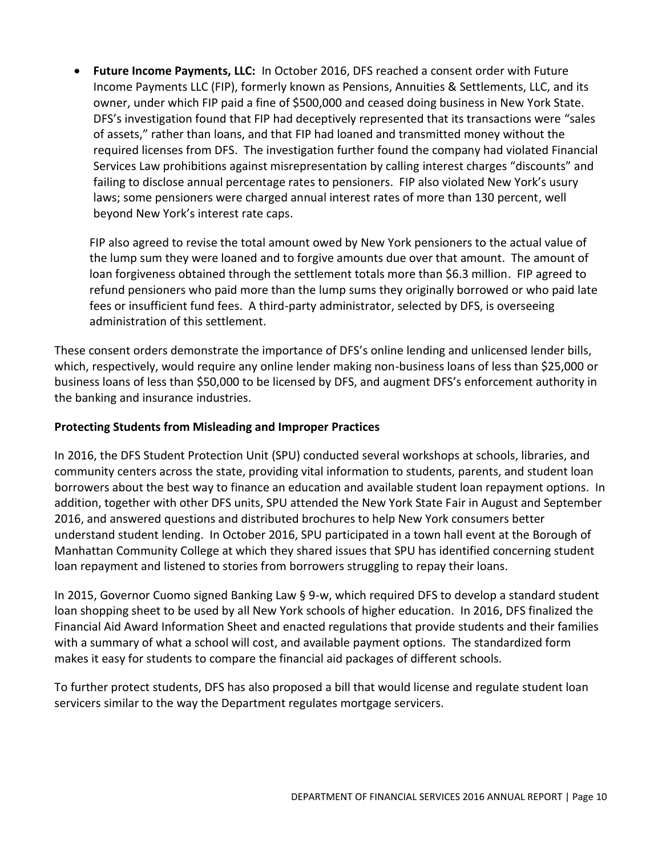**Future Income Payments, LLC:** In October 2016, DFS reached a consent order with Future Income Payments LLC (FIP), formerly known as Pensions, Annuities & Settlements, LLC, and its owner, under which FIP paid a fine of \$500,000 and ceased doing business in New York State. DFS's investigation found that FIP had deceptively represented that its transactions were "sales of assets," rather than loans, and that FIP had loaned and transmitted money without the required licenses from DFS. The investigation further found the company had violated Financial Services Law prohibitions against misrepresentation by calling interest charges "discounts" and failing to disclose annual percentage rates to pensioners. FIP also violated New York's usury laws; some pensioners were charged annual interest rates of more than 130 percent, well beyond New York's interest rate caps.

FIP also agreed to revise the total amount owed by New York pensioners to the actual value of the lump sum they were loaned and to forgive amounts due over that amount. The amount of loan forgiveness obtained through the settlement totals more than \$6.3 million. FIP agreed to refund pensioners who paid more than the lump sums they originally borrowed or who paid late fees or insufficient fund fees. A third-party administrator, selected by DFS, is overseeing administration of this settlement.

These consent orders demonstrate the importance of DFS's online lending and unlicensed lender bills, which, respectively, would require any online lender making non-business loans of less than \$25,000 or business loans of less than \$50,000 to be licensed by DFS, and augment DFS's enforcement authority in the banking and insurance industries.

# **Protecting Students from Misleading and Improper Practices**

In 2016, the DFS Student Protection Unit (SPU) conducted several workshops at schools, libraries, and community centers across the state, providing vital information to students, parents, and student loan borrowers about the best way to finance an education and available student loan repayment options. In addition, together with other DFS units, SPU attended the New York State Fair in August and September 2016, and answered questions and distributed brochures to help New York consumers better understand student lending. In October 2016, SPU participated in a town hall event at the Borough of Manhattan Community College at which they shared issues that SPU has identified concerning student loan repayment and listened to stories from borrowers struggling to repay their loans.

In 2015, Governor Cuomo signed Banking Law § 9-w, which required DFS to develop a standard student loan shopping sheet to be used by all New York schools of higher education. In 2016, DFS finalized the Financial Aid Award Information Sheet and enacted regulations that provide students and their families with a summary of what a school will cost, and available payment options. The standardized form makes it easy for students to compare the financial aid packages of different schools.

To further protect students, DFS has also proposed a bill that would license and regulate student loan servicers similar to the way the Department regulates mortgage servicers.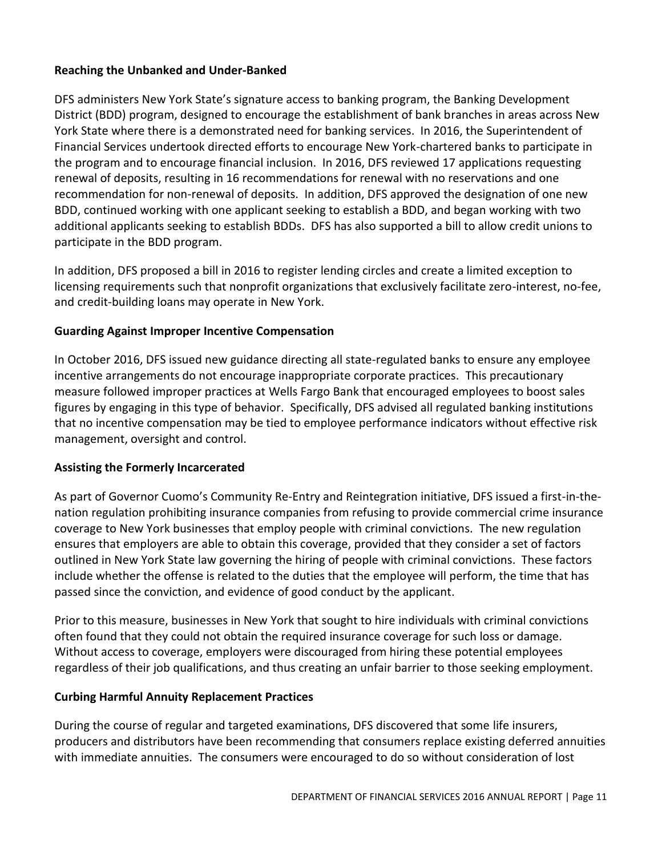# **Reaching the Unbanked and Under-Banked**

DFS administers New York State's signature access to banking program, the Banking Development District (BDD) program, designed to encourage the establishment of bank branches in areas across New York State where there is a demonstrated need for banking services. In 2016, the Superintendent of Financial Services undertook directed efforts to encourage New York-chartered banks to participate in the program and to encourage financial inclusion. In 2016, DFS reviewed 17 applications requesting renewal of deposits, resulting in 16 recommendations for renewal with no reservations and one recommendation for non-renewal of deposits. In addition, DFS approved the designation of one new BDD, continued working with one applicant seeking to establish a BDD, and began working with two additional applicants seeking to establish BDDs. DFS has also supported a bill to allow credit unions to participate in the BDD program.

In addition, DFS proposed a bill in 2016 to register lending circles and create a limited exception to licensing requirements such that nonprofit organizations that exclusively facilitate zero-interest, no-fee, and credit-building loans may operate in New York.

# **Guarding Against Improper Incentive Compensation**

In October 2016, DFS issued new guidance directing all state-regulated banks to ensure any employee incentive arrangements do not encourage inappropriate corporate practices. This precautionary measure followed improper practices at Wells Fargo Bank that encouraged employees to boost sales figures by engaging in this type of behavior. Specifically, DFS advised all regulated banking institutions that no incentive compensation may be tied to employee performance indicators without effective risk management, oversight and control.

# **Assisting the Formerly Incarcerated**

As part of Governor Cuomo's Community Re-Entry and Reintegration initiative, DFS issued a first-in-thenation regulation prohibiting insurance companies from refusing to provide commercial crime insurance coverage to New York businesses that employ people with criminal convictions. The new regulation ensures that employers are able to obtain this coverage, provided that they consider a set of factors outlined in New York State law governing the hiring of people with criminal convictions. These factors include whether the offense is related to the duties that the employee will perform, the time that has passed since the conviction, and evidence of good conduct by the applicant.

Prior to this measure, businesses in New York that sought to hire individuals with criminal convictions often found that they could not obtain the required insurance coverage for such loss or damage. Without access to coverage, employers were discouraged from hiring these potential employees regardless of their job qualifications, and thus creating an unfair barrier to those seeking employment.

#### **Curbing Harmful Annuity Replacement Practices**

During the course of regular and targeted examinations, DFS discovered that some life insurers, producers and distributors have been recommending that consumers replace existing deferred annuities with immediate annuities. The consumers were encouraged to do so without consideration of lost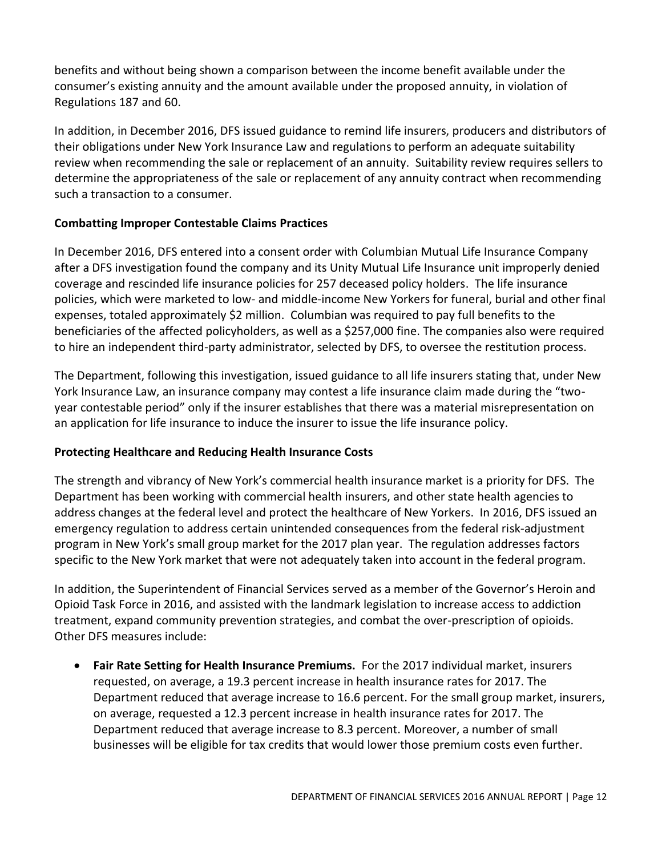benefits and without being shown a comparison between the income benefit available under the consumer's existing annuity and the amount available under the proposed annuity, in violation of Regulations 187 and 60.

In addition, in December 2016, DFS issued guidance to remind life insurers, producers and distributors of their obligations under New York Insurance Law and regulations to perform an adequate suitability review when recommending the sale or replacement of an annuity. Suitability review requires sellers to determine the appropriateness of the sale or replacement of any annuity contract when recommending such a transaction to a consumer.

# **Combatting Improper Contestable Claims Practices**

In December 2016, DFS entered into a consent order with Columbian Mutual Life Insurance Company after a DFS investigation found the company and its Unity Mutual Life Insurance unit improperly denied coverage and rescinded life insurance policies for 257 deceased policy holders. The life insurance policies, which were marketed to low- and middle-income New Yorkers for funeral, burial and other final expenses, totaled approximately \$2 million. Columbian was required to pay full benefits to the beneficiaries of the affected policyholders, as well as a \$257,000 fine. The companies also were required to hire an independent third-party administrator, selected by DFS, to oversee the restitution process.

The Department, following this investigation, issued guidance to all life insurers stating that, under New York Insurance Law, an insurance company may contest a life insurance claim made during the "twoyear contestable period" only if the insurer establishes that there was a material misrepresentation on an application for life insurance to induce the insurer to issue the life insurance policy.

# **Protecting Healthcare and Reducing Health Insurance Costs**

The strength and vibrancy of New York's commercial health insurance market is a priority for DFS. The Department has been working with commercial health insurers, and other state health agencies to address changes at the federal level and protect the healthcare of New Yorkers. In 2016, DFS issued an emergency regulation to address certain unintended consequences from the federal risk-adjustment program in New York's small group market for the 2017 plan year. The regulation addresses factors specific to the New York market that were not adequately taken into account in the federal program.

In addition, the Superintendent of Financial Services served as a member of the Governor's Heroin and Opioid Task Force in 2016, and assisted with the landmark legislation to increase access to addiction treatment, expand community prevention strategies, and combat the over-prescription of opioids. Other DFS measures include:

 **Fair Rate Setting for Health Insurance Premiums.** For the 2017 individual market, insurers requested, on average, a 19.3 percent increase in health insurance rates for 2017. The Department reduced that average increase to 16.6 percent. For the small group market, insurers, on average, requested a 12.3 percent increase in health insurance rates for 2017. The Department reduced that average increase to 8.3 percent. Moreover, a number of small businesses will be eligible for tax credits that would lower those premium costs even further.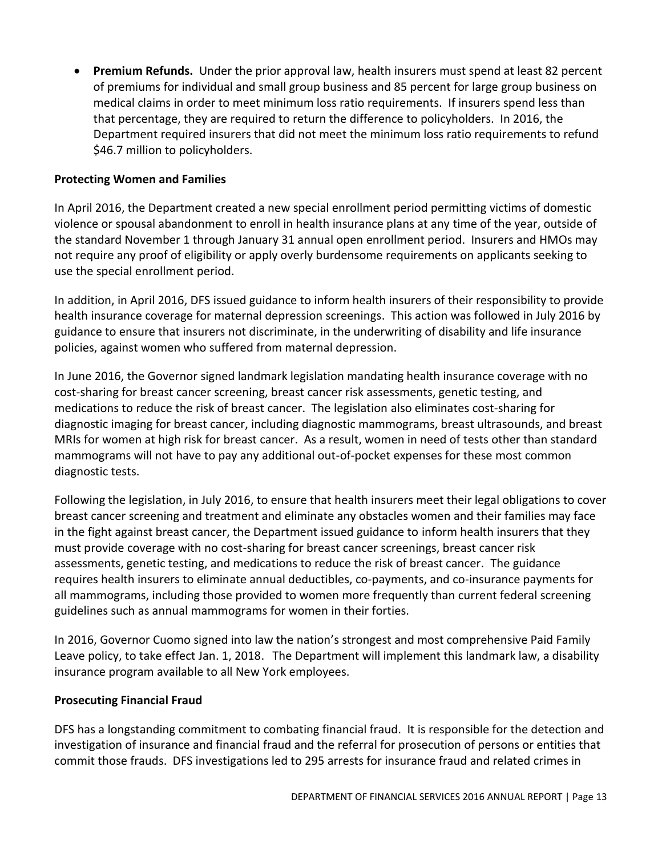**Premium Refunds.** Under the prior approval law, health insurers must spend at least 82 percent of premiums for individual and small group business and 85 percent for large group business on medical claims in order to meet minimum loss ratio requirements. If insurers spend less than that percentage, they are required to return the difference to policyholders. In 2016, the Department required insurers that did not meet the minimum loss ratio requirements to refund \$46.7 million to policyholders.

# **Protecting Women and Families**

In April 2016, the Department created a new special enrollment period permitting victims of domestic violence or spousal abandonment to enroll in health insurance plans at any time of the year, outside of the standard November 1 through January 31 annual open enrollment period. Insurers and HMOs may not require any proof of eligibility or apply overly burdensome requirements on applicants seeking to use the special enrollment period.

In addition, in April 2016, DFS issued guidance to inform health insurers of their responsibility to provide health insurance coverage for maternal depression screenings. This action was followed in July 2016 by guidance to ensure that insurers not discriminate, in the underwriting of disability and life insurance policies, against women who suffered from maternal depression.

In June 2016, the Governor signed landmark legislation mandating health insurance coverage with no cost-sharing for breast cancer screening, breast cancer risk assessments, genetic testing, and medications to reduce the risk of breast cancer. The legislation also eliminates cost-sharing for diagnostic imaging for breast cancer, including diagnostic mammograms, breast ultrasounds, and breast MRIs for women at high risk for breast cancer. As a result, women in need of tests other than standard mammograms will not have to pay any additional out-of-pocket expenses for these most common diagnostic tests.

Following the legislation, in July 2016, to ensure that health insurers meet their legal obligations to cover breast cancer screening and treatment and eliminate any obstacles women and their families may face in the fight against breast cancer, the Department issued guidance to inform health insurers that they must provide coverage with no cost-sharing for breast cancer screenings, breast cancer risk assessments, genetic testing, and medications to reduce the risk of breast cancer. The guidance requires health insurers to eliminate annual deductibles, co-payments, and co-insurance payments for all mammograms, including those provided to women more frequently than current federal screening guidelines such as annual mammograms for women in their forties.

In 2016, Governor Cuomo signed into law the nation's strongest and most comprehensive Paid Family Leave policy, to take effect Jan. 1, 2018. The Department will implement this landmark law, a disability insurance program available to all New York employees.

#### **Prosecuting Financial Fraud**

DFS has a longstanding commitment to combating financial fraud. It is responsible for the detection and investigation of insurance and financial fraud and the referral for prosecution of persons or entities that commit those frauds. DFS investigations led to 295 arrests for insurance fraud and related crimes in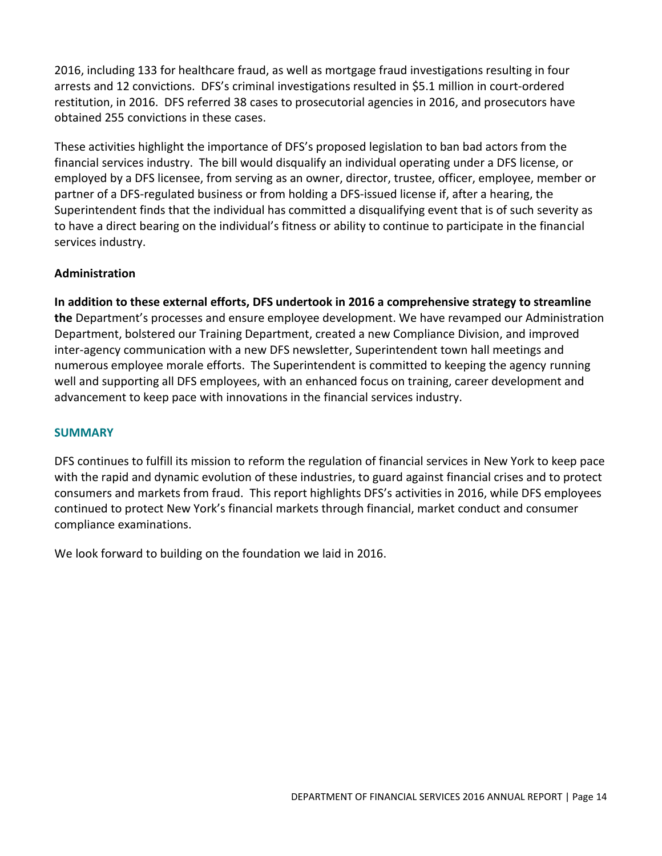2016, including 133 for healthcare fraud, as well as mortgage fraud investigations resulting in four arrests and 12 convictions. DFS's criminal investigations resulted in \$5.1 million in court-ordered restitution, in 2016. DFS referred 38 cases to prosecutorial agencies in 2016, and prosecutors have obtained 255 convictions in these cases.

These activities highlight the importance of DFS's proposed legislation to ban bad actors from the financial services industry. The bill would disqualify an individual operating under a DFS license, or employed by a DFS licensee, from serving as an owner, director, trustee, officer, employee, member or partner of a DFS-regulated business or from holding a DFS-issued license if, after a hearing, the Superintendent finds that the individual has committed a disqualifying event that is of such severity as to have a direct bearing on the individual's fitness or ability to continue to participate in the financial services industry.

# **Administration**

**In addition to these external efforts, DFS undertook in 2016 a comprehensive strategy to streamline the** Department's processes and ensure employee development. We have revamped our Administration Department, bolstered our Training Department, created a new Compliance Division, and improved inter-agency communication with a new DFS newsletter, Superintendent town hall meetings and numerous employee morale efforts. The Superintendent is committed to keeping the agency running well and supporting all DFS employees, with an enhanced focus on training, career development and advancement to keep pace with innovations in the financial services industry.

#### **SUMMARY**

DFS continues to fulfill its mission to reform the regulation of financial services in New York to keep pace with the rapid and dynamic evolution of these industries, to guard against financial crises and to protect consumers and markets from fraud. This report highlights DFS's activities in 2016, while DFS employees continued to protect New York's financial markets through financial, market conduct and consumer compliance examinations.

We look forward to building on the foundation we laid in 2016.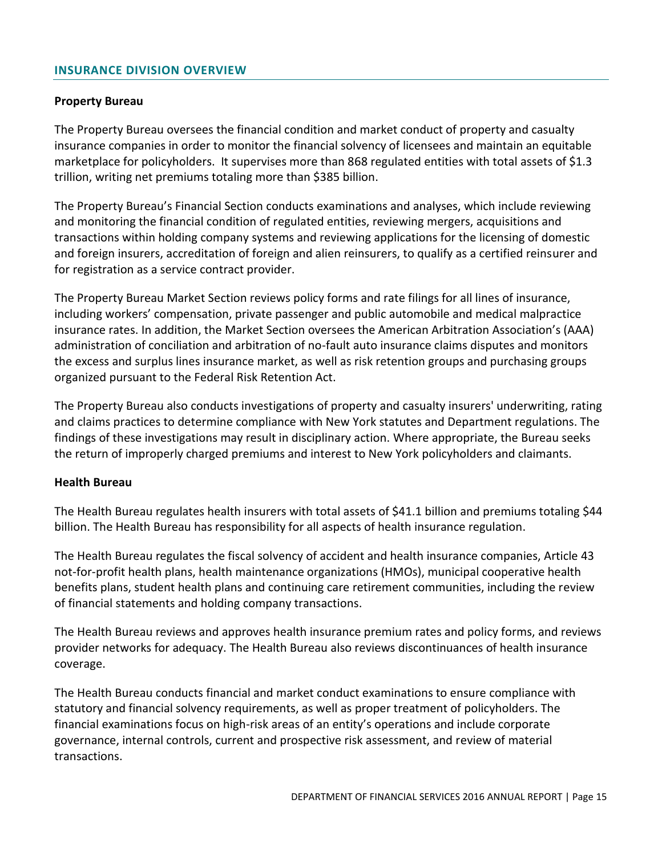#### <span id="page-16-0"></span>**INSURANCE DIVISION OVERVIEW**

#### **Property Bureau**

The Property Bureau oversees the financial condition and market conduct of property and casualty insurance companies in order to monitor the financial solvency of licensees and maintain an equitable marketplace for policyholders. It supervises more than 868 regulated entities with total assets of \$1.3 trillion, writing net premiums totaling more than \$385 billion.

The Property Bureau's Financial Section conducts examinations and analyses, which include reviewing and monitoring the financial condition of regulated entities, reviewing mergers, acquisitions and transactions within holding company systems and reviewing applications for the licensing of domestic and foreign insurers, accreditation of foreign and alien reinsurers, to qualify as a certified reinsurer and for registration as a service contract provider.

The Property Bureau Market Section reviews policy forms and rate filings for all lines of insurance, including workers' compensation, private passenger and public automobile and medical malpractice insurance rates. In addition, the Market Section oversees the American Arbitration Association's (AAA) administration of conciliation and arbitration of no-fault auto insurance claims disputes and monitors the excess and surplus lines insurance market, as well as risk retention groups and purchasing groups organized pursuant to the Federal Risk Retention Act.

The Property Bureau also conducts investigations of property and casualty insurers' underwriting, rating and claims practices to determine compliance with New York statutes and Department regulations. The findings of these investigations may result in disciplinary action. Where appropriate, the Bureau seeks the return of improperly charged premiums and interest to New York policyholders and claimants.

#### **Health Bureau**

The Health Bureau regulates health insurers with total assets of \$41.1 billion and premiums totaling \$44 billion. The Health Bureau has responsibility for all aspects of health insurance regulation.

The Health Bureau regulates the fiscal solvency of accident and health insurance companies, Article 43 not-for-profit health plans, health maintenance organizations (HMOs), municipal cooperative health benefits plans, student health plans and continuing care retirement communities, including the review of financial statements and holding company transactions.

The Health Bureau reviews and approves health insurance premium rates and policy forms, and reviews provider networks for adequacy. The Health Bureau also reviews discontinuances of health insurance coverage.

The Health Bureau conducts financial and market conduct examinations to ensure compliance with statutory and financial solvency requirements, as well as proper treatment of policyholders. The financial examinations focus on high-risk areas of an entity's operations and include corporate governance, internal controls, current and prospective risk assessment, and review of material transactions.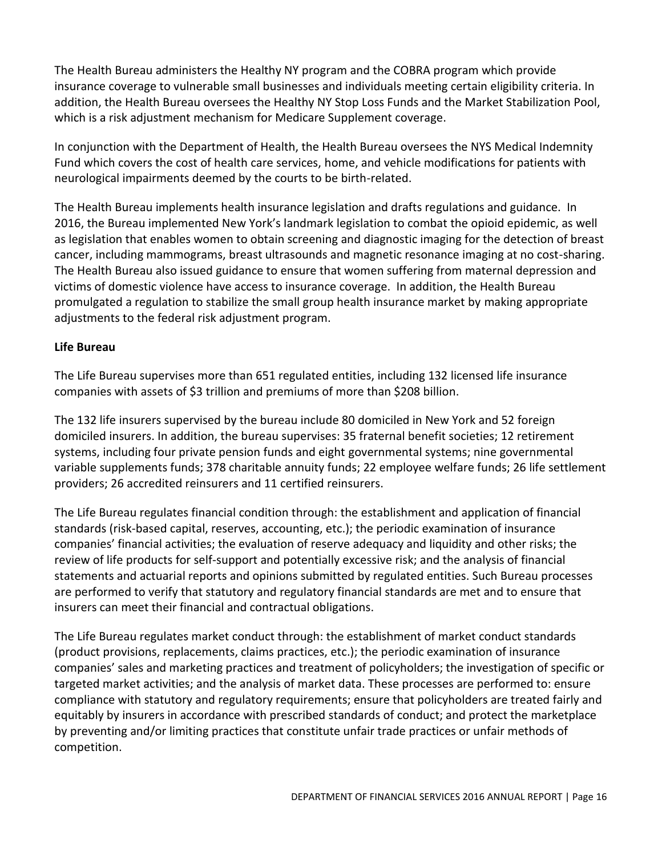The Health Bureau administers the Healthy NY program and the COBRA program which provide insurance coverage to vulnerable small businesses and individuals meeting certain eligibility criteria. In addition, the Health Bureau oversees the Healthy NY Stop Loss Funds and the Market Stabilization Pool, which is a risk adjustment mechanism for Medicare Supplement coverage.

In conjunction with the Department of Health, the Health Bureau oversees the NYS Medical Indemnity Fund which covers the cost of health care services, home, and vehicle modifications for patients with neurological impairments deemed by the courts to be birth-related.

The Health Bureau implements health insurance legislation and drafts regulations and guidance. In 2016, the Bureau implemented New York's landmark legislation to combat the opioid epidemic, as well as legislation that enables women to obtain screening and diagnostic imaging for the detection of breast cancer, including mammograms, breast ultrasounds and magnetic resonance imaging at no cost-sharing. The Health Bureau also issued guidance to ensure that women suffering from maternal depression and victims of domestic violence have access to insurance coverage. In addition, the Health Bureau promulgated a regulation to stabilize the small group health insurance market by making appropriate adjustments to the federal risk adjustment program.

# **Life Bureau**

The Life Bureau supervises more than 651 regulated entities, including 132 licensed life insurance companies with assets of \$3 trillion and premiums of more than \$208 billion.

The 132 life insurers supervised by the bureau include 80 domiciled in New York and 52 foreign domiciled insurers. In addition, the bureau supervises: 35 fraternal benefit societies; 12 retirement systems, including four private pension funds and eight governmental systems; nine governmental variable supplements funds; 378 charitable annuity funds; 22 employee welfare funds; 26 life settlement providers; 26 accredited reinsurers and 11 certified reinsurers.

The Life Bureau regulates financial condition through: the establishment and application of financial standards (risk-based capital, reserves, accounting, etc.); the periodic examination of insurance companies' financial activities; the evaluation of reserve adequacy and liquidity and other risks; the review of life products for self-support and potentially excessive risk; and the analysis of financial statements and actuarial reports and opinions submitted by regulated entities. Such Bureau processes are performed to verify that statutory and regulatory financial standards are met and to ensure that insurers can meet their financial and contractual obligations.

The Life Bureau regulates market conduct through: the establishment of market conduct standards (product provisions, replacements, claims practices, etc.); the periodic examination of insurance companies' sales and marketing practices and treatment of policyholders; the investigation of specific or targeted market activities; and the analysis of market data. These processes are performed to: ensure compliance with statutory and regulatory requirements; ensure that policyholders are treated fairly and equitably by insurers in accordance with prescribed standards of conduct; and protect the marketplace by preventing and/or limiting practices that constitute unfair trade practices or unfair methods of competition.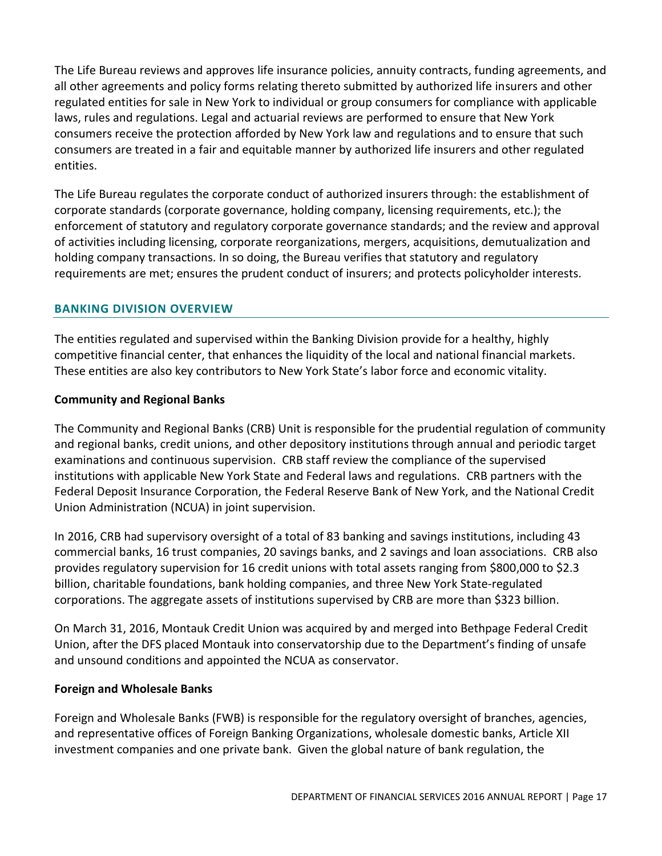The Life Bureau reviews and approves life insurance policies, annuity contracts, funding agreements, and all other agreements and policy forms relating thereto submitted by authorized life insurers and other regulated entities for sale in New York to individual or group consumers for compliance with applicable laws, rules and regulations. Legal and actuarial reviews are performed to ensure that New York consumers receive the protection afforded by New York law and regulations and to ensure that such consumers are treated in a fair and equitable manner by authorized life insurers and other regulated entities.

The Life Bureau regulates the corporate conduct of authorized insurers through: the establishment of corporate standards (corporate governance, holding company, licensing requirements, etc.); the enforcement of statutory and regulatory corporate governance standards; and the review and approval of activities including licensing, corporate reorganizations, mergers, acquisitions, demutualization and holding company transactions. In so doing, the Bureau verifies that statutory and regulatory requirements are met; ensures the prudent conduct of insurers; and protects policyholder interests.

# <span id="page-18-0"></span>**BANKING DIVISION OVERVIEW**

The entities regulated and supervised within the Banking Division provide for a healthy, highly competitive financial center, that enhances the liquidity of the local and national financial markets. These entities are also key contributors to New York State's labor force and economic vitality.

# **Community and Regional Banks**

The Community and Regional Banks (CRB) Unit is responsible for the prudential regulation of community and regional banks, credit unions, and other depository institutions through annual and periodic target examinations and continuous supervision. CRB staff review the compliance of the supervised institutions with applicable New York State and Federal laws and regulations. CRB partners with the Federal Deposit Insurance Corporation, the Federal Reserve Bank of New York, and the National Credit Union Administration (NCUA) in joint supervision.

In 2016, CRB had supervisory oversight of a total of 83 banking and savings institutions, including 43 commercial banks, 16 trust companies, 20 savings banks, and 2 savings and loan associations. CRB also provides regulatory supervision for 16 credit unions with total assets ranging from \$800,000 to \$2.3 billion, charitable foundations, bank holding companies, and three New York State-regulated corporations. The aggregate assets of institutions supervised by CRB are more than \$323 billion.

On March 31, 2016, Montauk Credit Union was acquired by and merged into Bethpage Federal Credit Union, after the DFS placed Montauk into conservatorship due to the Department's finding of unsafe and unsound conditions and appointed the NCUA as conservator.

# **Foreign and Wholesale Banks**

Foreign and Wholesale Banks (FWB) is responsible for the regulatory oversight of branches, agencies, and representative offices of Foreign Banking Organizations, wholesale domestic banks, Article XII investment companies and one private bank. Given the global nature of bank regulation, the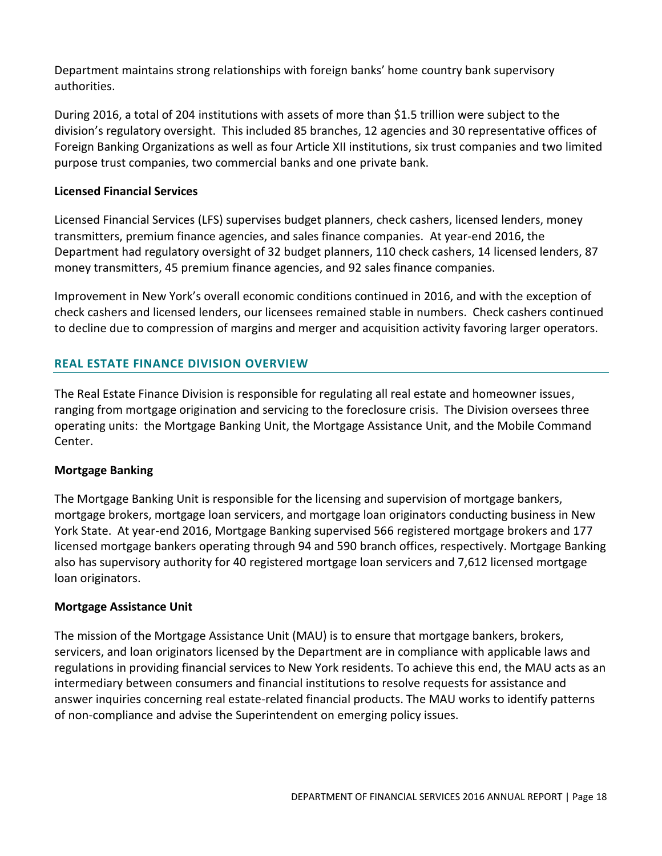Department maintains strong relationships with foreign banks' home country bank supervisory authorities.

During 2016, a total of 204 institutions with assets of more than \$1.5 trillion were subject to the division's regulatory oversight. This included 85 branches, 12 agencies and 30 representative offices of Foreign Banking Organizations as well as four Article XII institutions, six trust companies and two limited purpose trust companies, two commercial banks and one private bank.

# **Licensed Financial Services**

Licensed Financial Services (LFS) supervises budget planners, check cashers, licensed lenders, money transmitters, premium finance agencies, and sales finance companies. At year-end 2016, the Department had regulatory oversight of 32 budget planners, 110 check cashers, 14 licensed lenders, 87 money transmitters, 45 premium finance agencies, and 92 sales finance companies.

Improvement in New York's overall economic conditions continued in 2016, and with the exception of check cashers and licensed lenders, our licensees remained stable in numbers. Check cashers continued to decline due to compression of margins and merger and acquisition activity favoring larger operators.

# <span id="page-19-0"></span>**REAL ESTATE FINANCE DIVISION OVERVIEW**

The Real Estate Finance Division is responsible for regulating all real estate and homeowner issues, ranging from mortgage origination and servicing to the foreclosure crisis. The Division oversees three operating units: the Mortgage Banking Unit, the Mortgage Assistance Unit, and the Mobile Command Center.

#### **Mortgage Banking**

The Mortgage Banking Unit is responsible for the licensing and supervision of mortgage bankers, mortgage brokers, mortgage loan servicers, and mortgage loan originators conducting business in New York State. At year-end 2016, Mortgage Banking supervised 566 registered mortgage brokers and 177 licensed mortgage bankers operating through 94 and 590 branch offices, respectively. Mortgage Banking also has supervisory authority for 40 registered mortgage loan servicers and 7,612 licensed mortgage loan originators.

#### **Mortgage Assistance Unit**

The mission of the Mortgage Assistance Unit (MAU) is to ensure that mortgage bankers, brokers, servicers, and loan originators licensed by the Department are in compliance with applicable laws and regulations in providing financial services to New York residents. To achieve this end, the MAU acts as an intermediary between consumers and financial institutions to resolve requests for assistance and answer inquiries concerning real estate-related financial products. The MAU works to identify patterns of non-compliance and advise the Superintendent on emerging policy issues.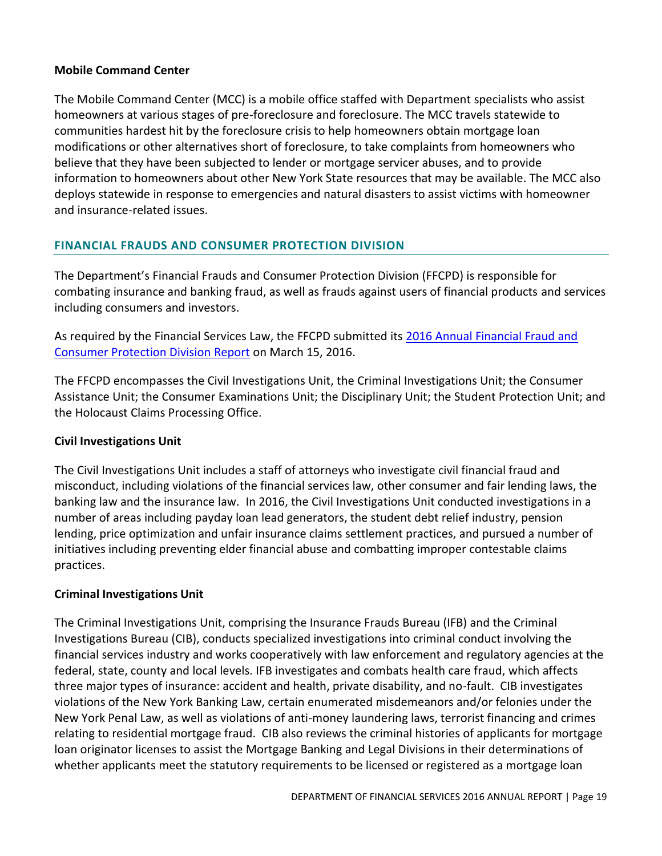# **Mobile Command Center**

The Mobile Command Center (MCC) is a mobile office staffed with Department specialists who assist homeowners at various stages of pre-foreclosure and foreclosure. The MCC travels statewide to communities hardest hit by the foreclosure crisis to help homeowners obtain mortgage loan modifications or other alternatives short of foreclosure, to take complaints from homeowners who believe that they have been subjected to lender or mortgage servicer abuses, and to provide information to homeowners about other New York State resources that may be available. The MCC also deploys statewide in response to emergencies and natural disasters to assist victims with homeowner and insurance-related issues.

# <span id="page-20-0"></span>**FINANCIAL FRAUDS AND CONSUMER PROTECTION DIVISION**

The Department's Financial Frauds and Consumer Protection Division (FFCPD) is responsible for combating insurance and banking fraud, as well as frauds against users of financial products and services including consumers and investors.

As required by the Financial Services Law, the FFCPD submitted its 2016 Annual Financial Fraud and [Consumer Protection Division](http://www.dfs.ny.gov/reportpub/fraud/ffcpd_annualrep_2016.pdf) Report on March 15, 2016.

The FFCPD encompasses the Civil Investigations Unit, the Criminal Investigations Unit; the Consumer Assistance Unit; the Consumer Examinations Unit; the Disciplinary Unit; the Student Protection Unit; and the Holocaust Claims Processing Office.

# **Civil Investigations Unit**

The Civil Investigations Unit includes a staff of attorneys who investigate civil financial fraud and misconduct, including violations of the financial services law, other consumer and fair lending laws, the banking law and the insurance law. In 2016, the Civil Investigations Unit conducted investigations in a number of areas including payday loan lead generators, the student debt relief industry, pension lending, price optimization and unfair insurance claims settlement practices, and pursued a number of initiatives including preventing elder financial abuse and combatting improper contestable claims practices.

# **Criminal Investigations Unit**

The Criminal Investigations Unit, comprising the Insurance Frauds Bureau (IFB) and the Criminal Investigations Bureau (CIB), conducts specialized investigations into criminal conduct involving the financial services industry and works cooperatively with law enforcement and regulatory agencies at the federal, state, county and local levels. IFB investigates and combats health care fraud, which affects three major types of insurance: accident and health, private disability, and no-fault. CIB investigates violations of the New York Banking Law, certain enumerated misdemeanors and/or felonies under the New York Penal Law, as well as violations of anti-money laundering laws, terrorist financing and crimes relating to residential mortgage fraud. CIB also reviews the criminal histories of applicants for mortgage loan originator licenses to assist the Mortgage Banking and Legal Divisions in their determinations of whether applicants meet the statutory requirements to be licensed or registered as a mortgage loan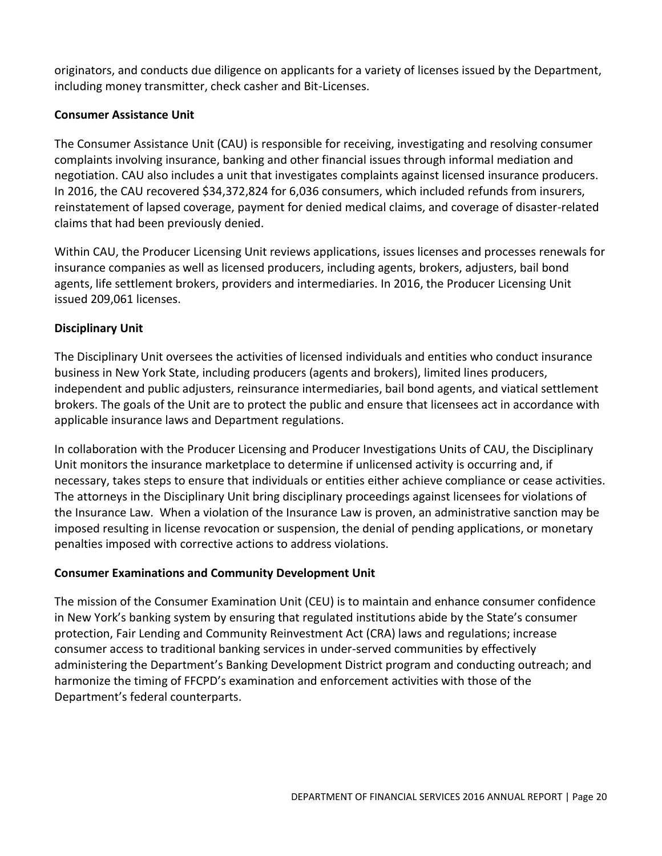originators, and conducts due diligence on applicants for a variety of licenses issued by the Department, including money transmitter, check casher and Bit-Licenses.

# **Consumer Assistance Unit**

The Consumer Assistance Unit (CAU) is responsible for receiving, investigating and resolving consumer complaints involving insurance, banking and other financial issues through informal mediation and negotiation. CAU also includes a unit that investigates complaints against licensed insurance producers. In 2016, the CAU recovered \$34,372,824 for 6,036 consumers, which included refunds from insurers, reinstatement of lapsed coverage, payment for denied medical claims, and coverage of disaster-related claims that had been previously denied.

Within CAU, the Producer Licensing Unit reviews applications, issues licenses and processes renewals for insurance companies as well as licensed producers, including agents, brokers, adjusters, bail bond agents, life settlement brokers, providers and intermediaries. In 2016, the Producer Licensing Unit issued 209,061 licenses.

# **Disciplinary Unit**

The Disciplinary Unit oversees the activities of licensed individuals and entities who conduct insurance business in New York State, including producers (agents and brokers), limited lines producers, independent and public adjusters, reinsurance intermediaries, bail bond agents, and viatical settlement brokers. The goals of the Unit are to protect the public and ensure that licensees act in accordance with applicable insurance laws and Department regulations.

In collaboration with the Producer Licensing and Producer Investigations Units of CAU, the Disciplinary Unit monitors the insurance marketplace to determine if unlicensed activity is occurring and, if necessary, takes steps to ensure that individuals or entities either achieve compliance or cease activities. The attorneys in the Disciplinary Unit bring disciplinary proceedings against licensees for violations of the Insurance Law. When a violation of the Insurance Law is proven, an administrative sanction may be imposed resulting in license revocation or suspension, the denial of pending applications, or monetary penalties imposed with corrective actions to address violations.

# **Consumer Examinations and Community Development Unit**

The mission of the Consumer Examination Unit (CEU) is to maintain and enhance consumer confidence in New York's banking system by ensuring that regulated institutions abide by the State's consumer protection, Fair Lending and Community Reinvestment Act (CRA) laws and regulations; increase consumer access to traditional banking services in under-served communities by effectively administering the Department's Banking Development District program and conducting outreach; and harmonize the timing of FFCPD's examination and enforcement activities with those of the Department's federal counterparts.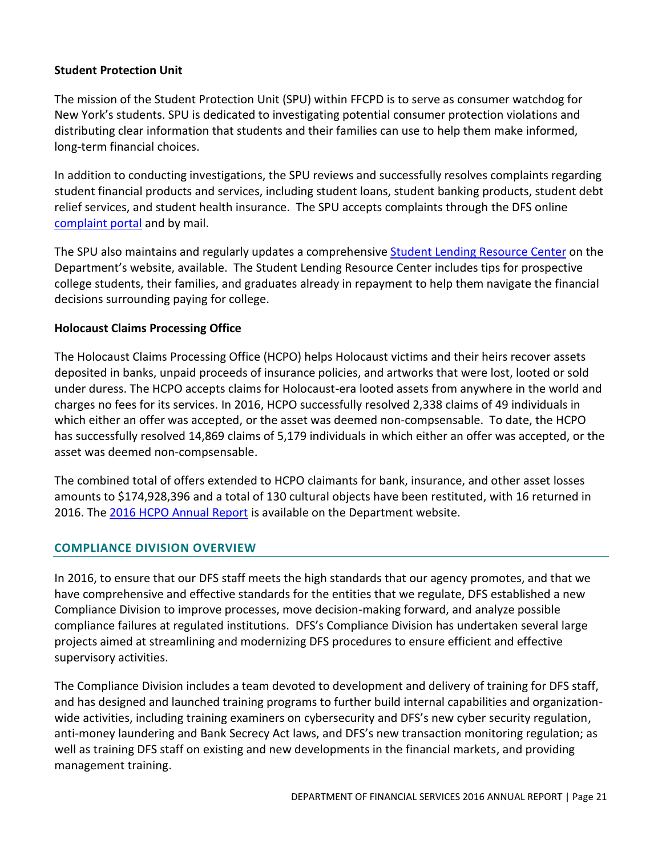# **Student Protection Unit**

The mission of the Student Protection Unit (SPU) within FFCPD is to serve as consumer watchdog for New York's students. SPU is dedicated to investigating potential consumer protection violations and distributing clear information that students and their families can use to help them make informed, long-term financial choices.

In addition to conducting investigations, the SPU reviews and successfully resolves complaints regarding student financial products and services, including student loans, student banking products, student debt relief services, and student health insurance. The SPU accepts complaints through the DFS online [complaint portal](http://www.dfs.ny.gov/consumer/fileacomplaint.htm) and by mail.

The SPU also maintains and regularly updates a comprehensive [Student Lending Resource Center](http://www.dfs.ny.gov/studentprotection) on the Department's website, available. The Student Lending Resource Center includes tips for prospective college students, their families, and graduates already in repayment to help them navigate the financial decisions surrounding paying for college.

#### **Holocaust Claims Processing Office**

The Holocaust Claims Processing Office (HCPO) helps Holocaust victims and their heirs recover assets deposited in banks, unpaid proceeds of insurance policies, and artworks that were lost, looted or sold under duress. The HCPO accepts claims for Holocaust-era looted assets from anywhere in the world and charges no fees for its services. In 2016, HCPO successfully resolved 2,338 claims of 49 individuals in which either an offer was accepted, or the asset was deemed non-compsensable. To date, the HCPO has successfully resolved 14,869 claims of 5,179 individuals in which either an offer was accepted, or the asset was deemed non-compsensable.

The combined total of offers extended to HCPO claimants for bank, insurance, and other asset losses amounts to \$174,928,396 and a total of 130 cultural objects have been restituted, with 16 returned in 2016. The 2016 [HCPO Annual Report](http://www.dfs.ny.gov/reportpub/hcpo/hcporeport16.pdf) is available on the Department website.

#### <span id="page-22-0"></span>**COMPLIANCE DIVISION OVERVIEW**

In 2016, to ensure that our DFS staff meets the high standards that our agency promotes, and that we have comprehensive and effective standards for the entities that we regulate, DFS established a new Compliance Division to improve processes, move decision-making forward, and analyze possible compliance failures at regulated institutions. DFS's Compliance Division has undertaken several large projects aimed at streamlining and modernizing DFS procedures to ensure efficient and effective supervisory activities.

The Compliance Division includes a team devoted to development and delivery of training for DFS staff, and has designed and launched training programs to further build internal capabilities and organizationwide activities, including training examiners on cybersecurity and DFS's new cyber security regulation, anti-money laundering and Bank Secrecy Act laws, and DFS's new transaction monitoring regulation; as well as training DFS staff on existing and new developments in the financial markets, and providing management training.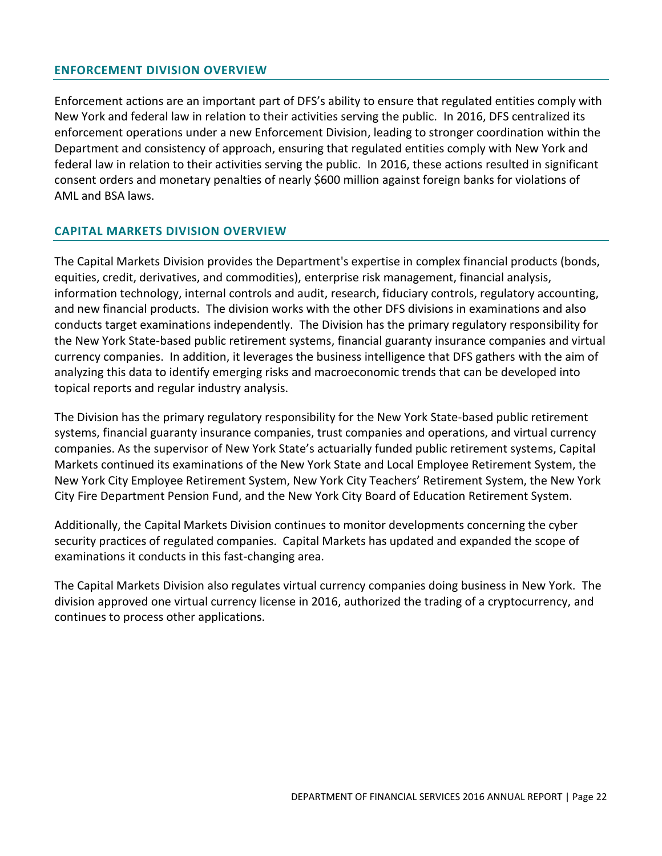#### <span id="page-23-0"></span>**ENFORCEMENT DIVISION OVERVIEW**

Enforcement actions are an important part of DFS's ability to ensure that regulated entities comply with New York and federal law in relation to their activities serving the public. In 2016, DFS centralized its enforcement operations under a new Enforcement Division, leading to stronger coordination within the Department and consistency of approach, ensuring that regulated entities comply with New York and federal law in relation to their activities serving the public. In 2016, these actions resulted in significant consent orders and monetary penalties of nearly \$600 million against foreign banks for violations of AML and BSA laws.

#### <span id="page-23-1"></span>**CAPITAL MARKETS DIVISION OVERVIEW**

The Capital Markets Division provides the Department's expertise in complex financial products (bonds, equities, credit, derivatives, and commodities), enterprise risk management, financial analysis, information technology, internal controls and audit, research, fiduciary controls, regulatory accounting, and new financial products. The division works with the other DFS divisions in examinations and also conducts target examinations independently. The Division has the primary regulatory responsibility for the New York State-based public retirement systems, financial guaranty insurance companies and virtual currency companies. In addition, it leverages the business intelligence that DFS gathers with the aim of analyzing this data to identify emerging risks and macroeconomic trends that can be developed into topical reports and regular industry analysis.

The Division has the primary regulatory responsibility for the New York State-based public retirement systems, financial guaranty insurance companies, trust companies and operations, and virtual currency companies. As the supervisor of New York State's actuarially funded public retirement systems, Capital Markets continued its examinations of the New York State and Local Employee Retirement System, the New York City Employee Retirement System, New York City Teachers' Retirement System, the New York City Fire Department Pension Fund, and the New York City Board of Education Retirement System.

Additionally, the Capital Markets Division continues to monitor developments concerning the cyber security practices of regulated companies. Capital Markets has updated and expanded the scope of examinations it conducts in this fast-changing area.

The Capital Markets Division also regulates virtual currency companies doing business in New York. The division approved one virtual currency license in 2016, authorized the trading of a cryptocurrency, and continues to process other applications.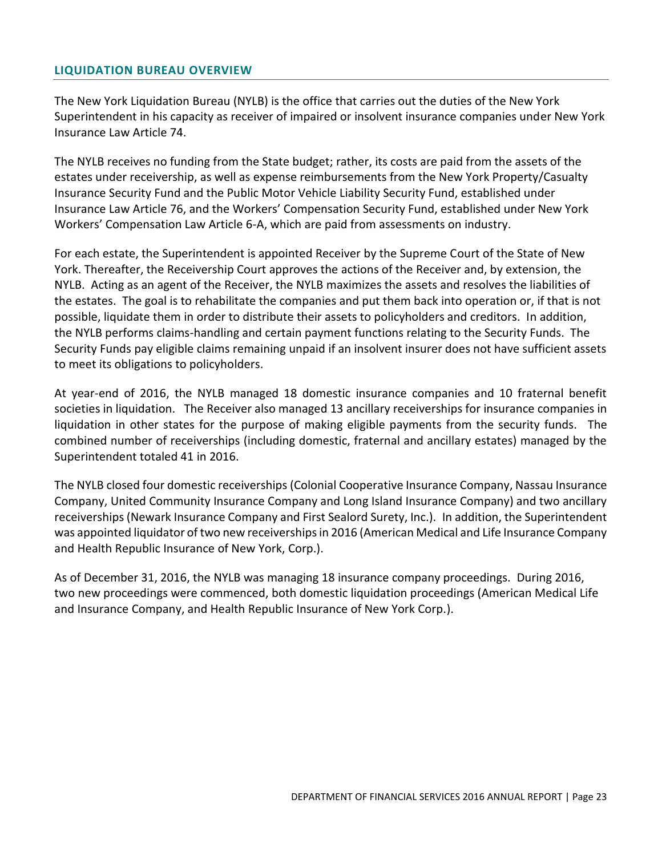#### <span id="page-24-0"></span>**LIQUIDATION BUREAU OVERVIEW**

The New York Liquidation Bureau (NYLB) is the office that carries out the duties of the New York Superintendent in his capacity as receiver of impaired or insolvent insurance companies under New York Insurance Law Article 74.

The NYLB receives no funding from the State budget; rather, its costs are paid from the assets of the estates under receivership, as well as expense reimbursements from the New York Property/Casualty Insurance Security Fund and the Public Motor Vehicle Liability Security Fund, established under Insurance Law Article 76, and the Workers' Compensation Security Fund, established under New York Workers' Compensation Law Article 6-A, which are paid from assessments on industry.

For each estate, the Superintendent is appointed Receiver by the Supreme Court of the State of New York. Thereafter, the Receivership Court approves the actions of the Receiver and, by extension, the NYLB. Acting as an agent of the Receiver, the NYLB maximizes the assets and resolves the liabilities of the estates. The goal is to rehabilitate the companies and put them back into operation or, if that is not possible, liquidate them in order to distribute their assets to policyholders and creditors. In addition, the NYLB performs claims-handling and certain payment functions relating to the Security Funds. The Security Funds pay eligible claims remaining unpaid if an insolvent insurer does not have sufficient assets to meet its obligations to policyholders.

At year-end of 2016, the NYLB managed 18 domestic insurance companies and 10 fraternal benefit societies in liquidation. The Receiver also managed 13 ancillary receiverships for insurance companies in liquidation in other states for the purpose of making eligible payments from the security funds. The combined number of receiverships (including domestic, fraternal and ancillary estates) managed by the Superintendent totaled 41 in 2016.

The NYLB closed four domestic receiverships (Colonial Cooperative Insurance Company, Nassau Insurance Company, United Community Insurance Company and Long Island Insurance Company) and two ancillary receiverships (Newark Insurance Company and First Sealord Surety, Inc.). In addition, the Superintendent was appointed liquidator of two new receiverships in 2016 (American Medical and Life Insurance Company and Health Republic Insurance of New York, Corp.).

As of December 31, 2016, the NYLB was managing 18 insurance company proceedings. During 2016, two new proceedings were commenced, both domestic liquidation proceedings (American Medical Life and Insurance Company, and Health Republic Insurance of New York Corp.).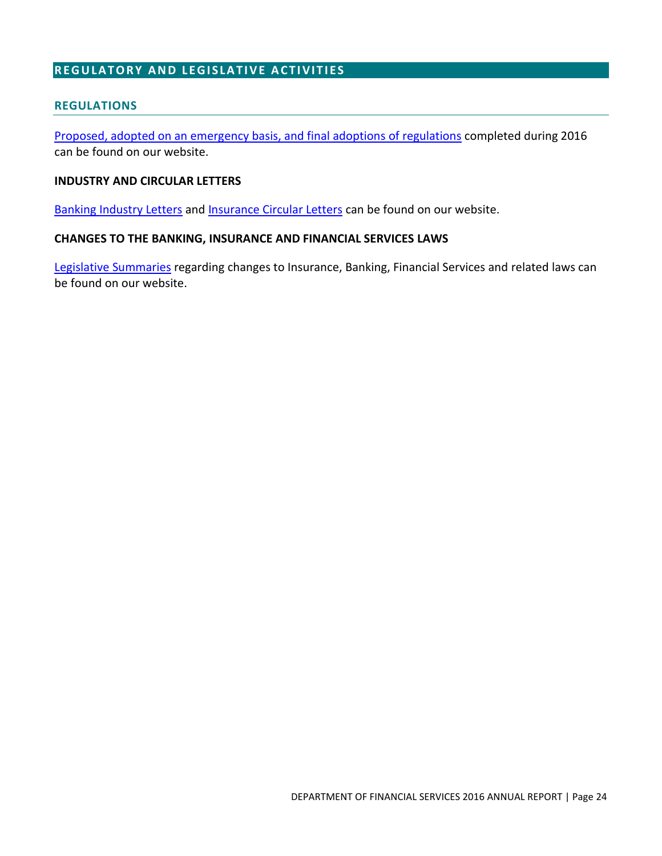# <span id="page-25-0"></span>**REGULATORY AND LEGISLATIVE ACTIVITIES**

#### <span id="page-25-1"></span>**REGULATIONS**

[Proposed, adopted on an emergency basis, and final adoptions of regulations](http://www.dfs.ny.gov/legal/regulations.htm) completed during 2016 can be found on our website.

#### **INDUSTRY AND CIRCULAR LETTERS**

[Banking Industry Letters](http://www.dfs.ny.gov/legal/industry/il2016.htm) and [Insurance Circular Letters](http://www.dfs.ny.gov/insurance/circltr/2017.htm) can be found on our website.

#### **CHANGES TO THE BANKING, INSURANCE AND FINANCIAL SERVICES LAWS**

[Legislative Summaries](http://www.dfs.ny.gov/legal/leg_summ/leg_summ.htm) regarding changes to Insurance, Banking, Financial Services and related laws can be found on our website.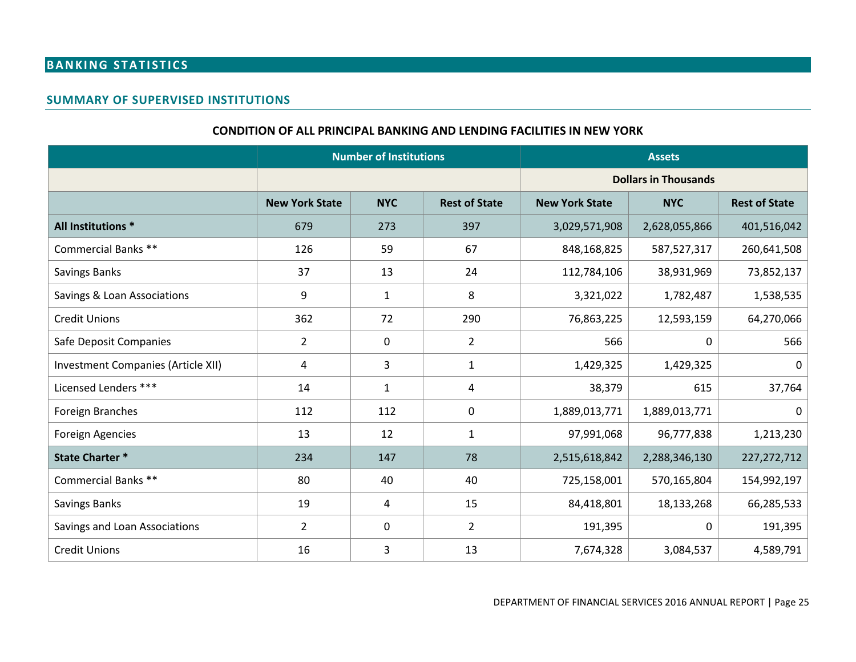# **BANKING STATISTICS**

#### **SUMMARY OF SUPERVISED INSTITUTIONS**

#### **CONDITION OF ALL PRINCIPAL BANKING AND LENDING FACILITIES IN NEW YORK**

<span id="page-26-2"></span><span id="page-26-1"></span><span id="page-26-0"></span>

|                                    | <b>Number of Institutions</b> |              |                      |                             | <b>Assets</b>                      |               |  |
|------------------------------------|-------------------------------|--------------|----------------------|-----------------------------|------------------------------------|---------------|--|
|                                    |                               |              |                      | <b>Dollars in Thousands</b> |                                    |               |  |
|                                    | <b>New York State</b>         | <b>NYC</b>   | <b>Rest of State</b> | <b>New York State</b>       | <b>NYC</b><br><b>Rest of State</b> |               |  |
| All Institutions *                 | 679                           | 273          | 397                  | 3,029,571,908               | 2,628,055,866                      | 401,516,042   |  |
| <b>Commercial Banks **</b>         | 126                           | 59           | 67                   | 848,168,825                 | 587,527,317                        | 260,641,508   |  |
| <b>Savings Banks</b>               | 37                            | 13           | 24                   | 112,784,106                 | 38,931,969                         | 73,852,137    |  |
| Savings & Loan Associations        | 9                             | $\mathbf{1}$ | 8                    | 3,321,022                   | 1,782,487                          | 1,538,535     |  |
| <b>Credit Unions</b>               | 362                           | 72           | 290                  | 76,863,225                  | 12,593,159                         | 64,270,066    |  |
| Safe Deposit Companies             | $\overline{2}$                | 0            | $\overline{2}$       | 566                         | 0                                  | 566           |  |
| Investment Companies (Article XII) | 4                             | 3            | $\mathbf{1}$         | 1,429,325                   | 1,429,325                          | 0             |  |
| Licensed Lenders ***               | 14                            | $\mathbf{1}$ | 4                    | 38,379                      | 615                                | 37,764        |  |
| Foreign Branches                   | 112                           | 112          | $\mathbf 0$          | 1,889,013,771               | 1,889,013,771                      | 0             |  |
| <b>Foreign Agencies</b>            | 13                            | 12           | $\mathbf{1}$         | 97,991,068                  | 96,777,838                         | 1,213,230     |  |
| <b>State Charter *</b>             | 234                           | 147          | 78                   | 2,515,618,842               | 2,288,346,130                      | 227, 272, 712 |  |
| Commercial Banks **                | 80                            | 40           | 40                   | 725,158,001                 | 570,165,804                        | 154,992,197   |  |
| Savings Banks                      | 19                            | 4            | 15                   | 84,418,801                  | 18,133,268                         | 66,285,533    |  |
| Savings and Loan Associations      | $\overline{2}$                | 0            | $\overline{2}$       | 191,395                     | 0                                  | 191,395       |  |
| <b>Credit Unions</b>               | 16                            | 3            | 13                   | 7,674,328                   | 3,084,537                          | 4,589,791     |  |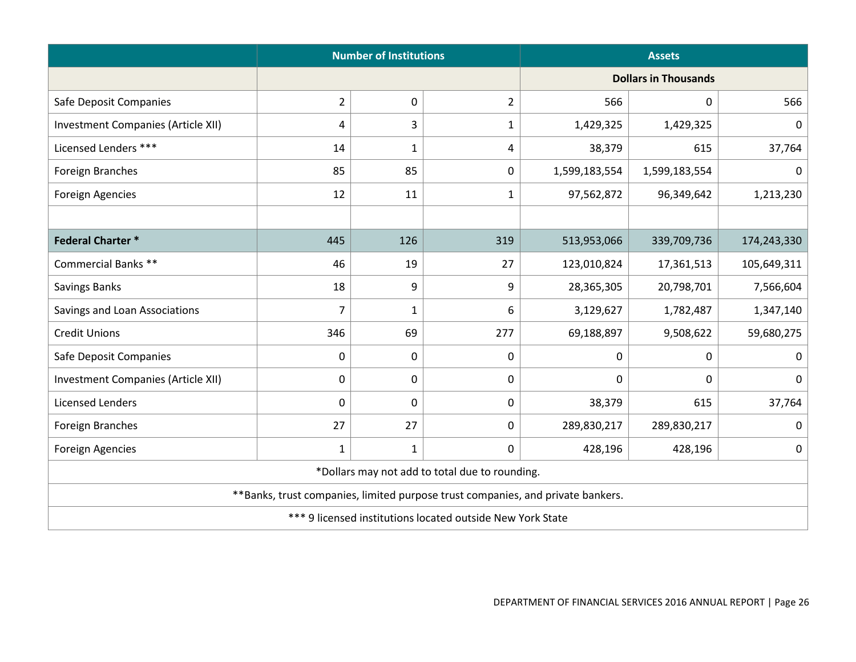|                                           | <b>Number of Institutions</b>                                                   |              |                                                |                             | <b>Assets</b> |             |  |  |  |
|-------------------------------------------|---------------------------------------------------------------------------------|--------------|------------------------------------------------|-----------------------------|---------------|-------------|--|--|--|
|                                           |                                                                                 |              |                                                | <b>Dollars in Thousands</b> |               |             |  |  |  |
| Safe Deposit Companies                    | $\overline{2}$                                                                  | 0            | $\overline{2}$                                 | 566                         | 0             | 566         |  |  |  |
| <b>Investment Companies (Article XII)</b> | 4                                                                               | 3            | 1                                              | 1,429,325                   | 1,429,325     | 0           |  |  |  |
| Licensed Lenders ***                      | 14                                                                              | $\mathbf 1$  | 4                                              | 38,379                      | 615           | 37,764      |  |  |  |
| Foreign Branches                          | 85                                                                              | 85           | 0                                              | 1,599,183,554               | 1,599,183,554 | 0           |  |  |  |
| <b>Foreign Agencies</b>                   | 12                                                                              | 11           | 1                                              | 97,562,872                  | 96,349,642    | 1,213,230   |  |  |  |
|                                           |                                                                                 |              |                                                |                             |               |             |  |  |  |
| <b>Federal Charter *</b>                  | 445                                                                             | 126          | 319                                            | 513,953,066                 | 339,709,736   | 174,243,330 |  |  |  |
| Commercial Banks **                       | 46                                                                              | 19           | 27                                             | 123,010,824                 | 17,361,513    | 105,649,311 |  |  |  |
| Savings Banks                             | 18                                                                              | 9            | 9                                              | 28,365,305                  | 20,798,701    | 7,566,604   |  |  |  |
| Savings and Loan Associations             | $\overline{7}$                                                                  | $\mathbf 1$  | 6                                              | 3,129,627                   | 1,782,487     | 1,347,140   |  |  |  |
| <b>Credit Unions</b>                      | 346                                                                             | 69           | 277                                            | 69,188,897                  | 9,508,622     | 59,680,275  |  |  |  |
| Safe Deposit Companies                    | 0                                                                               | 0            | 0                                              | $\pmb{0}$                   | 0             | 0           |  |  |  |
| Investment Companies (Article XII)        | 0                                                                               | 0            | 0                                              | $\pmb{0}$                   | 0             | 0           |  |  |  |
| Licensed Lenders                          | 0                                                                               | 0            | 0                                              | 38,379                      | 615           | 37,764      |  |  |  |
| Foreign Branches                          | 27                                                                              | 27           | 0                                              | 289,830,217                 | 289,830,217   | 0           |  |  |  |
| Foreign Agencies                          | $\mathbf{1}$                                                                    | $\mathbf{1}$ | 0                                              | 428,196                     | 428,196       | 0           |  |  |  |
|                                           |                                                                                 |              | *Dollars may not add to total due to rounding. |                             |               |             |  |  |  |
|                                           | **Banks, trust companies, limited purpose trust companies, and private bankers. |              |                                                |                             |               |             |  |  |  |
|                                           | *** 9 licensed institutions located outside New York State                      |              |                                                |                             |               |             |  |  |  |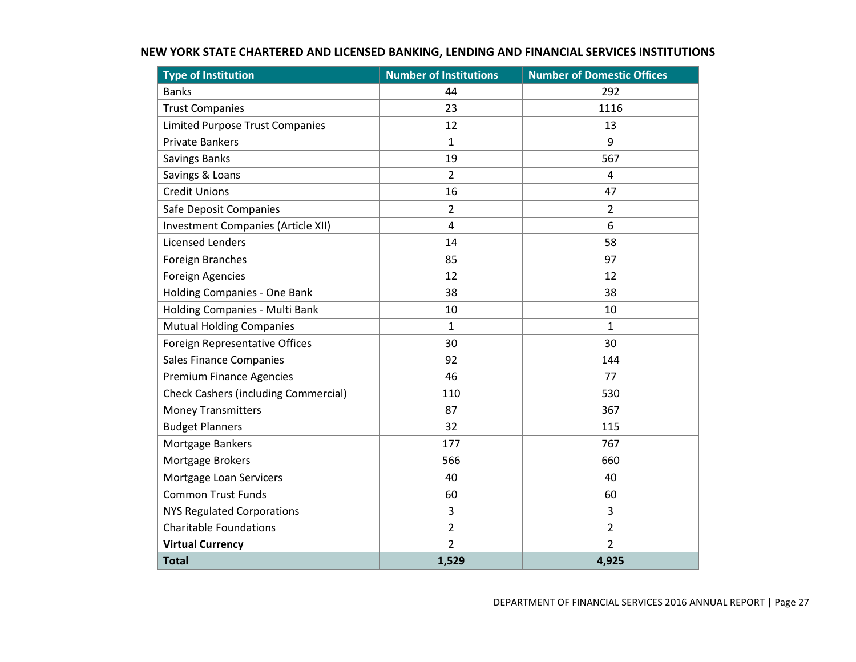<span id="page-28-0"></span>

| <b>Type of Institution</b>                  | <b>Number of Institutions</b> | <b>Number of Domestic Offices</b> |
|---------------------------------------------|-------------------------------|-----------------------------------|
| <b>Banks</b>                                | 44                            | 292                               |
| <b>Trust Companies</b>                      | 23                            | 1116                              |
| <b>Limited Purpose Trust Companies</b>      | 12                            | 13                                |
| <b>Private Bankers</b>                      | 1                             | 9                                 |
| <b>Savings Banks</b>                        | 19                            | 567                               |
| Savings & Loans                             | $\overline{2}$                | 4                                 |
| <b>Credit Unions</b>                        | 16                            | 47                                |
| Safe Deposit Companies                      | $\overline{2}$                | $\overline{2}$                    |
| Investment Companies (Article XII)          | $\overline{4}$                | 6                                 |
| <b>Licensed Lenders</b>                     | 14                            | 58                                |
| Foreign Branches                            | 85                            | 97                                |
| <b>Foreign Agencies</b>                     | 12                            | 12                                |
| Holding Companies - One Bank                | 38                            | 38                                |
| Holding Companies - Multi Bank              | 10                            | 10                                |
| <b>Mutual Holding Companies</b>             | $\mathbf{1}$                  | $\mathbf{1}$                      |
| Foreign Representative Offices              | 30                            | 30                                |
| <b>Sales Finance Companies</b>              | 92                            | 144                               |
| <b>Premium Finance Agencies</b>             | 46                            | 77                                |
| <b>Check Cashers (including Commercial)</b> | 110                           | 530                               |
| <b>Money Transmitters</b>                   | 87                            | 367                               |
| <b>Budget Planners</b>                      | 32                            | 115                               |
| Mortgage Bankers                            | 177                           | 767                               |
| Mortgage Brokers                            | 566                           | 660                               |
| Mortgage Loan Servicers                     | 40                            | 40                                |
| <b>Common Trust Funds</b>                   | 60                            | 60                                |
| <b>NYS Regulated Corporations</b>           | 3                             | 3                                 |
| <b>Charitable Foundations</b>               | $\overline{2}$                | $\overline{2}$                    |
| <b>Virtual Currency</b>                     | $\overline{2}$                | $\overline{2}$                    |
| <b>Total</b>                                | 1,529                         | 4,925                             |

# **NEW YORK STATE CHARTERED AND LICENSED BANKING, LENDING AND FINANCIAL SERVICES INSTITUTIONS**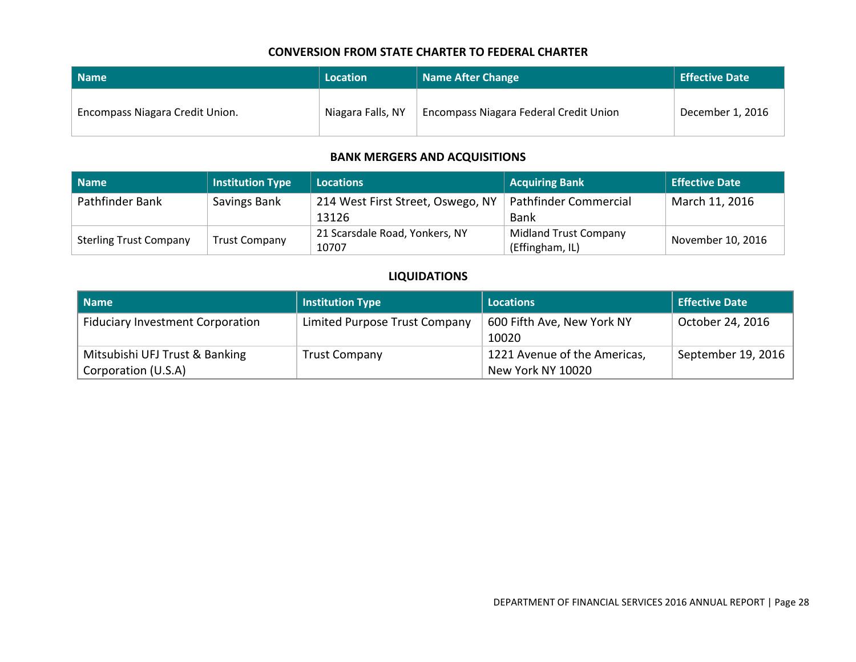#### **CONVERSION FROM STATE CHARTER TO FEDERAL CHARTER**

| l Name                          | Location          | <b>Name After Change</b>                      | <b>Effective Date</b> |
|---------------------------------|-------------------|-----------------------------------------------|-----------------------|
| Encompass Niagara Credit Union. | Niagara Falls, NY | <b>Encompass Niagara Federal Credit Union</b> | December 1, 2016      |

#### **BANK MERGERS AND ACQUISITIONS**

| Name                          | <b>Institution Type</b> | <b>Locations</b>                  | <b>Acquiring Bank</b>        | <b>Effective Date</b> |
|-------------------------------|-------------------------|-----------------------------------|------------------------------|-----------------------|
| Pathfinder Bank               | Savings Bank            | 214 West First Street, Oswego, NY | Pathfinder Commercial        | March 11, 2016        |
|                               |                         | 13126                             | Bank                         |                       |
| <b>Sterling Trust Company</b> | <b>Trust Company</b>    | 21 Scarsdale Road, Yonkers, NY    | <b>Midland Trust Company</b> | November 10, 2016     |
|                               |                         | 10707                             | (Effingham, IL)              |                       |

#### **LIQUIDATIONS**

<span id="page-29-2"></span><span id="page-29-1"></span><span id="page-29-0"></span>

| <b>Name</b>                                           | <b>Institution Type</b>       | <b>Locations</b>                                  | <b>Effective Date</b> |
|-------------------------------------------------------|-------------------------------|---------------------------------------------------|-----------------------|
| <b>Fiduciary Investment Corporation</b>               | Limited Purpose Trust Company | 600 Fifth Ave, New York NY<br>10020               | October 24, 2016      |
| Mitsubishi UFJ Trust & Banking<br>Corporation (U.S.A) | <b>Trust Company</b>          | 1221 Avenue of the Americas,<br>New York NY 10020 | September 19, 2016    |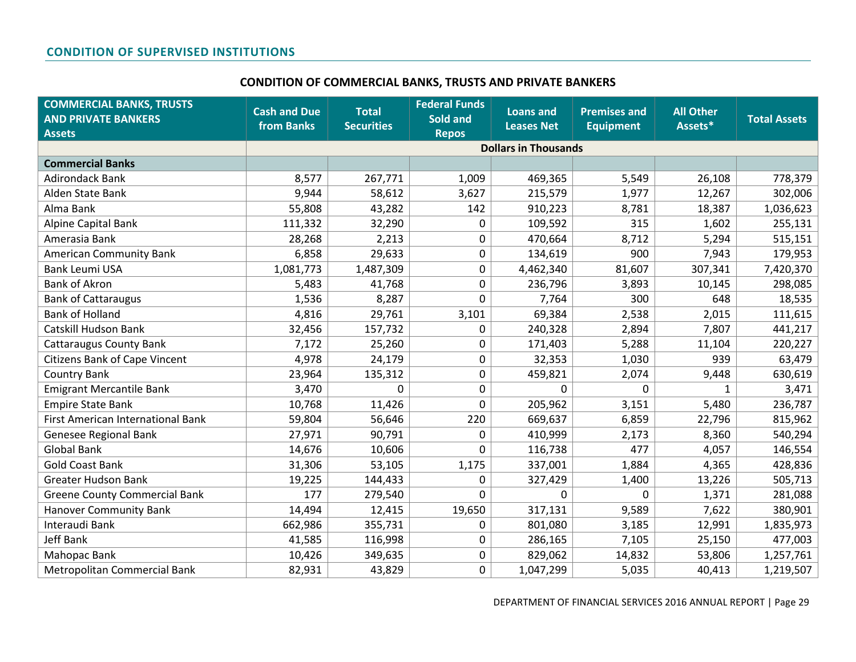#### **CONDITION OF COMMERCIAL BANKS, TRUSTS AND PRIVATE BANKERS**

<span id="page-30-1"></span><span id="page-30-0"></span>

| <b>COMMERCIAL BANKS, TRUSTS</b><br><b>AND PRIVATE BANKERS</b> | <b>Cash and Due</b><br>from Banks | <b>Total</b><br><b>Securities</b> | <b>Federal Funds</b><br>Sold and | <b>Loans and</b><br><b>Leases Net</b> | <b>Premises and</b><br><b>Equipment</b> | <b>All Other</b><br>Assets* | <b>Total Assets</b> |
|---------------------------------------------------------------|-----------------------------------|-----------------------------------|----------------------------------|---------------------------------------|-----------------------------------------|-----------------------------|---------------------|
| <b>Assets</b>                                                 |                                   |                                   | <b>Repos</b>                     | <b>Dollars in Thousands</b>           |                                         |                             |                     |
| <b>Commercial Banks</b>                                       |                                   |                                   |                                  |                                       |                                         |                             |                     |
| <b>Adirondack Bank</b>                                        | 8,577                             | 267,771                           | 1,009                            | 469,365                               | 5,549                                   | 26,108                      | 778,379             |
| Alden State Bank                                              | 9,944                             | 58,612                            | 3,627                            | 215,579                               | 1,977                                   | 12,267                      | 302,006             |
| Alma Bank                                                     | 55,808                            | 43,282                            | 142                              | 910,223                               | 8,781                                   | 18,387                      | 1,036,623           |
| Alpine Capital Bank                                           | 111,332                           | 32,290                            | 0                                | 109,592                               | 315                                     | 1,602                       | 255,131             |
| Amerasia Bank                                                 | 28,268                            | 2,213                             | 0                                | 470,664                               | 8,712                                   | 5,294                       | 515,151             |
| <b>American Community Bank</b>                                | 6,858                             | 29,633                            | 0                                | 134,619                               | 900                                     | 7,943                       | 179,953             |
| <b>Bank Leumi USA</b>                                         | 1,081,773                         | 1,487,309                         | 0                                | 4,462,340                             | 81,607                                  | 307,341                     | 7,420,370           |
| <b>Bank of Akron</b>                                          | 5,483                             | 41,768                            | 0                                | 236,796                               | 3,893                                   | 10,145                      | 298,085             |
| <b>Bank of Cattaraugus</b>                                    | 1,536                             | 8,287                             | 0                                | 7,764                                 | 300                                     | 648                         | 18,535              |
| <b>Bank of Holland</b>                                        | 4,816                             | 29,761                            | 3,101                            | 69,384                                | 2,538                                   | 2,015                       | 111,615             |
| <b>Catskill Hudson Bank</b>                                   | 32,456                            | 157,732                           | 0                                | 240,328                               | 2,894                                   | 7,807                       | 441,217             |
| <b>Cattaraugus County Bank</b>                                | 7,172                             | 25,260                            | 0                                | 171,403                               | 5,288                                   | 11,104                      | 220,227             |
| <b>Citizens Bank of Cape Vincent</b>                          | 4,978                             | 24,179                            | 0                                | 32,353                                | 1,030                                   | 939                         | 63,479              |
| <b>Country Bank</b>                                           | 23,964                            | 135,312                           | 0                                | 459,821                               | 2,074                                   | 9,448                       | 630,619             |
| <b>Emigrant Mercantile Bank</b>                               | 3,470                             | 0                                 | 0                                | 0                                     | 0                                       | $\mathbf{1}$                | 3,471               |
| <b>Empire State Bank</b>                                      | 10,768                            | 11,426                            | 0                                | 205,962                               | 3,151                                   | 5,480                       | 236,787             |
| First American International Bank                             | 59,804                            | 56,646                            | 220                              | 669,637                               | 6,859                                   | 22,796                      | 815,962             |
| Genesee Regional Bank                                         | 27,971                            | 90,791                            | 0                                | 410,999                               | 2,173                                   | 8,360                       | 540,294             |
| <b>Global Bank</b>                                            | 14,676                            | 10,606                            | 0                                | 116,738                               | 477                                     | 4,057                       | 146,554             |
| <b>Gold Coast Bank</b>                                        | 31,306                            | 53,105                            | 1,175                            | 337,001                               | 1,884                                   | 4,365                       | 428,836             |
| <b>Greater Hudson Bank</b>                                    | 19,225                            | 144,433                           | 0                                | 327,429                               | 1,400                                   | 13,226                      | 505,713             |
| <b>Greene County Commercial Bank</b>                          | 177                               | 279,540                           | 0                                | 0                                     | $\mathbf 0$                             | 1,371                       | 281,088             |
| <b>Hanover Community Bank</b>                                 | 14,494                            | 12,415                            | 19,650                           | 317,131                               | 9,589                                   | 7,622                       | 380,901             |
| Interaudi Bank                                                | 662,986                           | 355,731                           | 0                                | 801,080                               | 3,185                                   | 12,991                      | 1,835,973           |
| <b>Jeff Bank</b>                                              | 41,585                            | 116,998                           | 0                                | 286,165                               | 7,105                                   | 25,150                      | 477,003             |
| Mahopac Bank                                                  | 10,426                            | 349,635                           | 0                                | 829,062                               | 14,832                                  | 53,806                      | 1,257,761           |
| Metropolitan Commercial Bank                                  | 82,931                            | 43,829                            | 0                                | 1,047,299                             | 5,035                                   | 40,413                      | 1,219,507           |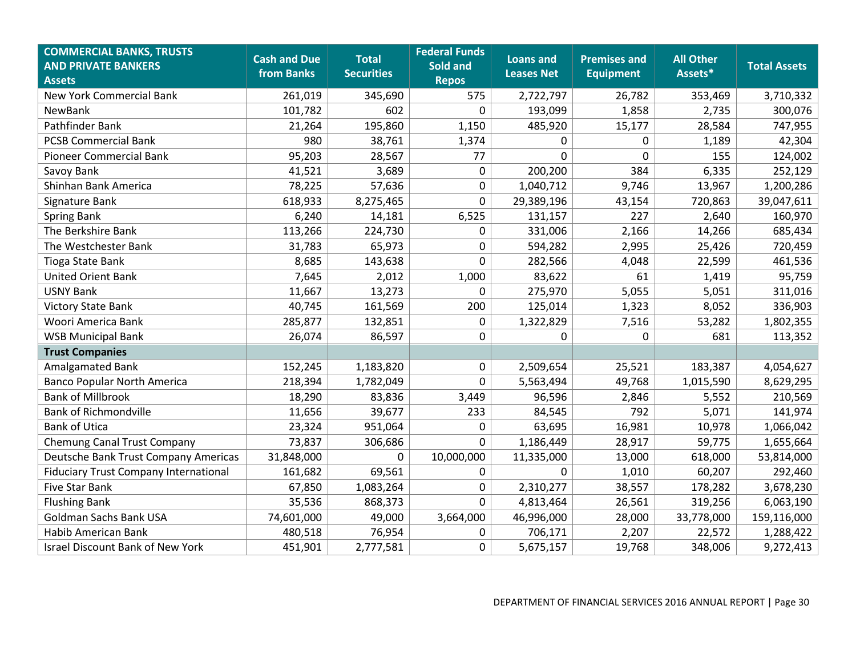| <b>COMMERCIAL BANKS, TRUSTS</b><br><b>AND PRIVATE BANKERS</b><br><b>Assets</b> | <b>Cash and Due</b><br>from Banks | <b>Total</b><br><b>Securities</b> | <b>Federal Funds</b><br>Sold and<br><b>Repos</b> | <b>Loans and</b><br><b>Leases Net</b> | <b>Premises and</b><br><b>Equipment</b> | <b>All Other</b><br>Assets* | <b>Total Assets</b> |
|--------------------------------------------------------------------------------|-----------------------------------|-----------------------------------|--------------------------------------------------|---------------------------------------|-----------------------------------------|-----------------------------|---------------------|
| <b>New York Commercial Bank</b>                                                | 261,019                           | 345,690                           | 575                                              | 2,722,797                             | 26,782                                  | 353,469                     | 3,710,332           |
| NewBank                                                                        | 101,782                           | 602                               | 0                                                | 193,099                               | 1,858                                   | 2,735                       | 300,076             |
| Pathfinder Bank                                                                | 21,264                            | 195,860                           | 1,150                                            | 485,920                               | 15,177                                  | 28,584                      | 747,955             |
| <b>PCSB Commercial Bank</b>                                                    | 980                               | 38,761                            | 1,374                                            | 0                                     | 0                                       | 1,189                       | 42,304              |
| <b>Pioneer Commercial Bank</b>                                                 | 95,203                            | 28,567                            | 77                                               | $\mathbf{0}$                          | $\overline{0}$                          | 155                         | 124,002             |
| Savoy Bank                                                                     | 41,521                            | 3,689                             | $\mathbf 0$                                      | 200,200                               | 384                                     | 6,335                       | 252,129             |
| Shinhan Bank America                                                           | 78,225                            | 57,636                            | $\pmb{0}$                                        | 1,040,712                             | 9,746                                   | 13,967                      | 1,200,286           |
| Signature Bank                                                                 | 618,933                           | 8,275,465                         | $\mathbf 0$                                      | 29,389,196                            | 43,154                                  | 720,863                     | 39,047,611          |
| <b>Spring Bank</b>                                                             | 6,240                             | 14,181                            | 6,525                                            | 131,157                               | 227                                     | 2,640                       | 160,970             |
| The Berkshire Bank                                                             | 113,266                           | 224,730                           | 0                                                | 331,006                               | 2,166                                   | 14,266                      | 685,434             |
| The Westchester Bank                                                           | 31,783                            | 65,973                            | $\mathbf 0$                                      | 594,282                               | 2,995                                   | 25,426                      | 720,459             |
| Tioga State Bank                                                               | 8,685                             | 143,638                           | $\mathbf 0$                                      | 282,566                               | 4,048                                   | 22,599                      | 461,536             |
| <b>United Orient Bank</b>                                                      | 7,645                             | 2,012                             | 1,000                                            | 83,622                                | 61                                      | 1,419                       | 95,759              |
| <b>USNY Bank</b>                                                               | 11,667                            | 13,273                            | $\mathbf 0$                                      | 275,970                               | 5,055                                   | 5,051                       | 311,016             |
| <b>Victory State Bank</b>                                                      | 40,745                            | 161,569                           | 200                                              | 125,014                               | 1,323                                   | 8,052                       | 336,903             |
| Woori America Bank                                                             | 285,877                           | 132,851                           | $\pmb{0}$                                        | 1,322,829                             | 7,516                                   | 53,282                      | 1,802,355           |
| <b>WSB Municipal Bank</b>                                                      | 26,074                            | 86,597                            | $\mathbf 0$                                      | 0                                     | $\mathbf 0$                             | 681                         | 113,352             |
| <b>Trust Companies</b>                                                         |                                   |                                   |                                                  |                                       |                                         |                             |                     |
| Amalgamated Bank                                                               | 152,245                           | 1,183,820                         | $\mathbf 0$                                      | 2,509,654                             | 25,521                                  | 183,387                     | 4,054,627           |
| <b>Banco Popular North America</b>                                             | 218,394                           | 1,782,049                         | 0                                                | 5,563,494                             | 49,768                                  | 1,015,590                   | 8,629,295           |
| <b>Bank of Millbrook</b>                                                       | 18,290                            | 83,836                            | 3,449                                            | 96,596                                | 2,846                                   | 5,552                       | 210,569             |
| <b>Bank of Richmondville</b>                                                   | 11,656                            | 39,677                            | 233                                              | 84,545                                | 792                                     | 5,071                       | 141,974             |
| <b>Bank of Utica</b>                                                           | 23,324                            | 951,064                           | $\mathbf 0$                                      | 63,695                                | 16,981                                  | 10,978                      | 1,066,042           |
| <b>Chemung Canal Trust Company</b>                                             | 73,837                            | 306,686                           | 0                                                | 1,186,449                             | 28,917                                  | 59,775                      | 1,655,664           |
| Deutsche Bank Trust Company Americas                                           | 31,848,000                        | $\Omega$                          | 10,000,000                                       | 11,335,000                            | 13,000                                  | 618,000                     | 53,814,000          |
| <b>Fiduciary Trust Company International</b>                                   | 161,682                           | 69,561                            | $\pmb{0}$                                        | $\Omega$                              | 1,010                                   | 60,207                      | 292,460             |
| Five Star Bank                                                                 | 67,850                            | 1,083,264                         | $\mathbf 0$                                      | 2,310,277                             | 38,557                                  | 178,282                     | 3,678,230           |
| <b>Flushing Bank</b>                                                           | 35,536                            | 868,373                           | $\boldsymbol{0}$                                 | 4,813,464                             | 26,561                                  | 319,256                     | 6,063,190           |
| <b>Goldman Sachs Bank USA</b>                                                  | 74,601,000                        | 49,000                            | 3,664,000                                        | 46,996,000                            | 28,000                                  | 33,778,000                  | 159,116,000         |
| Habib American Bank                                                            | 480,518                           | 76,954                            | 0                                                | 706,171                               | 2,207                                   | 22,572                      | 1,288,422           |
| <b>Israel Discount Bank of New York</b>                                        | 451,901                           | 2,777,581                         | $\boldsymbol{0}$                                 | 5,675,157                             | 19,768                                  | 348,006                     | 9,272,413           |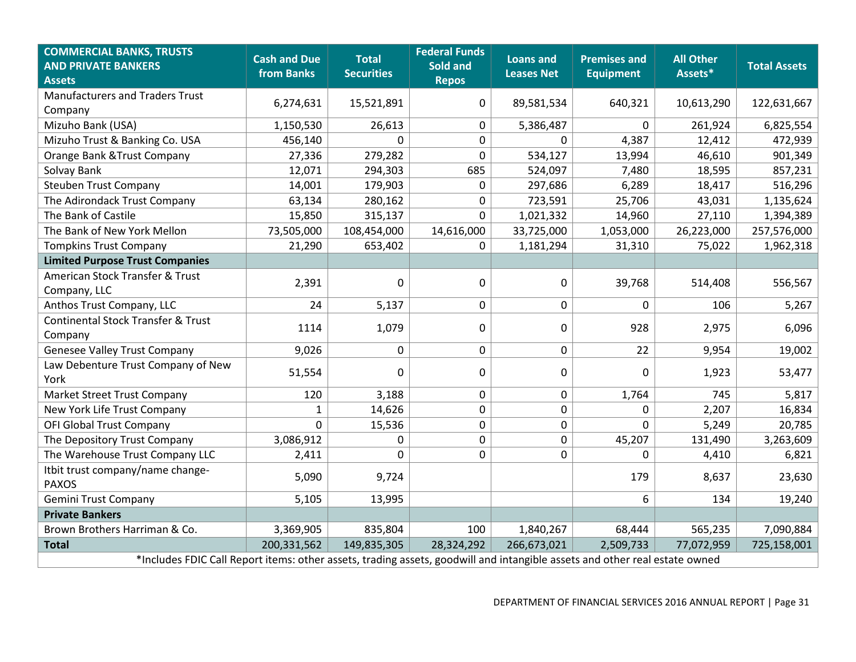| <b>COMMERCIAL BANKS, TRUSTS</b><br><b>AND PRIVATE BANKERS</b><br><b>Assets</b>                                             | <b>Cash and Due</b><br>from Banks | <b>Total</b><br><b>Securities</b> | <b>Federal Funds</b><br>Sold and<br><b>Repos</b> | <b>Loans and</b><br><b>Leases Net</b> | <b>Premises and</b><br><b>Equipment</b> | <b>All Other</b><br>Assets* | <b>Total Assets</b> |  |  |
|----------------------------------------------------------------------------------------------------------------------------|-----------------------------------|-----------------------------------|--------------------------------------------------|---------------------------------------|-----------------------------------------|-----------------------------|---------------------|--|--|
| <b>Manufacturers and Traders Trust</b><br>Company                                                                          | 6,274,631                         | 15,521,891                        | 0                                                | 89,581,534                            | 640,321                                 | 10,613,290                  | 122,631,667         |  |  |
| Mizuho Bank (USA)                                                                                                          | 1,150,530                         | 26,613                            | 0                                                | 5,386,487                             | $\Omega$                                | 261,924                     | 6,825,554           |  |  |
| Mizuho Trust & Banking Co. USA                                                                                             | 456,140                           | 0                                 | 0                                                | 0                                     | 4,387                                   | 12,412                      | 472,939             |  |  |
| Orange Bank & Trust Company                                                                                                | 27,336                            | 279,282                           | 0                                                | 534,127                               | 13,994                                  | 46,610                      | 901,349             |  |  |
| Solvay Bank                                                                                                                | 12,071                            | 294,303                           | 685                                              | 524,097                               | 7,480                                   | 18,595                      | 857,231             |  |  |
| <b>Steuben Trust Company</b>                                                                                               | 14,001                            | 179,903                           | $\mathbf 0$                                      | 297,686                               | 6,289                                   | 18,417                      | 516,296             |  |  |
| The Adirondack Trust Company                                                                                               | 63,134                            | 280,162                           | $\mathbf 0$                                      | 723,591                               | 25,706                                  | 43,031                      | 1,135,624           |  |  |
| The Bank of Castile                                                                                                        | 15,850                            | 315,137                           | $\mathbf 0$                                      | 1,021,332                             | 14,960                                  | 27,110                      | 1,394,389           |  |  |
| The Bank of New York Mellon                                                                                                | 73,505,000                        | 108,454,000                       | 14,616,000                                       | 33,725,000                            | 1,053,000                               | 26,223,000                  | 257,576,000         |  |  |
| <b>Tompkins Trust Company</b>                                                                                              | 21,290                            | 653,402                           | $\mathbf{0}$                                     | 1,181,294                             | 31,310                                  | 75,022                      | 1,962,318           |  |  |
| <b>Limited Purpose Trust Companies</b>                                                                                     |                                   |                                   |                                                  |                                       |                                         |                             |                     |  |  |
| American Stock Transfer & Trust<br>Company, LLC                                                                            | 2,391                             | $\Omega$                          | $\mathbf 0$                                      | 0                                     | 39,768                                  | 514,408                     | 556,567             |  |  |
| Anthos Trust Company, LLC                                                                                                  | 24                                | 5,137                             | $\pmb{0}$                                        | $\pmb{0}$                             | $\mathbf{0}$                            | 106                         | 5,267               |  |  |
| <b>Continental Stock Transfer &amp; Trust</b><br>Company                                                                   | 1114                              | 1,079                             | $\mathbf 0$                                      | 0                                     | 928                                     | 2,975                       | 6,096               |  |  |
| <b>Genesee Valley Trust Company</b>                                                                                        | 9,026                             | $\mathbf 0$                       | $\pmb{0}$                                        | $\pmb{0}$                             | 22                                      | 9,954                       | 19,002              |  |  |
| Law Debenture Trust Company of New<br>York                                                                                 | 51,554                            | $\Omega$                          | 0                                                | 0                                     | $\Omega$                                | 1,923                       | 53,477              |  |  |
| Market Street Trust Company                                                                                                | 120                               | 3,188                             | $\mathbf 0$                                      | 0                                     | 1,764                                   | 745                         | 5,817               |  |  |
| New York Life Trust Company                                                                                                | $\mathbf{1}$                      | 14,626                            | 0                                                | 0                                     | $\mathbf 0$                             | 2,207                       | 16,834              |  |  |
| <b>OFI Global Trust Company</b>                                                                                            | $\Omega$                          | 15,536                            | $\pmb{0}$                                        | $\pmb{0}$                             | $\Omega$                                | 5,249                       | 20,785              |  |  |
| The Depository Trust Company                                                                                               | 3,086,912                         | 0                                 | $\mathbf 0$                                      | $\mathbf 0$                           | 45,207                                  | 131,490                     | 3,263,609           |  |  |
| The Warehouse Trust Company LLC                                                                                            | 2,411                             | $\Omega$                          | $\mathbf 0$                                      | 0                                     | $\Omega$                                | 4,410                       | 6,821               |  |  |
| Itbit trust company/name change-<br><b>PAXOS</b>                                                                           | 5,090                             | 9,724                             |                                                  |                                       | 179                                     | 8,637                       | 23,630              |  |  |
| <b>Gemini Trust Company</b>                                                                                                | 5,105                             | 13,995                            |                                                  |                                       | 6                                       | 134                         | 19,240              |  |  |
| <b>Private Bankers</b>                                                                                                     |                                   |                                   |                                                  |                                       |                                         |                             |                     |  |  |
| Brown Brothers Harriman & Co.                                                                                              | 3,369,905                         | 835,804                           | 100                                              | 1,840,267                             | 68,444                                  | 565,235                     | 7,090,884           |  |  |
| <b>Total</b>                                                                                                               | 200,331,562                       | 149,835,305                       | 28,324,292                                       | 266,673,021                           | 2,509,733                               | 77,072,959                  | 725,158,001         |  |  |
| *Includes FDIC Call Report items: other assets, trading assets, goodwill and intangible assets and other real estate owned |                                   |                                   |                                                  |                                       |                                         |                             |                     |  |  |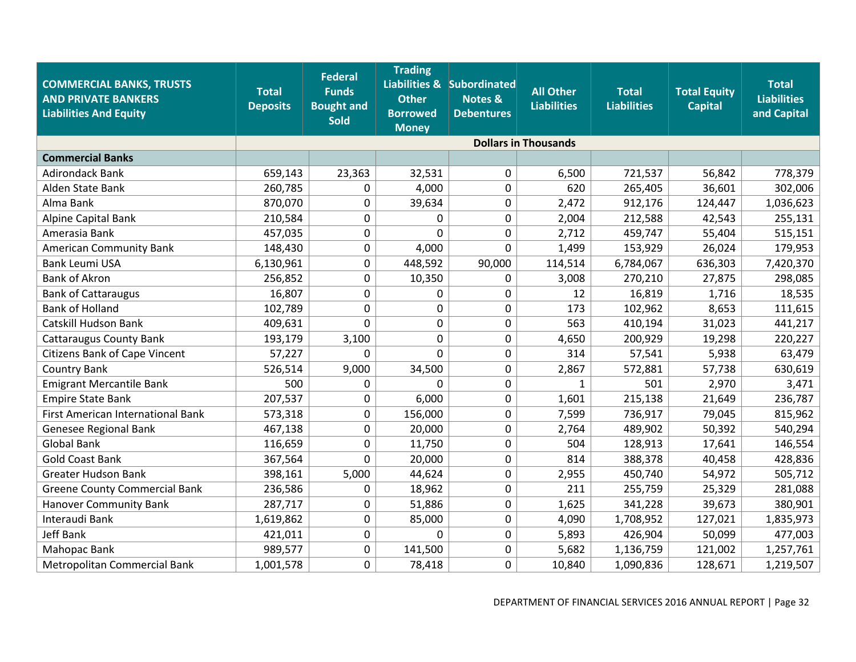| <b>COMMERCIAL BANKS, TRUSTS</b><br><b>AND PRIVATE BANKERS</b><br><b>Liabilities And Equity</b> | <b>Total</b><br><b>Deposits</b> | <b>Federal</b><br><b>Funds</b><br><b>Bought and</b><br><b>Sold</b> | <b>Trading</b><br><b>Other</b><br><b>Borrowed</b><br><b>Money</b> | <b>Liabilities &amp; Subordinated</b><br><b>Notes &amp;</b><br><b>Debentures</b> | <b>All Other</b><br><b>Liabilities</b> | <b>Total</b><br><b>Liabilities</b> | <b>Total Equity</b><br><b>Capital</b> | <b>Total</b><br><b>Liabilities</b><br>and Capital |
|------------------------------------------------------------------------------------------------|---------------------------------|--------------------------------------------------------------------|-------------------------------------------------------------------|----------------------------------------------------------------------------------|----------------------------------------|------------------------------------|---------------------------------------|---------------------------------------------------|
|                                                                                                |                                 |                                                                    |                                                                   |                                                                                  | <b>Dollars in Thousands</b>            |                                    |                                       |                                                   |
| <b>Commercial Banks</b>                                                                        |                                 |                                                                    |                                                                   |                                                                                  |                                        |                                    |                                       |                                                   |
| <b>Adirondack Bank</b>                                                                         | 659,143                         | 23,363                                                             | 32,531                                                            | 0                                                                                | 6,500                                  | 721,537                            | 56,842                                | 778,379                                           |
| Alden State Bank                                                                               | 260,785                         | 0                                                                  | 4,000                                                             | 0                                                                                | 620                                    | 265,405                            | 36,601                                | 302,006                                           |
| Alma Bank                                                                                      | 870,070                         | 0                                                                  | 39,634                                                            | 0                                                                                | 2,472                                  | 912,176                            | 124,447                               | 1,036,623                                         |
| Alpine Capital Bank                                                                            | 210,584                         | 0                                                                  | 0                                                                 | 0                                                                                | 2,004                                  | 212,588                            | 42,543                                | 255,131                                           |
| Amerasia Bank                                                                                  | 457,035                         | 0                                                                  | $\Omega$                                                          | 0                                                                                | 2,712                                  | 459,747                            | 55,404                                | 515,151                                           |
| <b>American Community Bank</b>                                                                 | 148,430                         | 0                                                                  | 4,000                                                             | 0                                                                                | 1,499                                  | 153,929                            | 26,024                                | 179,953                                           |
| <b>Bank Leumi USA</b>                                                                          | 6,130,961                       | 0                                                                  | 448,592                                                           | 90,000                                                                           | 114,514                                | 6,784,067                          | 636,303                               | 7,420,370                                         |
| <b>Bank of Akron</b>                                                                           | 256,852                         | 0                                                                  | 10,350                                                            | 0                                                                                | 3,008                                  | 270,210                            | 27,875                                | 298,085                                           |
| <b>Bank of Cattaraugus</b>                                                                     | 16,807                          | 0                                                                  | 0                                                                 | 0                                                                                | 12                                     | 16,819                             | 1,716                                 | 18,535                                            |
| <b>Bank of Holland</b>                                                                         | 102,789                         | 0                                                                  | 0                                                                 | 0                                                                                | 173                                    | 102,962                            | 8,653                                 | 111,615                                           |
| Catskill Hudson Bank                                                                           | 409,631                         | 0                                                                  | 0                                                                 | 0                                                                                | 563                                    | 410,194                            | 31,023                                | 441,217                                           |
| <b>Cattaraugus County Bank</b>                                                                 | 193,179                         | 3,100                                                              | 0                                                                 | 0                                                                                | 4,650                                  | 200,929                            | 19,298                                | 220,227                                           |
| <b>Citizens Bank of Cape Vincent</b>                                                           | 57,227                          | 0                                                                  | 0                                                                 | 0                                                                                | 314                                    | 57,541                             | 5,938                                 | 63,479                                            |
| <b>Country Bank</b>                                                                            | 526,514                         | 9,000                                                              | 34,500                                                            | 0                                                                                | 2,867                                  | 572,881                            | 57,738                                | 630,619                                           |
| <b>Emigrant Mercantile Bank</b>                                                                | 500                             | 0                                                                  | 0                                                                 | 0                                                                                | $\mathbf{1}$                           | 501                                | 2,970                                 | 3,471                                             |
| <b>Empire State Bank</b>                                                                       | 207,537                         | 0                                                                  | 6,000                                                             | 0                                                                                | 1,601                                  | 215,138                            | 21,649                                | 236,787                                           |
| First American International Bank                                                              | 573,318                         | 0                                                                  | 156,000                                                           | 0                                                                                | 7,599                                  | 736,917                            | 79,045                                | 815,962                                           |
| Genesee Regional Bank                                                                          | 467,138                         | 0                                                                  | 20,000                                                            | 0                                                                                | 2,764                                  | 489,902                            | 50,392                                | 540,294                                           |
| <b>Global Bank</b>                                                                             | 116,659                         | 0                                                                  | 11,750                                                            | 0                                                                                | 504                                    | 128,913                            | 17,641                                | 146,554                                           |
| <b>Gold Coast Bank</b>                                                                         | 367,564                         | 0                                                                  | 20,000                                                            | 0                                                                                | 814                                    | 388,378                            | 40,458                                | 428,836                                           |
| <b>Greater Hudson Bank</b>                                                                     | 398,161                         | 5,000                                                              | 44,624                                                            | 0                                                                                | 2,955                                  | 450,740                            | 54,972                                | 505,712                                           |
| <b>Greene County Commercial Bank</b>                                                           | 236,586                         | 0                                                                  | 18,962                                                            | 0                                                                                | 211                                    | 255,759                            | 25,329                                | 281,088                                           |
| <b>Hanover Community Bank</b>                                                                  | 287,717                         | 0                                                                  | 51,886                                                            | 0                                                                                | 1,625                                  | 341,228                            | 39,673                                | 380,901                                           |
| Interaudi Bank                                                                                 | 1,619,862                       | 0                                                                  | 85,000                                                            | 0                                                                                | 4,090                                  | 1,708,952                          | 127,021                               | 1,835,973                                         |
| <b>Jeff Bank</b>                                                                               | 421,011                         | 0                                                                  | $\Omega$                                                          | 0                                                                                | 5,893                                  | 426,904                            | 50,099                                | 477,003                                           |
| Mahopac Bank                                                                                   | 989,577                         | 0                                                                  | 141,500                                                           | 0                                                                                | 5,682                                  | 1,136,759                          | 121,002                               | 1,257,761                                         |
| Metropolitan Commercial Bank                                                                   | 1,001,578                       | 0                                                                  | 78,418                                                            | 0                                                                                | 10,840                                 | 1,090,836                          | 128,671                               | 1,219,507                                         |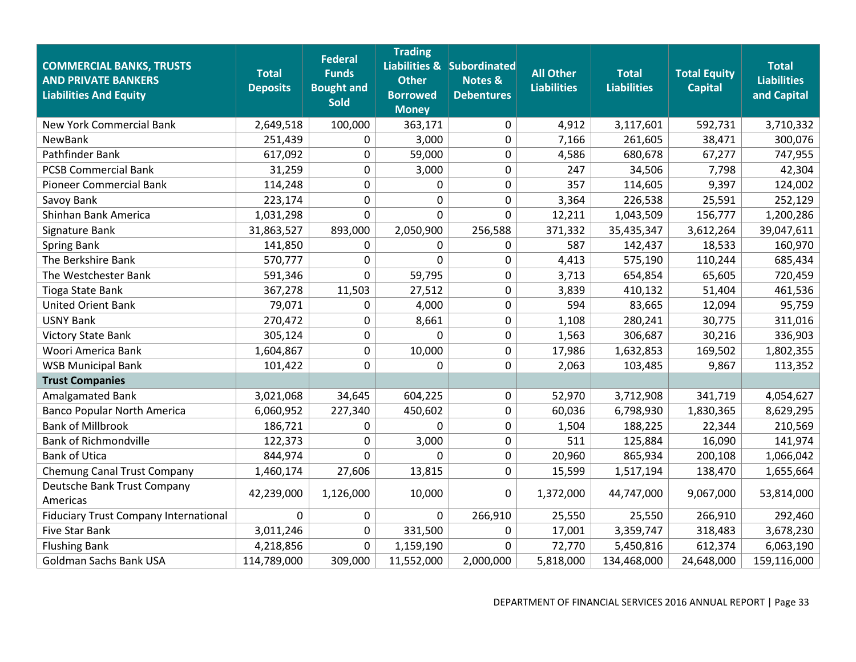| <b>COMMERCIAL BANKS, TRUSTS</b><br><b>AND PRIVATE BANKERS</b><br><b>Liabilities And Equity</b> | <b>Total</b><br><b>Deposits</b> | <b>Federal</b><br><b>Funds</b><br><b>Bought and</b><br><b>Sold</b> | <b>Trading</b><br><b>Other</b><br><b>Borrowed</b><br><b>Money</b> | Liabilities & Subordinated<br><b>Notes &amp;</b><br><b>Debentures</b> | <b>All Other</b><br><b>Liabilities</b> | <b>Total</b><br><b>Liabilities</b> | <b>Total Equity</b><br><b>Capital</b> | <b>Total</b><br><b>Liabilities</b><br>and Capital |
|------------------------------------------------------------------------------------------------|---------------------------------|--------------------------------------------------------------------|-------------------------------------------------------------------|-----------------------------------------------------------------------|----------------------------------------|------------------------------------|---------------------------------------|---------------------------------------------------|
| <b>New York Commercial Bank</b>                                                                | 2,649,518                       | 100,000                                                            | 363,171                                                           | 0                                                                     | 4,912                                  | 3,117,601                          | 592,731                               | 3,710,332                                         |
| NewBank                                                                                        | 251,439                         | 0                                                                  | 3,000                                                             | 0                                                                     | 7,166                                  | 261,605                            | 38,471                                | 300,076                                           |
| Pathfinder Bank                                                                                | 617,092                         | 0                                                                  | 59,000                                                            | 0                                                                     | 4,586                                  | 680,678                            | 67,277                                | 747,955                                           |
| <b>PCSB Commercial Bank</b>                                                                    | 31,259                          | 0                                                                  | 3,000                                                             | 0                                                                     | 247                                    | 34,506                             | 7,798                                 | 42,304                                            |
| <b>Pioneer Commercial Bank</b>                                                                 | 114,248                         | 0                                                                  | 0                                                                 | 0                                                                     | 357                                    | 114,605                            | 9,397                                 | 124,002                                           |
| Savoy Bank                                                                                     | 223,174                         | 0                                                                  | 0                                                                 | 0                                                                     | 3,364                                  | 226,538                            | 25,591                                | 252,129                                           |
| Shinhan Bank America                                                                           | 1,031,298                       | 0                                                                  | 0                                                                 | $\mathbf 0$                                                           | 12,211                                 | 1,043,509                          | 156,777                               | 1,200,286                                         |
| Signature Bank                                                                                 | 31,863,527                      | 893,000                                                            | 2,050,900                                                         | 256,588                                                               | 371,332                                | 35,435,347                         | 3,612,264                             | 39,047,611                                        |
| <b>Spring Bank</b>                                                                             | 141,850                         | 0                                                                  | $\boldsymbol{0}$                                                  | 0                                                                     | 587                                    | 142,437                            | 18,533                                | 160,970                                           |
| The Berkshire Bank                                                                             | 570,777                         | $\overline{0}$                                                     | $\overline{0}$                                                    | 0                                                                     | 4,413                                  | 575,190                            | 110,244                               | 685,434                                           |
| The Westchester Bank                                                                           | 591,346                         | 0                                                                  | 59,795                                                            | 0                                                                     | 3,713                                  | 654,854                            | 65,605                                | 720,459                                           |
| <b>Tioga State Bank</b>                                                                        | 367,278                         | 11,503                                                             | 27,512                                                            | 0                                                                     | 3,839                                  | 410,132                            | 51,404                                | 461,536                                           |
| <b>United Orient Bank</b>                                                                      | 79,071                          | 0                                                                  | 4,000                                                             | 0                                                                     | 594                                    | 83,665                             | 12,094                                | 95,759                                            |
| <b>USNY Bank</b>                                                                               | 270,472                         | 0                                                                  | 8,661                                                             | 0                                                                     | 1,108                                  | 280,241                            | 30,775                                | 311,016                                           |
| <b>Victory State Bank</b>                                                                      | 305,124                         | 0                                                                  | $\overline{0}$                                                    | 0                                                                     | 1,563                                  | 306,687                            | 30,216                                | 336,903                                           |
| Woori America Bank                                                                             | 1,604,867                       | 0                                                                  | 10,000                                                            | 0                                                                     | 17,986                                 | 1,632,853                          | 169,502                               | 1,802,355                                         |
| <b>WSB Municipal Bank</b>                                                                      | 101,422                         | $\mathbf 0$                                                        | 0                                                                 | $\mathbf 0$                                                           | 2,063                                  | 103,485                            | 9,867                                 | 113,352                                           |
| <b>Trust Companies</b>                                                                         |                                 |                                                                    |                                                                   |                                                                       |                                        |                                    |                                       |                                                   |
| Amalgamated Bank                                                                               | 3,021,068                       | 34,645                                                             | 604,225                                                           | 0                                                                     | 52,970                                 | 3,712,908                          | 341,719                               | 4,054,627                                         |
| <b>Banco Popular North America</b>                                                             | 6,060,952                       | 227,340                                                            | 450,602                                                           | 0                                                                     | 60,036                                 | 6,798,930                          | 1,830,365                             | 8,629,295                                         |
| <b>Bank of Millbrook</b>                                                                       | 186,721                         | 0                                                                  | $\Omega$                                                          | 0                                                                     | 1,504                                  | 188,225                            | 22,344                                | 210,569                                           |
| <b>Bank of Richmondville</b>                                                                   | 122,373                         | 0                                                                  | 3,000                                                             | 0                                                                     | 511                                    | 125,884                            | 16,090                                | 141,974                                           |
| <b>Bank of Utica</b>                                                                           | 844,974                         | $\overline{0}$                                                     | $\mathbf 0$                                                       | 0                                                                     | 20,960                                 | 865,934                            | 200,108                               | 1,066,042                                         |
| Chemung Canal Trust Company                                                                    | 1,460,174                       | 27,606                                                             | 13,815                                                            | 0                                                                     | 15,599                                 | 1,517,194                          | 138,470                               | 1,655,664                                         |
| Deutsche Bank Trust Company<br>Americas                                                        | 42,239,000                      | 1,126,000                                                          | 10,000                                                            | 0                                                                     | 1,372,000                              | 44,747,000                         | 9,067,000                             | 53,814,000                                        |
| <b>Fiduciary Trust Company International</b>                                                   | $\Omega$                        | 0                                                                  | $\mathbf 0$                                                       | 266,910                                                               | 25,550                                 | 25,550                             | 266,910                               | 292,460                                           |
| <b>Five Star Bank</b>                                                                          | 3,011,246                       | 0                                                                  | 331,500                                                           | 0                                                                     | 17,001                                 | 3,359,747                          | 318,483                               | 3,678,230                                         |
| <b>Flushing Bank</b>                                                                           | 4,218,856                       | 0                                                                  | 1,159,190                                                         | 0                                                                     | 72,770                                 | 5,450,816                          | 612,374                               | 6,063,190                                         |
| Goldman Sachs Bank USA                                                                         | 114,789,000                     | 309,000                                                            | 11,552,000                                                        | 2,000,000                                                             | 5,818,000                              | 134,468,000                        | 24,648,000                            | 159,116,000                                       |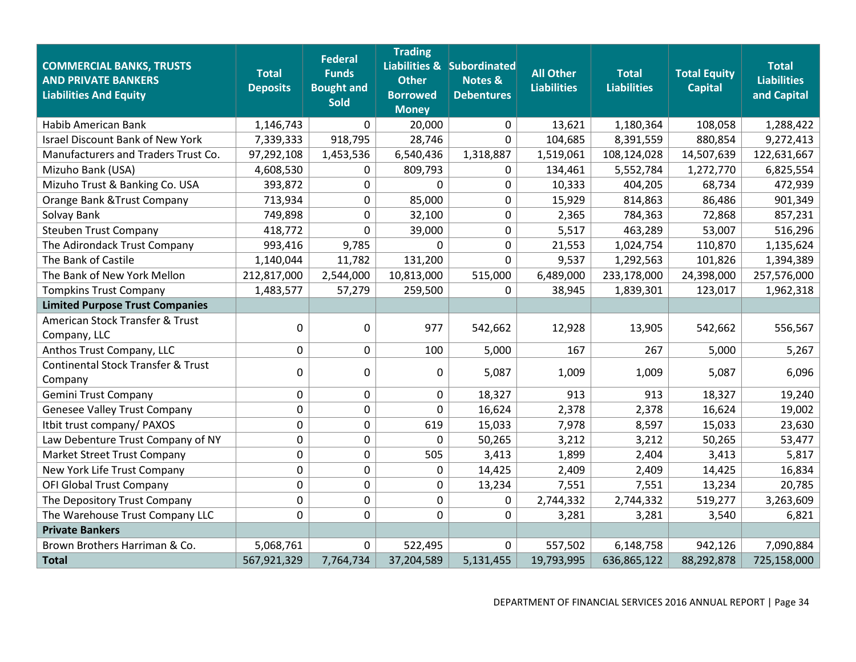| <b>COMMERCIAL BANKS, TRUSTS</b><br><b>AND PRIVATE BANKERS</b><br><b>Liabilities And Equity</b> | <b>Total</b><br><b>Deposits</b> | <b>Federal</b><br><b>Funds</b><br><b>Bought and</b><br><b>Sold</b> | <b>Trading</b><br><b>Other</b><br><b>Borrowed</b><br><b>Money</b> | Liabilities & Subordinated<br><b>Notes &amp;</b><br><b>Debentures</b> | <b>All Other</b><br><b>Liabilities</b> | <b>Total</b><br><b>Liabilities</b> | <b>Total Equity</b><br><b>Capital</b> | <b>Total</b><br><b>Liabilities</b><br>and Capital |
|------------------------------------------------------------------------------------------------|---------------------------------|--------------------------------------------------------------------|-------------------------------------------------------------------|-----------------------------------------------------------------------|----------------------------------------|------------------------------------|---------------------------------------|---------------------------------------------------|
| Habib American Bank                                                                            | 1,146,743                       | $\mathbf{0}$                                                       | 20,000                                                            | $\mathbf 0$                                                           | 13,621                                 | 1,180,364                          | 108,058                               | 1,288,422                                         |
| <b>Israel Discount Bank of New York</b>                                                        | 7,339,333                       | 918,795                                                            | 28,746                                                            | $\Omega$                                                              | 104,685                                | 8,391,559                          | 880,854                               | 9,272,413                                         |
| Manufacturers and Traders Trust Co.                                                            | 97,292,108                      | 1,453,536                                                          | 6,540,436                                                         | 1,318,887                                                             | 1,519,061                              | 108,124,028                        | 14,507,639                            | 122,631,667                                       |
| Mizuho Bank (USA)                                                                              | 4,608,530                       | 0                                                                  | 809,793                                                           | 0                                                                     | 134,461                                | 5,552,784                          | 1,272,770                             | 6,825,554                                         |
| Mizuho Trust & Banking Co. USA                                                                 | 393,872                         | $\mathbf 0$                                                        | $\pmb{0}$                                                         | $\mathbf 0$                                                           | 10,333                                 | 404,205                            | 68,734                                | 472,939                                           |
| Orange Bank & Trust Company                                                                    | 713,934                         | 0                                                                  | 85,000                                                            | $\mathbf 0$                                                           | 15,929                                 | 814,863                            | 86,486                                | 901,349                                           |
| Solvay Bank                                                                                    | 749,898                         | $\mathbf 0$                                                        | 32,100                                                            | $\mathbf 0$                                                           | 2,365                                  | 784,363                            | 72,868                                | 857,231                                           |
| <b>Steuben Trust Company</b>                                                                   | 418,772                         | 0                                                                  | 39,000                                                            | 0                                                                     | 5,517                                  | 463,289                            | 53,007                                | 516,296                                           |
| The Adirondack Trust Company                                                                   | 993,416                         | 9,785                                                              | $\mathbf 0$                                                       | $\mathbf 0$                                                           | 21,553                                 | 1,024,754                          | 110,870                               | 1,135,624                                         |
| The Bank of Castile                                                                            | 1,140,044                       | 11,782                                                             | 131,200                                                           | 0                                                                     | 9,537                                  | 1,292,563                          | 101,826                               | 1,394,389                                         |
| The Bank of New York Mellon                                                                    | 212,817,000                     | 2,544,000                                                          | 10,813,000                                                        | 515,000                                                               | 6,489,000                              | 233,178,000                        | 24,398,000                            | 257,576,000                                       |
| <b>Tompkins Trust Company</b>                                                                  | 1,483,577                       | 57,279                                                             | 259,500                                                           | $\Omega$                                                              | 38,945                                 | 1,839,301                          | 123,017                               | 1,962,318                                         |
| <b>Limited Purpose Trust Companies</b>                                                         |                                 |                                                                    |                                                                   |                                                                       |                                        |                                    |                                       |                                                   |
| American Stock Transfer & Trust<br>Company, LLC                                                | 0                               | $\mathbf 0$                                                        | 977                                                               | 542,662                                                               | 12,928                                 | 13,905                             | 542,662                               | 556,567                                           |
| Anthos Trust Company, LLC                                                                      | 0                               | 0                                                                  | 100                                                               | 5,000                                                                 | 167                                    | 267                                | 5,000                                 | 5,267                                             |
| <b>Continental Stock Transfer &amp; Trust</b><br>Company                                       | 0                               | $\overline{0}$                                                     | $\mathbf 0$                                                       | 5,087                                                                 | 1,009                                  | 1,009                              | 5,087                                 | 6,096                                             |
| <b>Gemini Trust Company</b>                                                                    | 0                               | 0                                                                  | $\mathbf 0$                                                       | 18,327                                                                | 913                                    | 913                                | 18,327                                | 19,240                                            |
| <b>Genesee Valley Trust Company</b>                                                            | 0                               | 0                                                                  | 0                                                                 | 16,624                                                                | 2,378                                  | 2,378                              | 16,624                                | 19,002                                            |
| Itbit trust company/ PAXOS                                                                     | 0                               | $\mathbf 0$                                                        | 619                                                               | 15,033                                                                | 7,978                                  | 8,597                              | 15,033                                | 23,630                                            |
| Law Debenture Trust Company of NY                                                              | 0                               | 0                                                                  | 0                                                                 | 50,265                                                                | 3,212                                  | 3,212                              | 50,265                                | 53,477                                            |
| <b>Market Street Trust Company</b>                                                             | 0                               | 0                                                                  | 505                                                               | 3,413                                                                 | 1,899                                  | 2,404                              | 3,413                                 | 5,817                                             |
| New York Life Trust Company                                                                    | 0                               | $\mathbf 0$                                                        | 0                                                                 | 14,425                                                                | 2,409                                  | 2,409                              | 14,425                                | 16,834                                            |
| OFI Global Trust Company                                                                       | 0                               | $\overline{0}$                                                     | $\mathbf 0$                                                       | 13,234                                                                | 7,551                                  | 7,551                              | 13,234                                | 20,785                                            |
| The Depository Trust Company                                                                   | 0                               | $\mathbf 0$                                                        | $\pmb{0}$                                                         | 0                                                                     | 2,744,332                              | 2,744,332                          | 519,277                               | 3,263,609                                         |
| The Warehouse Trust Company LLC                                                                | 0                               | $\overline{0}$                                                     | $\mathbf 0$                                                       | $\mathbf 0$                                                           | 3,281                                  | 3,281                              | 3,540                                 | 6,821                                             |
| <b>Private Bankers</b>                                                                         |                                 |                                                                    |                                                                   |                                                                       |                                        |                                    |                                       |                                                   |
| Brown Brothers Harriman & Co.                                                                  | 5,068,761                       | $\mathbf 0$                                                        | 522,495                                                           | 0                                                                     | 557,502                                | 6,148,758                          | 942,126                               | 7,090,884                                         |
| <b>Total</b>                                                                                   | 567,921,329                     | 7,764,734                                                          | 37,204,589                                                        | 5,131,455                                                             | 19,793,995                             | 636,865,122                        | 88,292,878                            | 725,158,000                                       |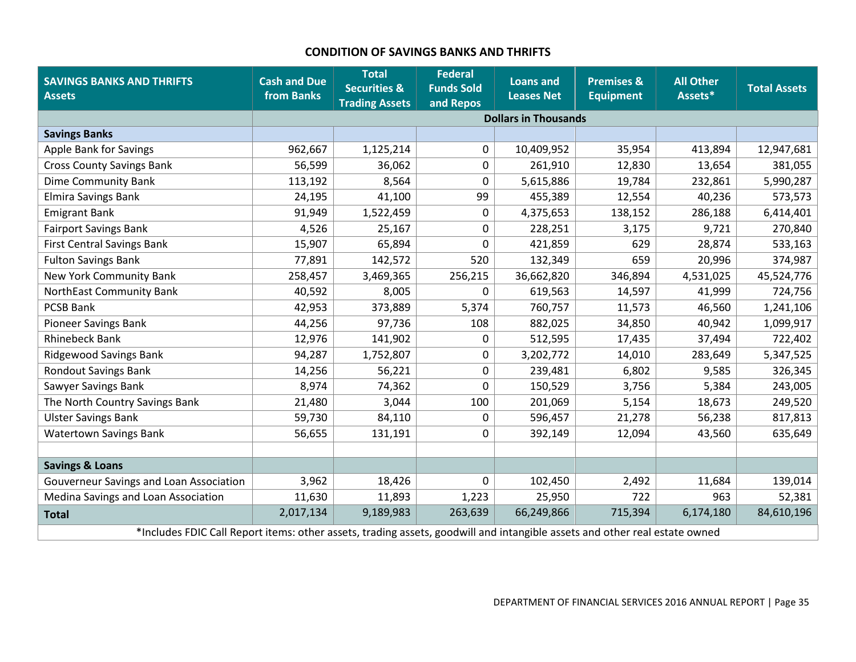# **CONDITION OF SAVINGS BANKS AND THRIFTS**

<span id="page-36-0"></span>

| <b>SAVINGS BANKS AND THRIFTS</b><br><b>Assets</b>                                                                          | <b>Cash and Due</b><br>from Banks | <b>Total</b><br><b>Securities &amp;</b><br><b>Trading Assets</b> | <b>Federal</b><br><b>Funds Sold</b><br>and Repos | <b>Loans and</b><br><b>Leases Net</b> | <b>Premises &amp;</b><br><b>Equipment</b> | <b>All Other</b><br>Assets* | <b>Total Assets</b> |
|----------------------------------------------------------------------------------------------------------------------------|-----------------------------------|------------------------------------------------------------------|--------------------------------------------------|---------------------------------------|-------------------------------------------|-----------------------------|---------------------|
|                                                                                                                            |                                   |                                                                  |                                                  | <b>Dollars in Thousands</b>           |                                           |                             |                     |
| <b>Savings Banks</b>                                                                                                       |                                   |                                                                  |                                                  |                                       |                                           |                             |                     |
| Apple Bank for Savings                                                                                                     | 962,667                           | 1,125,214                                                        | 0                                                | 10,409,952                            | 35,954                                    | 413,894                     | 12,947,681          |
| <b>Cross County Savings Bank</b>                                                                                           | 56,599                            | 36,062                                                           | 0                                                | 261,910                               | 12,830                                    | 13,654                      | 381,055             |
| <b>Dime Community Bank</b>                                                                                                 | 113,192                           | 8,564                                                            | 0                                                | 5,615,886                             | 19,784                                    | 232,861                     | 5,990,287           |
| <b>Elmira Savings Bank</b>                                                                                                 | 24,195                            | 41,100                                                           | 99                                               | 455,389                               | 12,554                                    | 40,236                      | 573,573             |
| <b>Emigrant Bank</b>                                                                                                       | 91,949                            | 1,522,459                                                        | 0                                                | 4,375,653                             | 138,152                                   | 286,188                     | 6,414,401           |
| <b>Fairport Savings Bank</b>                                                                                               | 4,526                             | 25,167                                                           | 0                                                | 228,251                               | 3,175                                     | 9,721                       | 270,840             |
| <b>First Central Savings Bank</b>                                                                                          | 15,907                            | 65,894                                                           | 0                                                | 421,859                               | 629                                       | 28,874                      | 533,163             |
| <b>Fulton Savings Bank</b>                                                                                                 | 77,891                            | 142,572                                                          | 520                                              | 132,349                               | 659                                       | 20,996                      | 374,987             |
| <b>New York Community Bank</b>                                                                                             | 258,457                           | 3,469,365                                                        | 256,215                                          | 36,662,820                            | 346,894                                   | 4,531,025                   | 45,524,776          |
| NorthEast Community Bank                                                                                                   | 40,592                            | 8,005                                                            | $\Omega$                                         | 619,563                               | 14,597                                    | 41,999                      | 724,756             |
| <b>PCSB Bank</b>                                                                                                           | 42,953                            | 373,889                                                          | 5,374                                            | 760,757                               | 11,573                                    | 46,560                      | 1,241,106           |
| Pioneer Savings Bank                                                                                                       | 44,256                            | 97,736                                                           | 108                                              | 882,025                               | 34,850                                    | 40,942                      | 1,099,917           |
| <b>Rhinebeck Bank</b>                                                                                                      | 12,976                            | 141,902                                                          | 0                                                | 512,595                               | 17,435                                    | 37,494                      | 722,402             |
| <b>Ridgewood Savings Bank</b>                                                                                              | 94,287                            | 1,752,807                                                        | 0                                                | 3,202,772                             | 14,010                                    | 283,649                     | 5,347,525           |
| <b>Rondout Savings Bank</b>                                                                                                | 14,256                            | 56,221                                                           | 0                                                | 239,481                               | 6,802                                     | 9,585                       | 326,345             |
| Sawyer Savings Bank                                                                                                        | 8,974                             | 74,362                                                           | $\Omega$                                         | 150,529                               | 3,756                                     | 5,384                       | 243,005             |
| The North Country Savings Bank                                                                                             | 21,480                            | 3,044                                                            | 100                                              | 201,069                               | 5,154                                     | 18,673                      | 249,520             |
| <b>Ulster Savings Bank</b>                                                                                                 | 59,730                            | 84,110                                                           | 0                                                | 596,457                               | 21,278                                    | 56,238                      | 817,813             |
| <b>Watertown Savings Bank</b>                                                                                              | 56,655                            | 131,191                                                          | 0                                                | 392,149                               | 12,094                                    | 43,560                      | 635,649             |
|                                                                                                                            |                                   |                                                                  |                                                  |                                       |                                           |                             |                     |
| <b>Savings &amp; Loans</b>                                                                                                 |                                   |                                                                  |                                                  |                                       |                                           |                             |                     |
| Gouverneur Savings and Loan Association                                                                                    | 3,962                             | 18,426                                                           | 0                                                | 102,450                               | 2,492                                     | 11,684                      | 139,014             |
| Medina Savings and Loan Association                                                                                        | 11,630                            | 11,893                                                           | 1,223                                            | 25,950                                | 722                                       | 963                         | 52,381              |
| <b>Total</b>                                                                                                               | 2,017,134                         | 9,189,983                                                        | 263,639                                          | 66,249,866                            | 715,394                                   | 6,174,180                   | 84,610,196          |
| *Includes FDIC Call Report items: other assets, trading assets, goodwill and intangible assets and other real estate owned |                                   |                                                                  |                                                  |                                       |                                           |                             |                     |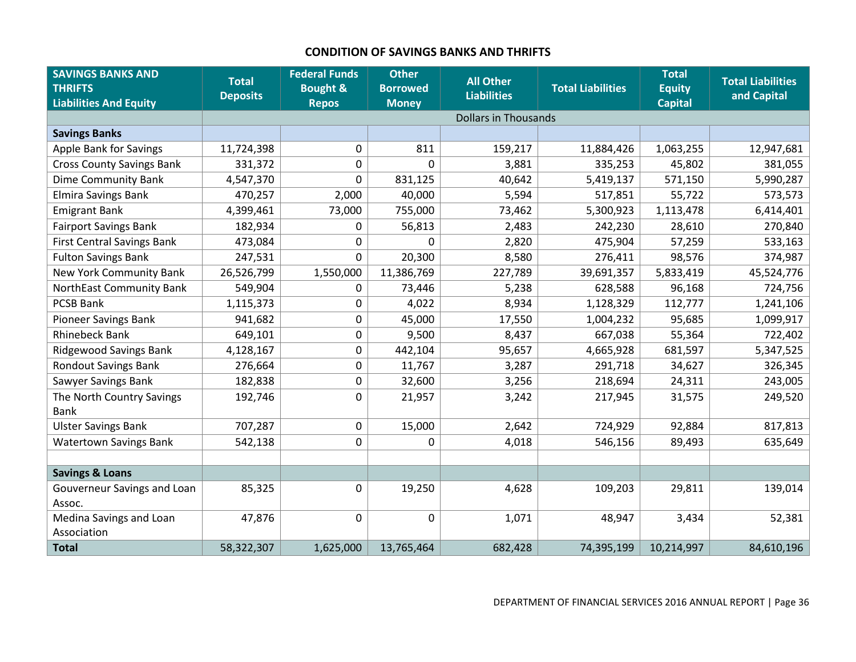# **CONDITION OF SAVINGS BANKS AND THRIFTS**

<span id="page-37-0"></span>

| <b>SAVINGS BANKS AND</b><br><b>THRIFTS</b><br><b>Liabilities And Equity</b> | <b>Total</b><br><b>Deposits</b> | <b>Federal Funds</b><br><b>Bought &amp;</b><br><b>Repos</b> | <b>Other</b><br><b>Borrowed</b><br><b>Money</b> | <b>All Other</b><br><b>Liabilities</b> | <b>Total Liabilities</b> | <b>Total</b><br><b>Equity</b><br><b>Capital</b> | <b>Total Liabilities</b><br>and Capital |
|-----------------------------------------------------------------------------|---------------------------------|-------------------------------------------------------------|-------------------------------------------------|----------------------------------------|--------------------------|-------------------------------------------------|-----------------------------------------|
|                                                                             |                                 |                                                             |                                                 | <b>Dollars in Thousands</b>            |                          |                                                 |                                         |
| <b>Savings Banks</b>                                                        |                                 |                                                             |                                                 |                                        |                          |                                                 |                                         |
| <b>Apple Bank for Savings</b>                                               | 11,724,398                      | 0                                                           | 811                                             | 159,217                                | 11,884,426               | 1,063,255                                       | 12,947,681                              |
| <b>Cross County Savings Bank</b>                                            | 331,372                         | $\pmb{0}$                                                   | 0                                               | 3,881                                  | 335,253                  | 45,802                                          | 381,055                                 |
| <b>Dime Community Bank</b>                                                  | 4,547,370                       | $\mathbf 0$                                                 | 831,125                                         | 40,642                                 | 5,419,137                | 571,150                                         | 5,990,287                               |
| <b>Elmira Savings Bank</b>                                                  | 470,257                         | 2,000                                                       | 40,000                                          | 5,594                                  | 517,851                  | 55,722                                          | 573,573                                 |
| <b>Emigrant Bank</b>                                                        | 4,399,461                       | 73,000                                                      | 755,000                                         | 73,462                                 | 5,300,923                | 1,113,478                                       | 6,414,401                               |
| <b>Fairport Savings Bank</b>                                                | 182,934                         | 0                                                           | 56,813                                          | 2,483                                  | 242,230                  | 28,610                                          | 270,840                                 |
| <b>First Central Savings Bank</b>                                           | 473,084                         | $\pmb{0}$                                                   | 0                                               | 2,820                                  | 475,904                  | 57,259                                          | 533,163                                 |
| <b>Fulton Savings Bank</b>                                                  | 247,531                         | 0                                                           | 20,300                                          | 8,580                                  | 276,411                  | 98,576                                          | 374,987                                 |
| New York Community Bank                                                     | 26,526,799                      | 1,550,000                                                   | 11,386,769                                      | 227,789                                | 39,691,357               | 5,833,419                                       | 45,524,776                              |
| NorthEast Community Bank                                                    | 549,904                         | 0                                                           | 73,446                                          | 5,238                                  | 628,588                  | 96,168                                          | 724,756                                 |
| <b>PCSB Bank</b>                                                            | 1,115,373                       | $\pmb{0}$                                                   | 4,022                                           | 8,934                                  | 1,128,329                | 112,777                                         | 1,241,106                               |
| <b>Pioneer Savings Bank</b>                                                 | 941,682                         | $\pmb{0}$                                                   | 45,000                                          | 17,550                                 | 1,004,232                | 95,685                                          | 1,099,917                               |
| <b>Rhinebeck Bank</b>                                                       | 649,101                         | $\pmb{0}$                                                   | 9,500                                           | 8,437                                  | 667,038                  | 55,364                                          | 722,402                                 |
| <b>Ridgewood Savings Bank</b>                                               | 4,128,167                       | $\pmb{0}$                                                   | 442,104                                         | 95,657                                 | 4,665,928                | 681,597                                         | 5,347,525                               |
| <b>Rondout Savings Bank</b>                                                 | 276,664                         | $\pmb{0}$                                                   | 11,767                                          | 3,287                                  | 291,718                  | 34,627                                          | 326,345                                 |
| Sawyer Savings Bank                                                         | 182,838                         | $\pmb{0}$                                                   | 32,600                                          | 3,256                                  | 218,694                  | 24,311                                          | 243,005                                 |
| The North Country Savings                                                   | 192,746                         | $\mathbf 0$                                                 | 21,957                                          | 3,242                                  | 217,945                  | 31,575                                          | 249,520                                 |
| <b>Bank</b>                                                                 |                                 |                                                             |                                                 |                                        |                          |                                                 |                                         |
| <b>Ulster Savings Bank</b>                                                  | 707,287                         | $\mathbf 0$                                                 | 15,000                                          | 2,642                                  | 724,929                  | 92,884                                          | 817,813                                 |
| <b>Watertown Savings Bank</b>                                               | 542,138                         | 0                                                           | 0                                               | 4,018                                  | 546,156                  | 89,493                                          | 635,649                                 |
|                                                                             |                                 |                                                             |                                                 |                                        |                          |                                                 |                                         |
| <b>Savings &amp; Loans</b>                                                  |                                 |                                                             |                                                 |                                        |                          |                                                 |                                         |
| Gouverneur Savings and Loan                                                 | 85,325                          | $\mathbf 0$                                                 | 19,250                                          | 4,628                                  | 109,203                  | 29,811                                          | 139,014                                 |
| Assoc.                                                                      |                                 |                                                             |                                                 |                                        |                          |                                                 |                                         |
| Medina Savings and Loan<br>Association                                      | 47,876                          | $\pmb{0}$                                                   | 0                                               | 1,071                                  | 48,947                   | 3,434                                           | 52,381                                  |
| <b>Total</b>                                                                | 58,322,307                      | 1,625,000                                                   | 13,765,464                                      | 682,428                                | 74,395,199               | 10,214,997                                      | 84,610,196                              |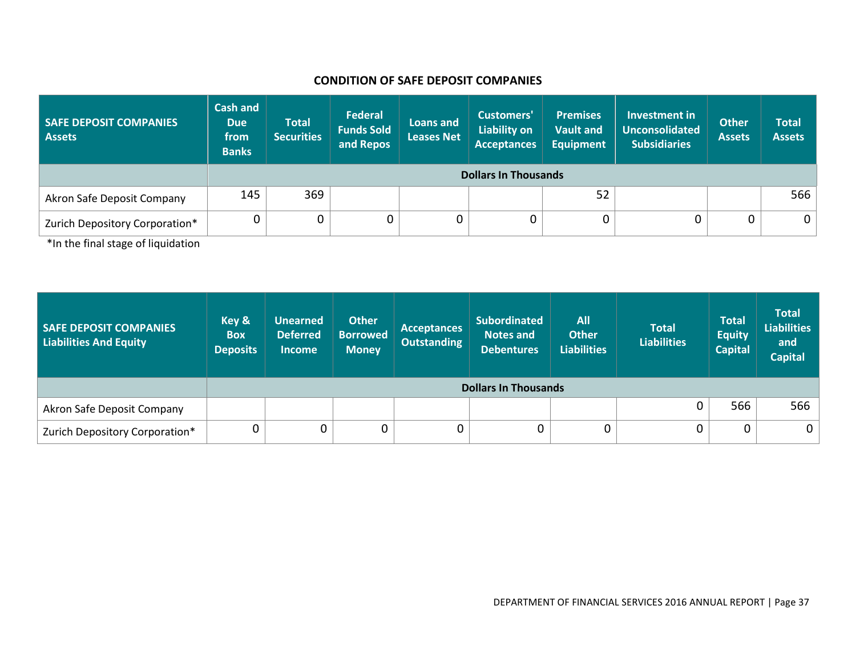#### **CONDITION OF SAFE DEPOSIT COMPANIES**

| <b>SAFE DEPOSIT COMPANIES</b><br><b>Assets</b> | <b>Cash and</b><br><b>Due</b><br>from<br><b>Banks</b> | <b>Total</b><br><b>Securities</b> | <b>Federal</b><br><b>Funds Sold</b><br>and Repos | Loans and<br><b>Leases Net</b> | Customers'<br><b>Liability on</b><br><b>Acceptances</b> | <b>Premises</b><br><b>Vault and</b><br><b>Equipment</b> | Investment in<br><b>Unconsolidated</b><br><b>Subsidiaries</b> | <b>Other</b><br><b>Assets</b> | <b>Total</b><br><b>Assets</b> |  |
|------------------------------------------------|-------------------------------------------------------|-----------------------------------|--------------------------------------------------|--------------------------------|---------------------------------------------------------|---------------------------------------------------------|---------------------------------------------------------------|-------------------------------|-------------------------------|--|
|                                                |                                                       | <b>Dollars In Thousands</b>       |                                                  |                                |                                                         |                                                         |                                                               |                               |                               |  |
| Akron Safe Deposit Company                     | 145                                                   | 369                               |                                                  |                                |                                                         | 52                                                      |                                                               |                               | 566                           |  |
| Zurich Depository Corporation*                 |                                                       | 0                                 | 0                                                |                                |                                                         | $\mathbf 0$                                             |                                                               | 0                             | 0 <sup>1</sup>                |  |

<span id="page-38-0"></span>\*In the final stage of liquidation

| <b>SAFE DEPOSIT COMPANIES</b><br><b>Liabilities And Equity</b> | Key &<br><b>Box</b><br><b>Deposits</b> | <b>Unearned</b><br><b>Deferred</b><br><b>Income</b> | <b>Other</b><br><b>Borrowed</b><br><b>Money</b> | <b>Acceptances</b><br><b>Outstanding</b> | <b>Subordinated</b><br><b>Notes and</b><br><b>Debentures</b> | <b>All</b><br><b>Other</b><br><b>Liabilities</b> | <b>Total</b><br><b>Liabilities</b> | <b>Total</b><br><b>Equity</b><br><b>Capital</b> | <b>Total</b><br><b>Liabilities</b><br>and<br><b>Capital</b> |
|----------------------------------------------------------------|----------------------------------------|-----------------------------------------------------|-------------------------------------------------|------------------------------------------|--------------------------------------------------------------|--------------------------------------------------|------------------------------------|-------------------------------------------------|-------------------------------------------------------------|
|                                                                |                                        | <b>Dollars In Thousands</b>                         |                                                 |                                          |                                                              |                                                  |                                    |                                                 |                                                             |
| Akron Safe Deposit Company                                     |                                        |                                                     |                                                 |                                          |                                                              |                                                  | 0                                  | 566                                             | 566                                                         |
| Zurich Depository Corporation*                                 |                                        |                                                     | 0                                               | 0                                        | $\mathbf 0$                                                  | 0                                                | 0                                  | 0                                               | $\mathbf 0$                                                 |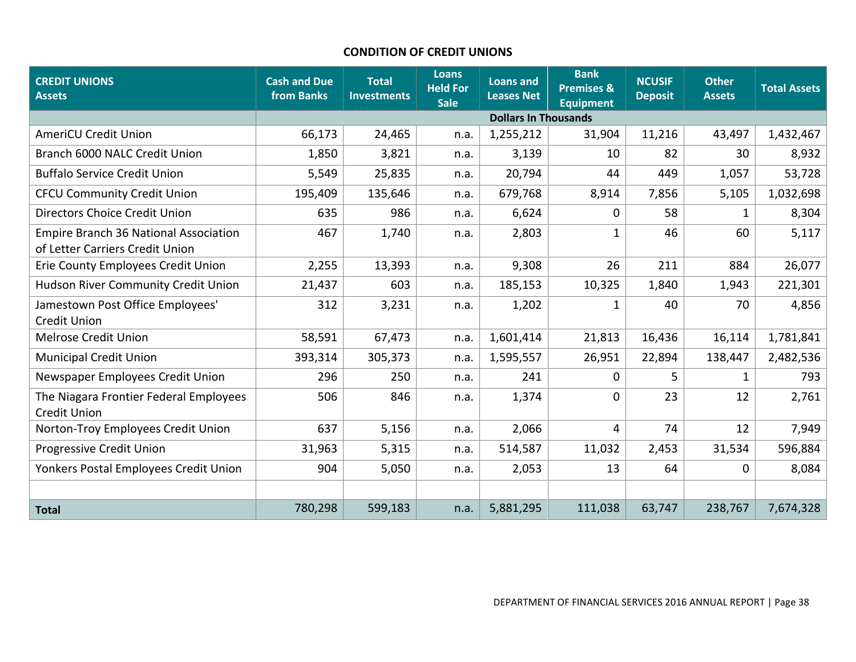#### **CONDITION OF CREDIT UNIONS**

<span id="page-39-0"></span>

| <b>CREDIT UNIONS</b><br><b>Assets</b>                                    | <b>Cash and Due</b><br>from Banks | <b>Total</b><br><b>Investments</b> | <b>Loans</b><br><b>Held For</b><br><b>Sale</b> | <b>Loans and</b><br><b>Leases Net</b> | <b>Bank</b><br><b>Premises &amp;</b><br><b>Equipment</b> | <b>NCUSIF</b><br><b>Deposit</b> | <b>Other</b><br><b>Assets</b> | <b>Total Assets</b> |
|--------------------------------------------------------------------------|-----------------------------------|------------------------------------|------------------------------------------------|---------------------------------------|----------------------------------------------------------|---------------------------------|-------------------------------|---------------------|
|                                                                          |                                   |                                    |                                                | <b>Dollars In Thousands</b>           |                                                          |                                 |                               |                     |
| <b>AmeriCU Credit Union</b>                                              | 66,173                            | 24,465                             | n.a.                                           | 1,255,212                             | 31,904                                                   | 11,216                          | 43,497                        | 1,432,467           |
| Branch 6000 NALC Credit Union                                            | 1,850                             | 3,821                              | n.a.                                           | 3,139                                 | 10                                                       | 82                              | 30                            | 8,932               |
| <b>Buffalo Service Credit Union</b>                                      | 5,549                             | 25,835                             | n.a.                                           | 20,794                                | 44                                                       | 449                             | 1,057                         | 53,728              |
| <b>CFCU Community Credit Union</b>                                       | 195,409                           | 135,646                            | n.a.                                           | 679,768                               | 8,914                                                    | 7,856                           | 5,105                         | 1,032,698           |
| Directors Choice Credit Union                                            | 635                               | 986                                | n.a.                                           | 6,624                                 | $\Omega$                                                 | 58                              | 1                             | 8,304               |
| Empire Branch 36 National Association<br>of Letter Carriers Credit Union | 467                               | 1,740                              | n.a.                                           | 2,803                                 | $\mathbf{1}$                                             | 46                              | 60                            | 5,117               |
| Erie County Employees Credit Union                                       | 2,255                             | 13,393                             | n.a.                                           | 9,308                                 | 26                                                       | 211                             | 884                           | 26,077              |
| Hudson River Community Credit Union                                      | 21,437                            | 603                                | n.a.                                           | 185,153                               | 10,325                                                   | 1,840                           | 1,943                         | 221,301             |
| Jamestown Post Office Employees'<br><b>Credit Union</b>                  | 312                               | 3,231                              | n.a.                                           | 1,202                                 | 1                                                        | 40                              | 70                            | 4,856               |
| <b>Melrose Credit Union</b>                                              | 58,591                            | 67,473                             | n.a.                                           | 1,601,414                             | 21,813                                                   | 16,436                          | 16,114                        | 1,781,841           |
| <b>Municipal Credit Union</b>                                            | 393,314                           | 305,373                            | n.a.                                           | 1,595,557                             | 26,951                                                   | 22,894                          | 138,447                       | 2,482,536           |
| Newspaper Employees Credit Union                                         | 296                               | 250                                | n.a.                                           | 241                                   | $\Omega$                                                 | 5.                              | 1                             | 793                 |
| The Niagara Frontier Federal Employees<br><b>Credit Union</b>            | 506                               | 846                                | n.a.                                           | 1,374                                 | $\Omega$                                                 | 23                              | 12                            | 2,761               |
| Norton-Troy Employees Credit Union                                       | 637                               | 5,156                              | n.a.                                           | 2,066                                 | 4                                                        | 74                              | 12                            | 7,949               |
| Progressive Credit Union                                                 | 31,963                            | 5,315                              | n.a.                                           | 514,587                               | 11,032                                                   | 2,453                           | 31,534                        | 596,884             |
| Yonkers Postal Employees Credit Union                                    | 904                               | 5,050                              | n.a.                                           | 2,053                                 | 13                                                       | 64                              | 0                             | 8,084               |
|                                                                          |                                   |                                    |                                                |                                       |                                                          |                                 |                               |                     |
| <b>Total</b>                                                             | 780,298                           | 599,183                            | n.a.                                           | 5,881,295                             | 111,038                                                  | 63,747                          | 238,767                       | 7,674,328           |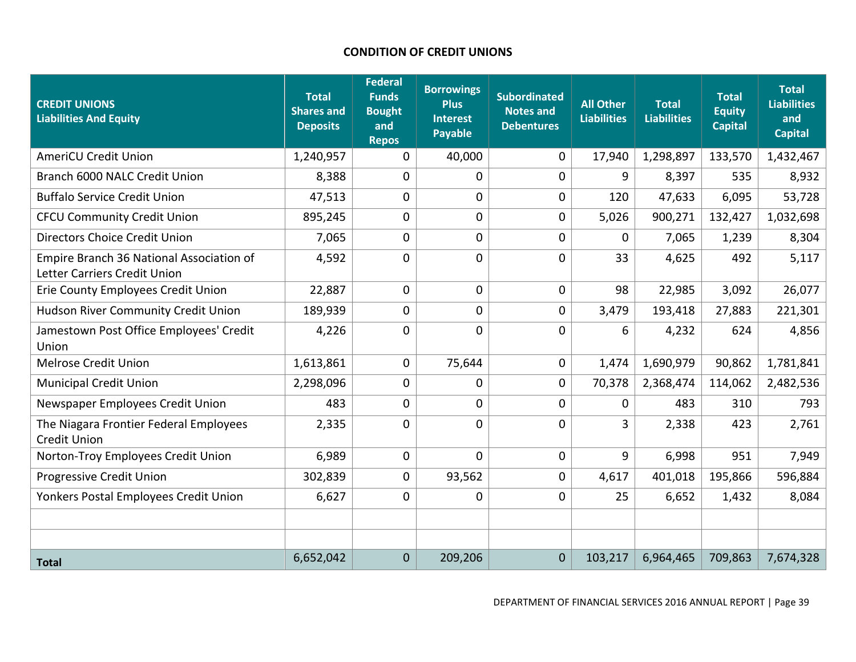# **CONDITION OF CREDIT UNIONS**

<span id="page-40-0"></span>

| <b>CREDIT UNIONS</b><br><b>Liabilities And Equity</b>                    | <b>Total</b><br><b>Shares and</b><br><b>Deposits</b> | <b>Federal</b><br><b>Funds</b><br><b>Bought</b><br>and<br><b>Repos</b> | <b>Borrowings</b><br><b>Plus</b><br><b>Interest</b><br><b>Payable</b> | <b>Subordinated</b><br><b>Notes and</b><br><b>Debentures</b> | <b>All Other</b><br><b>Liabilities</b> | <b>Total</b><br><b>Liabilities</b> | <b>Total</b><br><b>Equity</b><br><b>Capital</b> | <b>Total</b><br><b>Liabilities</b><br>and<br><b>Capital</b> |
|--------------------------------------------------------------------------|------------------------------------------------------|------------------------------------------------------------------------|-----------------------------------------------------------------------|--------------------------------------------------------------|----------------------------------------|------------------------------------|-------------------------------------------------|-------------------------------------------------------------|
| <b>AmeriCU Credit Union</b>                                              | 1,240,957                                            | $\mathbf 0$                                                            | 40,000                                                                | $\overline{0}$                                               | 17,940                                 | 1,298,897                          | 133,570                                         | 1,432,467                                                   |
| Branch 6000 NALC Credit Union                                            | 8,388                                                | $\Omega$                                                               | $\mathbf 0$                                                           | $\overline{0}$                                               | 9                                      | 8,397                              | 535                                             | 8,932                                                       |
| <b>Buffalo Service Credit Union</b>                                      | 47,513                                               | 0                                                                      | $\mathbf 0$                                                           | 0                                                            | 120                                    | 47,633                             | 6,095                                           | 53,728                                                      |
| <b>CFCU Community Credit Union</b>                                       | 895,245                                              | $\mathbf{0}$                                                           | $\mathbf 0$                                                           | 0                                                            | 5,026                                  | 900,271                            | 132,427                                         | 1,032,698                                                   |
| <b>Directors Choice Credit Union</b>                                     | 7,065                                                | 0                                                                      | $\mathbf 0$                                                           | 0                                                            | 0                                      | 7,065                              | 1,239                                           | 8,304                                                       |
| Empire Branch 36 National Association of<br>Letter Carriers Credit Union | 4,592                                                | 0                                                                      | $\mathbf 0$                                                           | 0                                                            | 33                                     | 4,625                              | 492                                             | 5,117                                                       |
| Erie County Employees Credit Union                                       | 22,887                                               | $\mathbf{0}$                                                           | $\mathbf{0}$                                                          | $\overline{0}$                                               | 98                                     | 22,985                             | 3,092                                           | 26,077                                                      |
| <b>Hudson River Community Credit Union</b>                               | 189,939                                              | $\mathbf{0}$                                                           | $\mathbf 0$                                                           | $\mathbf 0$                                                  | 3,479                                  | 193,418                            | 27,883                                          | 221,301                                                     |
| Jamestown Post Office Employees' Credit<br>Union                         | 4,226                                                | 0                                                                      | $\mathbf 0$                                                           | 0                                                            | 6                                      | 4,232                              | 624                                             | 4,856                                                       |
| <b>Melrose Credit Union</b>                                              | 1,613,861                                            | $\mathbf 0$                                                            | 75,644                                                                | $\mathbf 0$                                                  | 1,474                                  | 1,690,979                          | 90,862                                          | 1,781,841                                                   |
| <b>Municipal Credit Union</b>                                            | 2,298,096                                            | $\mathbf{0}$                                                           | $\mathbf 0$                                                           | $\overline{0}$                                               | 70,378                                 | 2,368,474                          | 114,062                                         | 2,482,536                                                   |
| Newspaper Employees Credit Union                                         | 483                                                  | $\mathbf{0}$                                                           | $\mathbf 0$                                                           | 0                                                            | $\mathbf{0}$                           | 483                                | 310                                             | 793                                                         |
| The Niagara Frontier Federal Employees<br><b>Credit Union</b>            | 2,335                                                | $\overline{0}$                                                         | $\mathbf 0$                                                           | $\overline{0}$                                               | 3                                      | 2,338                              | 423                                             | 2,761                                                       |
| Norton-Troy Employees Credit Union                                       | 6,989                                                | $\mathbf 0$                                                            | $\overline{0}$                                                        | 0                                                            | 9                                      | 6,998                              | 951                                             | 7,949                                                       |
| Progressive Credit Union                                                 | 302,839                                              | 0                                                                      | 93,562                                                                | 0                                                            | 4,617                                  | 401,018                            | 195,866                                         | 596,884                                                     |
| Yonkers Postal Employees Credit Union                                    | 6,627                                                | $\mathbf{0}$                                                           | $\mathbf 0$                                                           | $\mathbf 0$                                                  | 25                                     | 6,652                              | 1,432                                           | 8,084                                                       |
|                                                                          |                                                      |                                                                        |                                                                       |                                                              |                                        |                                    |                                                 |                                                             |
|                                                                          |                                                      |                                                                        |                                                                       |                                                              |                                        |                                    |                                                 |                                                             |
| <b>Total</b>                                                             | 6,652,042                                            | $\mathbf{0}$                                                           | 209,206                                                               | $\overline{0}$                                               | 103,217                                | 6,964,465                          | 709,863                                         | 7,674,328                                                   |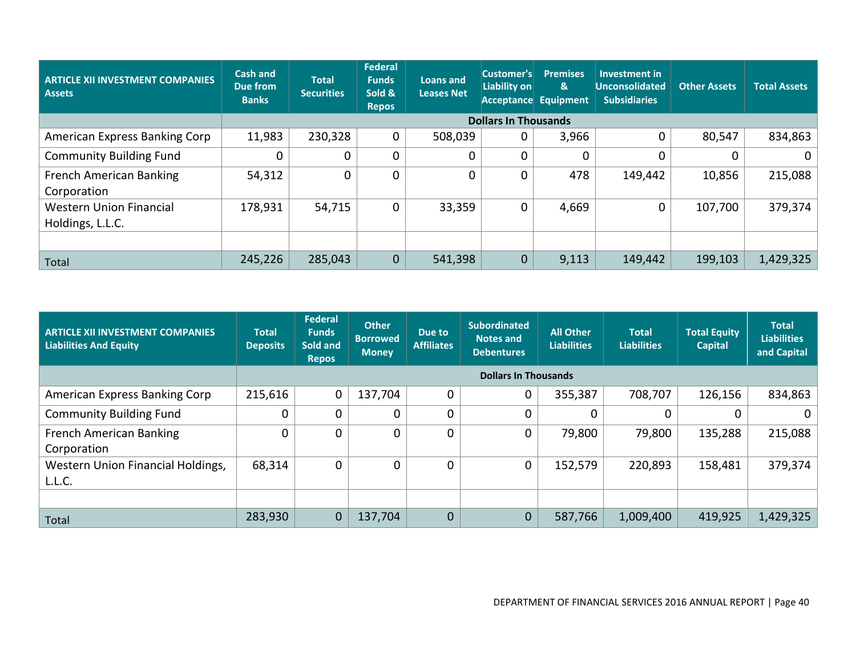| <b>ARTICLE XII INVESTMENT COMPANIES</b><br><b>Assets</b> | <b>Cash and</b><br>Due from<br><b>Banks</b> | <b>Total</b><br><b>Securities</b> | <b>Federal</b><br><b>Funds</b><br>Sold &<br><b>Repos</b> | <b>Loans and</b><br><b>Leases Net</b> | Customer's<br>Liability on  | <b>Premises</b><br>&<br>Acceptance Equipment | Investment in<br><b>Unconsolidated</b><br><b>Subsidiaries</b> | <b>Other Assets</b> | <b>Total Assets</b> |
|----------------------------------------------------------|---------------------------------------------|-----------------------------------|----------------------------------------------------------|---------------------------------------|-----------------------------|----------------------------------------------|---------------------------------------------------------------|---------------------|---------------------|
|                                                          |                                             |                                   |                                                          |                                       | <b>Dollars In Thousands</b> |                                              |                                                               |                     |                     |
| American Express Banking Corp                            | 11,983                                      | 230,328                           | $\mathbf 0$                                              | 508,039                               | 0                           | 3,966                                        |                                                               | 80,547              | 834,863             |
| <b>Community Building Fund</b>                           | $\mathbf 0$                                 | $\Omega$                          | $\mathbf{0}$                                             |                                       |                             | 0                                            |                                                               |                     |                     |
| French American Banking<br>Corporation                   | 54,312                                      | 0                                 | $\mathbf 0$                                              |                                       |                             | 478                                          | 149,442                                                       | 10,856              | 215,088             |
| <b>Western Union Financial</b><br>Holdings, L.L.C.       | 178,931                                     | 54,715                            | $\mathbf 0$                                              | 33,359                                | 0                           | 4,669                                        | $\Omega$                                                      | 107,700             | 379,374             |
|                                                          |                                             |                                   |                                                          |                                       |                             |                                              |                                                               |                     |                     |
| Total                                                    | 245,226                                     | 285,043                           | 0                                                        | 541,398                               | $\mathbf 0$                 | 9,113                                        | 149,442                                                       | 199,103             | 1,429,325           |

| <b>ARTICLE XII INVESTMENT COMPANIES</b><br><b>Liabilities And Equity</b> | <b>Total</b><br><b>Deposits</b> | Federal<br><b>Funds</b><br>Sold and<br><b>Repos</b> | <b>Other</b><br><b>Borrowed</b><br><b>Money</b> | Due to<br><b>Affiliates</b> | <b>Subordinated</b><br>Notes and<br><b>Debentures</b> | <b>All Other</b><br>Liabilities | <b>Total</b><br><b>Liabilities</b> | <b>Total Equity</b><br><b>Capital</b> | <b>Total</b><br><b>Liabilities</b><br>and Capital |  |
|--------------------------------------------------------------------------|---------------------------------|-----------------------------------------------------|-------------------------------------------------|-----------------------------|-------------------------------------------------------|---------------------------------|------------------------------------|---------------------------------------|---------------------------------------------------|--|
|                                                                          |                                 | <b>Dollars In Thousands</b>                         |                                                 |                             |                                                       |                                 |                                    |                                       |                                                   |  |
| American Express Banking Corp                                            | 215,616                         | $\mathbf 0$                                         | 137,704                                         | 0                           | 0                                                     | 355,387                         | 708,707                            | 126,156                               | 834,863                                           |  |
| <b>Community Building Fund</b>                                           | $\mathbf 0$                     | $\Omega$                                            | $\overline{0}$                                  | 0                           |                                                       |                                 | $\Omega$                           | 0                                     | $\Omega$                                          |  |
| <b>French American Banking</b><br>Corporation                            | $\Omega$                        | 0                                                   | 0                                               | 0                           | 0                                                     | 79,800                          | 79,800                             | 135,288                               | 215,088                                           |  |
| Western Union Financial Holdings,<br>L.L.C.                              | 68,314                          | 0                                                   | 0                                               | 0                           | 0                                                     | 152,579                         | 220,893                            | 158,481                               | 379,374                                           |  |
|                                                                          |                                 |                                                     |                                                 |                             |                                                       |                                 |                                    |                                       |                                                   |  |
| Total                                                                    | 283,930                         | $\mathbf 0$                                         | 137,704                                         | 0                           | 0                                                     | 587,766                         | 1,009,400                          | 419,925                               | 1,429,325                                         |  |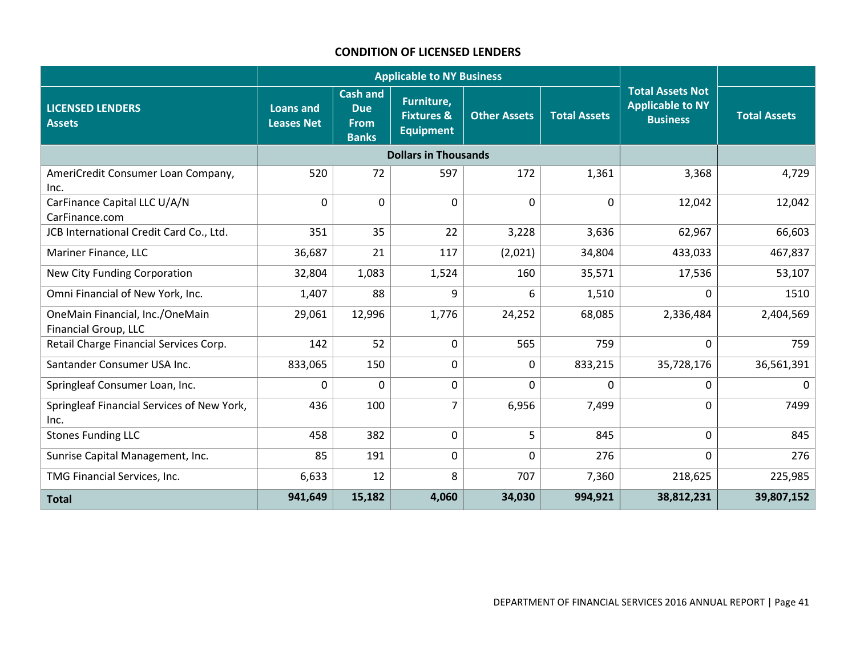#### **CONDITION OF LICENSED LENDERS**

<span id="page-42-0"></span>

|                                                                |                                |                                                              | <b>Applicable to NY Business</b>                        |                     |                     |                                                                       |                     |
|----------------------------------------------------------------|--------------------------------|--------------------------------------------------------------|---------------------------------------------------------|---------------------|---------------------|-----------------------------------------------------------------------|---------------------|
| <b>LICENSED LENDERS</b><br><b>Assets</b>                       | <b>Loans and</b><br>Leases Net | <b>Cash and</b><br><b>Due</b><br><b>From</b><br><b>Banks</b> | Furniture,<br><b>Fixtures &amp;</b><br><b>Equipment</b> | <b>Other Assets</b> | <b>Total Assets</b> | <b>Total Assets Not</b><br><b>Applicable to NY</b><br><b>Business</b> | <b>Total Assets</b> |
|                                                                |                                |                                                              | <b>Dollars in Thousands</b>                             |                     |                     |                                                                       |                     |
| AmeriCredit Consumer Loan Company,<br>Inc.                     | 520                            | 72                                                           | 597                                                     | 172                 | 1,361               | 3,368                                                                 | 4,729               |
| CarFinance Capital LLC U/A/N<br>CarFinance.com                 | $\mathbf 0$                    | $\mathbf 0$                                                  | $\Omega$                                                | $\Omega$            | $\mathbf{0}$        | 12,042                                                                | 12,042              |
| JCB International Credit Card Co., Ltd.                        | 351                            | 35                                                           | 22                                                      | 3,228               | 3,636               | 62,967                                                                | 66,603              |
| Mariner Finance, LLC                                           | 36,687                         | 21                                                           | 117                                                     | (2,021)             | 34,804              | 433,033                                                               | 467,837             |
| New City Funding Corporation                                   | 32,804                         | 1,083                                                        | 1,524                                                   | 160                 | 35,571              | 17,536                                                                | 53,107              |
| Omni Financial of New York, Inc.                               | 1,407                          | 88                                                           | 9                                                       | 6                   | 1,510               | $\Omega$                                                              | 1510                |
| OneMain Financial, Inc./OneMain<br><b>Financial Group, LLC</b> | 29,061                         | 12,996                                                       | 1,776                                                   | 24,252              | 68,085              | 2,336,484                                                             | 2,404,569           |
| Retail Charge Financial Services Corp.                         | 142                            | 52                                                           | $\mathbf 0$                                             | 565                 | 759                 | $\mathbf 0$                                                           | 759                 |
| Santander Consumer USA Inc.                                    | 833,065                        | 150                                                          | $\Omega$                                                | 0                   | 833,215             | 35,728,176                                                            | 36,561,391          |
| Springleaf Consumer Loan, Inc.                                 | 0                              | $\mathbf 0$                                                  | 0                                                       | 0                   | 0                   | 0                                                                     | 0                   |
| Springleaf Financial Services of New York,<br>Inc.             | 436                            | 100                                                          | $\overline{7}$                                          | 6,956               | 7,499               | $\mathbf 0$                                                           | 7499                |
| <b>Stones Funding LLC</b>                                      | 458                            | 382                                                          | $\Omega$                                                | 5                   | 845                 | $\mathbf 0$                                                           | 845                 |
| Sunrise Capital Management, Inc.                               | 85                             | 191                                                          | 0                                                       | 0                   | 276                 | $\mathbf 0$                                                           | 276                 |
| TMG Financial Services, Inc.                                   | 6,633                          | 12                                                           | 8                                                       | 707                 | 7,360               | 218,625                                                               | 225,985             |
| <b>Total</b>                                                   | 941,649                        | 15,182                                                       | 4,060                                                   | 34,030              | 994,921             | 38,812,231                                                            | 39,807,152          |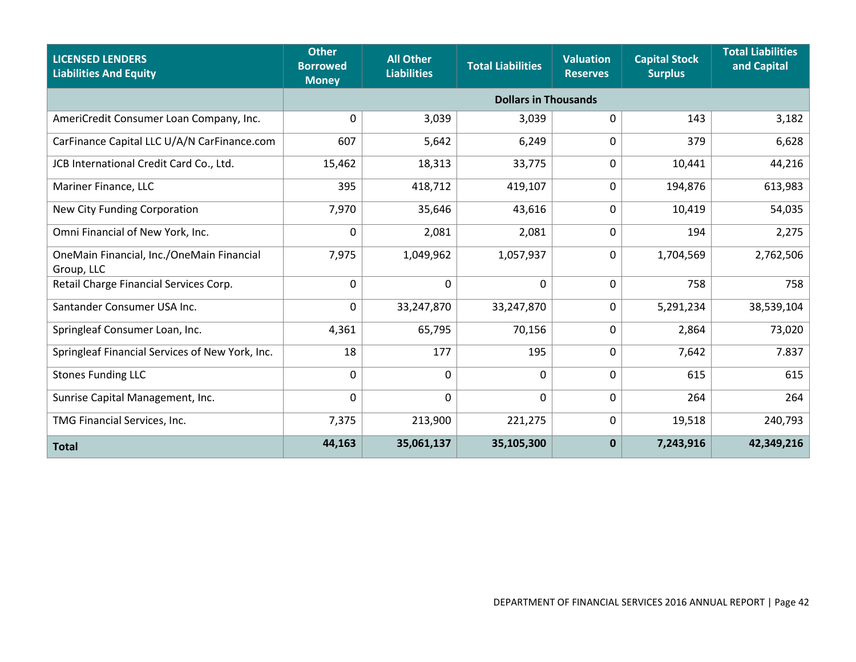| <b>LICENSED LENDERS</b><br><b>Liabilities And Equity</b> | <b>Other</b><br><b>All Other</b><br><b>Borrowed</b><br><b>Liabilities</b><br><b>Money</b> |                             | <b>Total Liabilities</b> | <b>Valuation</b><br><b>Reserves</b> | <b>Capital Stock</b><br><b>Surplus</b> | <b>Total Liabilities</b><br>and Capital |  |  |  |  |
|----------------------------------------------------------|-------------------------------------------------------------------------------------------|-----------------------------|--------------------------|-------------------------------------|----------------------------------------|-----------------------------------------|--|--|--|--|
|                                                          |                                                                                           | <b>Dollars in Thousands</b> |                          |                                     |                                        |                                         |  |  |  |  |
| AmeriCredit Consumer Loan Company, Inc.                  | 0                                                                                         | 3,039                       | 3,039                    | 0                                   | 143                                    | 3,182                                   |  |  |  |  |
| CarFinance Capital LLC U/A/N CarFinance.com              | 607                                                                                       | 5,642                       | 6,249                    | 0                                   | 379                                    | 6,628                                   |  |  |  |  |
| JCB International Credit Card Co., Ltd.                  | 15,462                                                                                    | 18,313                      | 33,775                   | 0                                   | 10,441                                 | 44,216                                  |  |  |  |  |
| Mariner Finance, LLC                                     | 395                                                                                       | 418,712                     | 419,107                  | 0                                   | 194,876                                | 613,983                                 |  |  |  |  |
| New City Funding Corporation                             | 7,970                                                                                     | 35,646                      | 43,616                   | 0                                   | 10,419                                 | 54,035                                  |  |  |  |  |
| Omni Financial of New York, Inc.                         | 0                                                                                         | 2,081                       | 2,081                    | 0                                   | 194                                    | 2,275                                   |  |  |  |  |
| OneMain Financial, Inc./OneMain Financial<br>Group, LLC  | 7,975                                                                                     | 1,049,962                   | 1,057,937                | 0                                   | 1,704,569                              | 2,762,506                               |  |  |  |  |
| Retail Charge Financial Services Corp.                   | 0                                                                                         | $\mathbf 0$                 | $\mathbf 0$              | 0                                   | 758                                    | 758                                     |  |  |  |  |
| Santander Consumer USA Inc.                              | 0                                                                                         | 33,247,870                  | 33,247,870               | 0                                   | 5,291,234                              | 38,539,104                              |  |  |  |  |
| Springleaf Consumer Loan, Inc.                           | 4,361                                                                                     | 65,795                      | 70,156                   | 0                                   | 2,864                                  | 73,020                                  |  |  |  |  |
| Springleaf Financial Services of New York, Inc.          | 18                                                                                        | 177                         | 195                      | 0                                   | 7,642                                  | 7.837                                   |  |  |  |  |
| <b>Stones Funding LLC</b>                                | 0                                                                                         | $\mathbf 0$                 | $\mathbf 0$              | 0                                   | 615                                    | 615                                     |  |  |  |  |
| Sunrise Capital Management, Inc.                         | $\mathbf 0$                                                                               | $\mathbf 0$                 | 0                        | 0                                   | 264                                    | 264                                     |  |  |  |  |
| TMG Financial Services, Inc.                             | 7,375                                                                                     | 213,900                     | 221,275                  | 0                                   | 19,518                                 | 240,793                                 |  |  |  |  |
| <b>Total</b>                                             | 44,163                                                                                    | 35,061,137                  | 35,105,300               | $\mathbf 0$                         | 7,243,916                              | 42,349,216                              |  |  |  |  |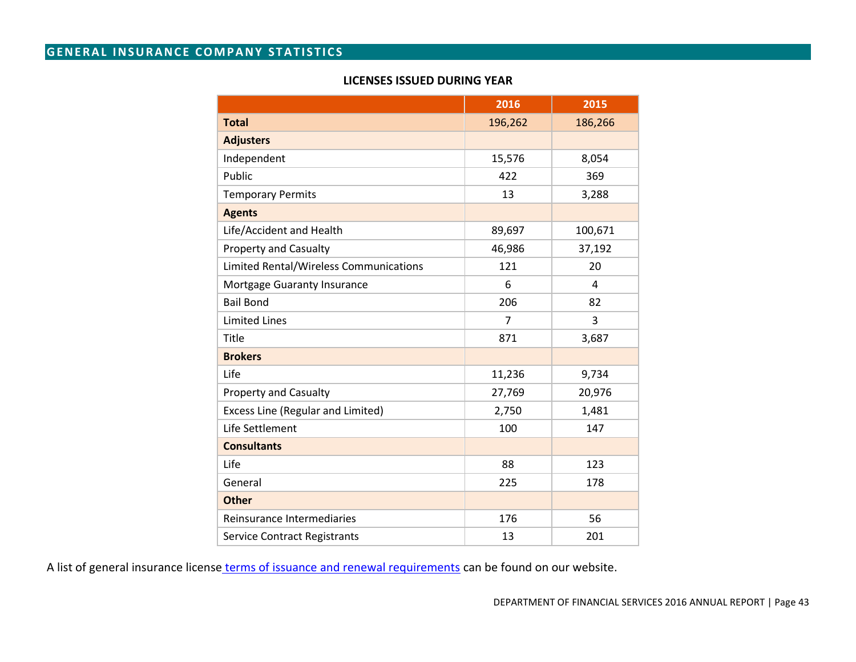# <span id="page-44-0"></span>**GENERAL INSURANCE COMPANY STATISTICS**

#### **LICENSES ISSUED DURING YEAR**

|                                          | 2016           | 2015    |
|------------------------------------------|----------------|---------|
| <b>Total</b>                             | 196,262        | 186,266 |
| <b>Adjusters</b>                         |                |         |
| Independent                              | 15,576         | 8,054   |
| Public                                   | 422            | 369     |
| <b>Temporary Permits</b>                 | 13             | 3,288   |
| <b>Agents</b>                            |                |         |
| Life/Accident and Health                 | 89,697         | 100,671 |
| <b>Property and Casualty</b>             | 46,986         | 37,192  |
| Limited Rental/Wireless Communications   | 121            | 20      |
| Mortgage Guaranty Insurance              | 6              | 4       |
| <b>Bail Bond</b>                         | 206            | 82      |
| <b>Limited Lines</b>                     | $\overline{7}$ | 3       |
| Title                                    | 871            | 3,687   |
| <b>Brokers</b>                           |                |         |
| Life                                     | 11,236         | 9,734   |
| Property and Casualty                    | 27,769         | 20,976  |
| <b>Excess Line (Regular and Limited)</b> | 2,750          | 1,481   |
| Life Settlement                          | 100            | 147     |
| <b>Consultants</b>                       |                |         |
| Life                                     | 88             | 123     |
| General                                  | 225            | 178     |
| <b>Other</b>                             |                |         |
| Reinsurance Intermediaries               | 176            | 56      |
| <b>Service Contract Registrants</b>      | 13             | 201     |

A list of general insurance license [terms of issuance and renewal requirements](http://www.dfs.ny.gov/reportpub/annualrep_license_renewal.htm) can be found on our website.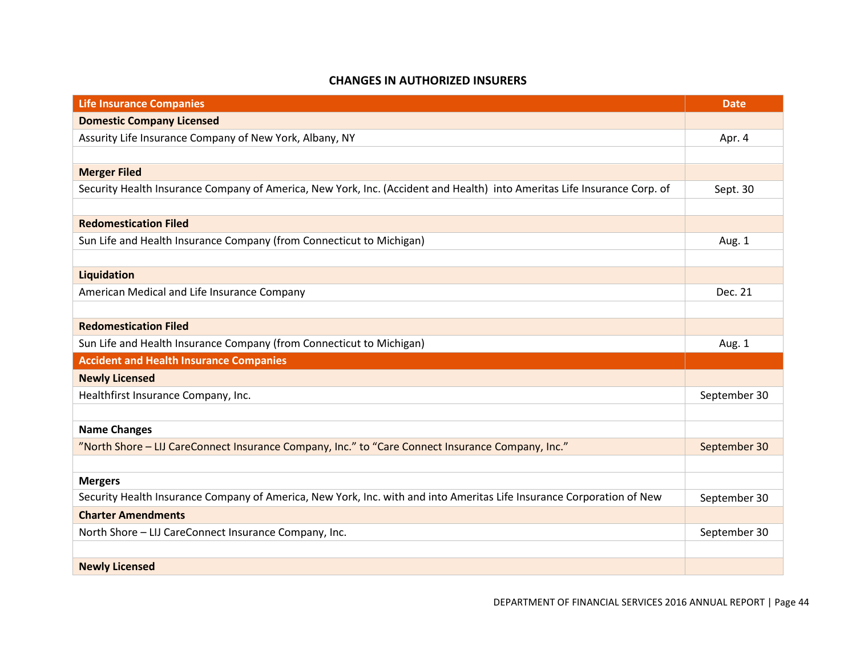#### **CHANGES IN AUTHORIZED INSURERS**

<span id="page-45-0"></span>

| <b>Life Insurance Companies</b>                                                                                          | <b>Date</b>  |
|--------------------------------------------------------------------------------------------------------------------------|--------------|
| <b>Domestic Company Licensed</b>                                                                                         |              |
| Assurity Life Insurance Company of New York, Albany, NY                                                                  | Apr. 4       |
|                                                                                                                          |              |
| <b>Merger Filed</b>                                                                                                      |              |
| Security Health Insurance Company of America, New York, Inc. (Accident and Health) into Ameritas Life Insurance Corp. of | Sept. 30     |
|                                                                                                                          |              |
| <b>Redomestication Filed</b>                                                                                             |              |
| Sun Life and Health Insurance Company (from Connecticut to Michigan)                                                     | Aug. 1       |
|                                                                                                                          |              |
| Liquidation                                                                                                              |              |
| American Medical and Life Insurance Company                                                                              | Dec. 21      |
|                                                                                                                          |              |
| <b>Redomestication Filed</b>                                                                                             |              |
| Sun Life and Health Insurance Company (from Connecticut to Michigan)                                                     | Aug. 1       |
| <b>Accident and Health Insurance Companies</b>                                                                           |              |
| <b>Newly Licensed</b>                                                                                                    |              |
| Healthfirst Insurance Company, Inc.                                                                                      | September 30 |
|                                                                                                                          |              |
| <b>Name Changes</b>                                                                                                      |              |
| "North Shore - LIJ CareConnect Insurance Company, Inc." to "Care Connect Insurance Company, Inc."                        | September 30 |
|                                                                                                                          |              |
| <b>Mergers</b>                                                                                                           |              |
| Security Health Insurance Company of America, New York, Inc. with and into Ameritas Life Insurance Corporation of New    | September 30 |
| <b>Charter Amendments</b>                                                                                                |              |
| North Shore - LIJ CareConnect Insurance Company, Inc.                                                                    | September 30 |
|                                                                                                                          |              |
| <b>Newly Licensed</b>                                                                                                    |              |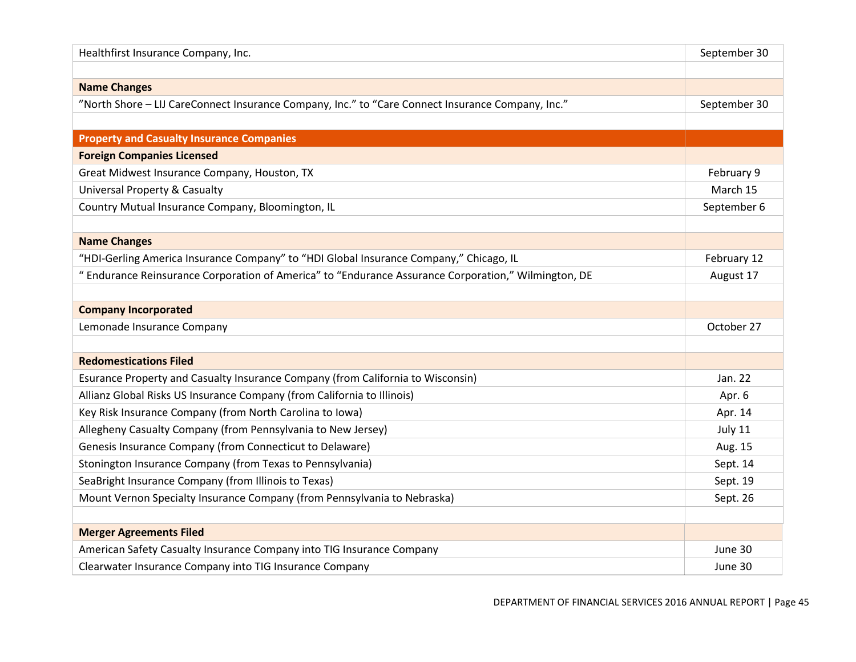| Healthfirst Insurance Company, Inc.                                                                  | September 30 |
|------------------------------------------------------------------------------------------------------|--------------|
|                                                                                                      |              |
| <b>Name Changes</b>                                                                                  |              |
| "North Shore - LIJ CareConnect Insurance Company, Inc." to "Care Connect Insurance Company, Inc."    | September 30 |
|                                                                                                      |              |
| <b>Property and Casualty Insurance Companies</b>                                                     |              |
| <b>Foreign Companies Licensed</b>                                                                    |              |
| Great Midwest Insurance Company, Houston, TX                                                         | February 9   |
| <b>Universal Property &amp; Casualty</b>                                                             | March 15     |
| Country Mutual Insurance Company, Bloomington, IL                                                    | September 6  |
|                                                                                                      |              |
| <b>Name Changes</b>                                                                                  |              |
| "HDI-Gerling America Insurance Company" to "HDI Global Insurance Company," Chicago, IL               | February 12  |
| " Endurance Reinsurance Corporation of America" to "Endurance Assurance Corporation," Wilmington, DE | August 17    |
|                                                                                                      |              |
| <b>Company Incorporated</b>                                                                          |              |
| Lemonade Insurance Company                                                                           | October 27   |
|                                                                                                      |              |
| <b>Redomestications Filed</b>                                                                        |              |
| Esurance Property and Casualty Insurance Company (from California to Wisconsin)                      | Jan. 22      |
| Allianz Global Risks US Insurance Company (from California to Illinois)                              | Apr. 6       |
| Key Risk Insurance Company (from North Carolina to Iowa)                                             | Apr. 14      |
| Allegheny Casualty Company (from Pennsylvania to New Jersey)                                         | July 11      |
| Genesis Insurance Company (from Connecticut to Delaware)                                             | Aug. 15      |
| Stonington Insurance Company (from Texas to Pennsylvania)                                            | Sept. 14     |
| SeaBright Insurance Company (from Illinois to Texas)                                                 | Sept. 19     |
| Mount Vernon Specialty Insurance Company (from Pennsylvania to Nebraska)                             | Sept. 26     |
|                                                                                                      |              |
| <b>Merger Agreements Filed</b>                                                                       |              |
| American Safety Casualty Insurance Company into TIG Insurance Company                                | June 30      |
| Clearwater Insurance Company into TIG Insurance Company                                              | June 30      |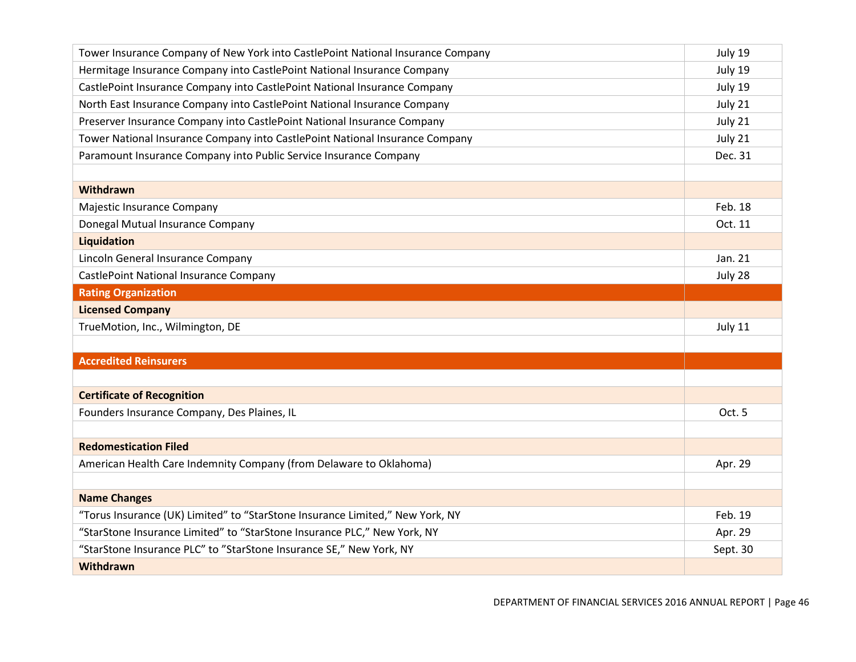| Tower Insurance Company of New York into CastlePoint National Insurance Company | July 19  |
|---------------------------------------------------------------------------------|----------|
| Hermitage Insurance Company into CastlePoint National Insurance Company         | July 19  |
| CastlePoint Insurance Company into CastlePoint National Insurance Company       | July 19  |
| North East Insurance Company into CastlePoint National Insurance Company        | July 21  |
| Preserver Insurance Company into CastlePoint National Insurance Company         | July 21  |
| Tower National Insurance Company into CastlePoint National Insurance Company    | July 21  |
| Paramount Insurance Company into Public Service Insurance Company               | Dec. 31  |
|                                                                                 |          |
| Withdrawn                                                                       |          |
| Majestic Insurance Company                                                      | Feb. 18  |
| Donegal Mutual Insurance Company                                                | Oct. 11  |
| Liquidation                                                                     |          |
| Lincoln General Insurance Company                                               | Jan. 21  |
| CastlePoint National Insurance Company                                          | July 28  |
| <b>Rating Organization</b>                                                      |          |
| <b>Licensed Company</b>                                                         |          |
| TrueMotion, Inc., Wilmington, DE                                                | July 11  |
|                                                                                 |          |
| <b>Accredited Reinsurers</b>                                                    |          |
|                                                                                 |          |
| <b>Certificate of Recognition</b>                                               |          |
| Founders Insurance Company, Des Plaines, IL                                     | Oct. 5   |
|                                                                                 |          |
| <b>Redomestication Filed</b>                                                    |          |
| American Health Care Indemnity Company (from Delaware to Oklahoma)              | Apr. 29  |
|                                                                                 |          |
| <b>Name Changes</b>                                                             |          |
| "Torus Insurance (UK) Limited" to "StarStone Insurance Limited," New York, NY   | Feb. 19  |
| "StarStone Insurance Limited" to "StarStone Insurance PLC," New York, NY        | Apr. 29  |
| "StarStone Insurance PLC" to "StarStone Insurance SE," New York, NY             | Sept. 30 |
| Withdrawn                                                                       |          |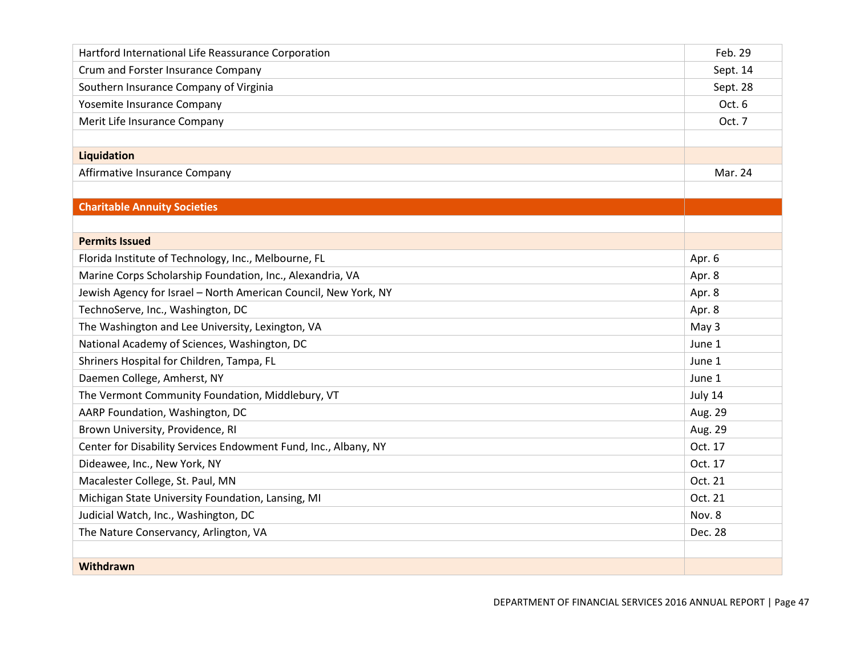| Hartford International Life Reassurance Corporation             | Feb. 29  |
|-----------------------------------------------------------------|----------|
| Crum and Forster Insurance Company                              | Sept. 14 |
| Southern Insurance Company of Virginia                          | Sept. 28 |
| Yosemite Insurance Company                                      | Oct. 6   |
| Merit Life Insurance Company                                    | Oct. 7   |
|                                                                 |          |
| Liquidation                                                     |          |
| Affirmative Insurance Company                                   | Mar. 24  |
|                                                                 |          |
| <b>Charitable Annuity Societies</b>                             |          |
|                                                                 |          |
| <b>Permits Issued</b>                                           |          |
| Florida Institute of Technology, Inc., Melbourne, FL            | Apr. 6   |
| Marine Corps Scholarship Foundation, Inc., Alexandria, VA       | Apr. 8   |
| Jewish Agency for Israel - North American Council, New York, NY | Apr. 8   |
| TechnoServe, Inc., Washington, DC                               | Apr. 8   |
| The Washington and Lee University, Lexington, VA                | May 3    |
| National Academy of Sciences, Washington, DC                    | June 1   |
| Shriners Hospital for Children, Tampa, FL                       | June 1   |
| Daemen College, Amherst, NY                                     | June 1   |
| The Vermont Community Foundation, Middlebury, VT                | July 14  |
| AARP Foundation, Washington, DC                                 | Aug. 29  |
| Brown University, Providence, RI                                | Aug. 29  |
| Center for Disability Services Endowment Fund, Inc., Albany, NY | Oct. 17  |
| Dideawee, Inc., New York, NY                                    | Oct. 17  |
| Macalester College, St. Paul, MN                                | Oct. 21  |
| Michigan State University Foundation, Lansing, MI               | Oct. 21  |
| Judicial Watch, Inc., Washington, DC                            | Nov. 8   |
| The Nature Conservancy, Arlington, VA                           | Dec. 28  |
|                                                                 |          |
| Withdrawn                                                       |          |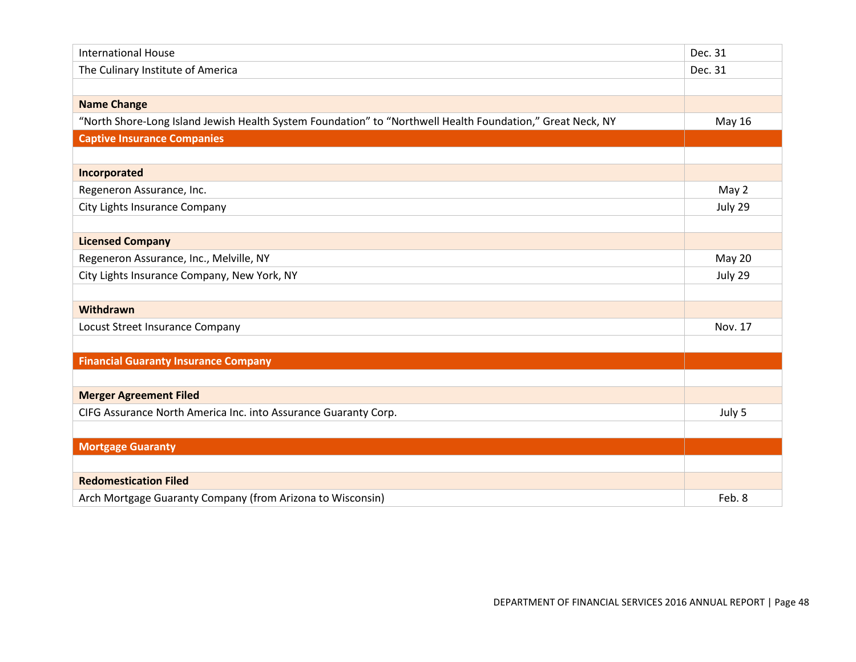| <b>International House</b>                                                                                 | Dec. 31 |
|------------------------------------------------------------------------------------------------------------|---------|
| The Culinary Institute of America                                                                          | Dec. 31 |
|                                                                                                            |         |
| <b>Name Change</b>                                                                                         |         |
| "North Shore-Long Island Jewish Health System Foundation" to "Northwell Health Foundation," Great Neck, NY | May 16  |
| <b>Captive Insurance Companies</b>                                                                         |         |
|                                                                                                            |         |
| Incorporated                                                                                               |         |
| Regeneron Assurance, Inc.                                                                                  | May 2   |
| City Lights Insurance Company                                                                              | July 29 |
|                                                                                                            |         |
| <b>Licensed Company</b>                                                                                    |         |
| Regeneron Assurance, Inc., Melville, NY                                                                    | May 20  |
| City Lights Insurance Company, New York, NY                                                                | July 29 |
|                                                                                                            |         |
| Withdrawn                                                                                                  |         |
| Locust Street Insurance Company                                                                            | Nov. 17 |
|                                                                                                            |         |
| <b>Financial Guaranty Insurance Company</b>                                                                |         |
|                                                                                                            |         |
| <b>Merger Agreement Filed</b>                                                                              |         |
| CIFG Assurance North America Inc. into Assurance Guaranty Corp.                                            | July 5  |
|                                                                                                            |         |
| <b>Mortgage Guaranty</b>                                                                                   |         |
|                                                                                                            |         |
| <b>Redomestication Filed</b>                                                                               |         |
| Arch Mortgage Guaranty Company (from Arizona to Wisconsin)                                                 | Feb. 8  |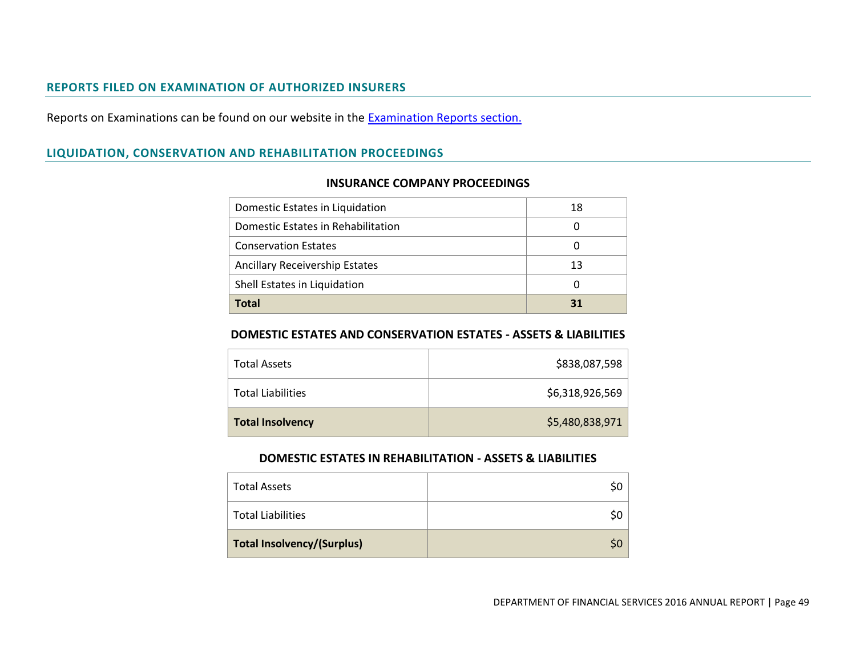#### **REPORTS FILED ON EXAMINATION OF AUTHORIZED INSURERS**

Reports on Examinations can be found on our website in the **Examination Reports section**.

# <span id="page-50-0"></span>**LIQUIDATION, CONSERVATION AND REHABILITATION PROCEEDINGS**

| Domestic Estates in Liquidation       | 18 |
|---------------------------------------|----|
| Domestic Estates in Rehabilitation    |    |
| <b>Conservation Estates</b>           | 0  |
| <b>Ancillary Receivership Estates</b> | 13 |
| Shell Estates in Liquidation          |    |
| Total                                 | 31 |

#### **INSURANCE COMPANY PROCEEDINGS**

#### <span id="page-50-1"></span>**DOMESTIC ESTATES AND CONSERVATION ESTATES - ASSETS & LIABILITIES**

<span id="page-50-2"></span>

| <b>Total Assets</b>      | \$838,087,598   |
|--------------------------|-----------------|
| <b>Total Liabilities</b> | \$6,318,926,569 |
| <b>Total Insolvency</b>  | \$5,480,838,971 |

#### **DOMESTIC ESTATES IN REHABILITATION - ASSETS & LIABILITIES**

<span id="page-50-4"></span><span id="page-50-3"></span>

| <b>Total Assets</b>               |    |
|-----------------------------------|----|
| <b>Total Liabilities</b>          |    |
| <b>Total Insolvency/(Surplus)</b> | S0 |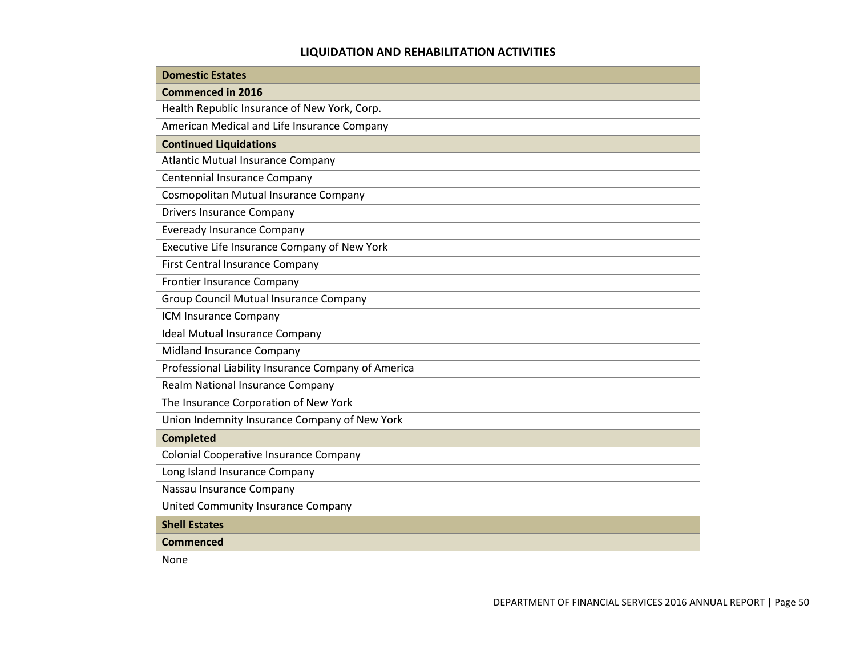# **LIQUIDATION AND REHABILITATION ACTIVITIES**

<span id="page-51-0"></span>

| <b>Domestic Estates</b>                             |
|-----------------------------------------------------|
| <b>Commenced in 2016</b>                            |
| Health Republic Insurance of New York, Corp.        |
| American Medical and Life Insurance Company         |
| <b>Continued Liquidations</b>                       |
| <b>Atlantic Mutual Insurance Company</b>            |
| Centennial Insurance Company                        |
| Cosmopolitan Mutual Insurance Company               |
| <b>Drivers Insurance Company</b>                    |
| <b>Eveready Insurance Company</b>                   |
| Executive Life Insurance Company of New York        |
| First Central Insurance Company                     |
| Frontier Insurance Company                          |
| <b>Group Council Mutual Insurance Company</b>       |
| ICM Insurance Company                               |
| <b>Ideal Mutual Insurance Company</b>               |
| Midland Insurance Company                           |
| Professional Liability Insurance Company of America |
| Realm National Insurance Company                    |
| The Insurance Corporation of New York               |
| Union Indemnity Insurance Company of New York       |
| <b>Completed</b>                                    |
| Colonial Cooperative Insurance Company              |
| Long Island Insurance Company                       |
| Nassau Insurance Company                            |
| <b>United Community Insurance Company</b>           |
| <b>Shell Estates</b>                                |
| Commenced                                           |
| None                                                |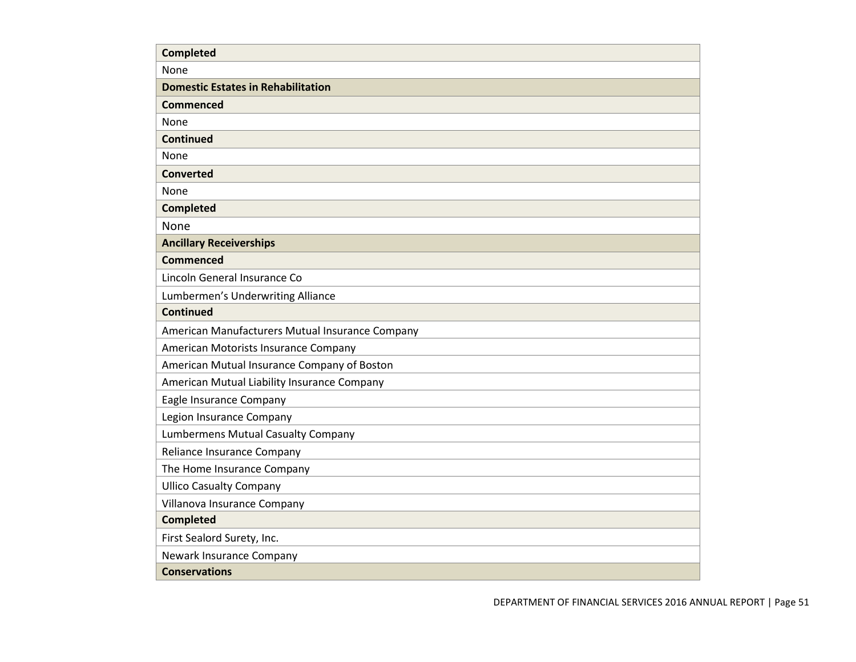| <b>Completed</b>                                |
|-------------------------------------------------|
| None                                            |
| <b>Domestic Estates in Rehabilitation</b>       |
| <b>Commenced</b>                                |
| None                                            |
| <b>Continued</b>                                |
| None                                            |
| <b>Converted</b>                                |
| None                                            |
| <b>Completed</b>                                |
| None                                            |
| <b>Ancillary Receiverships</b>                  |
| <b>Commenced</b>                                |
| Lincoln General Insurance Co                    |
| Lumbermen's Underwriting Alliance               |
| <b>Continued</b>                                |
| American Manufacturers Mutual Insurance Company |
| American Motorists Insurance Company            |
| American Mutual Insurance Company of Boston     |
| American Mutual Liability Insurance Company     |
| Eagle Insurance Company                         |
| Legion Insurance Company                        |
| <b>Lumbermens Mutual Casualty Company</b>       |
| Reliance Insurance Company                      |
| The Home Insurance Company                      |
| <b>Ullico Casualty Company</b>                  |
| Villanova Insurance Company                     |
| <b>Completed</b>                                |
| First Sealord Surety, Inc.                      |
| Newark Insurance Company                        |
| <b>Conservations</b>                            |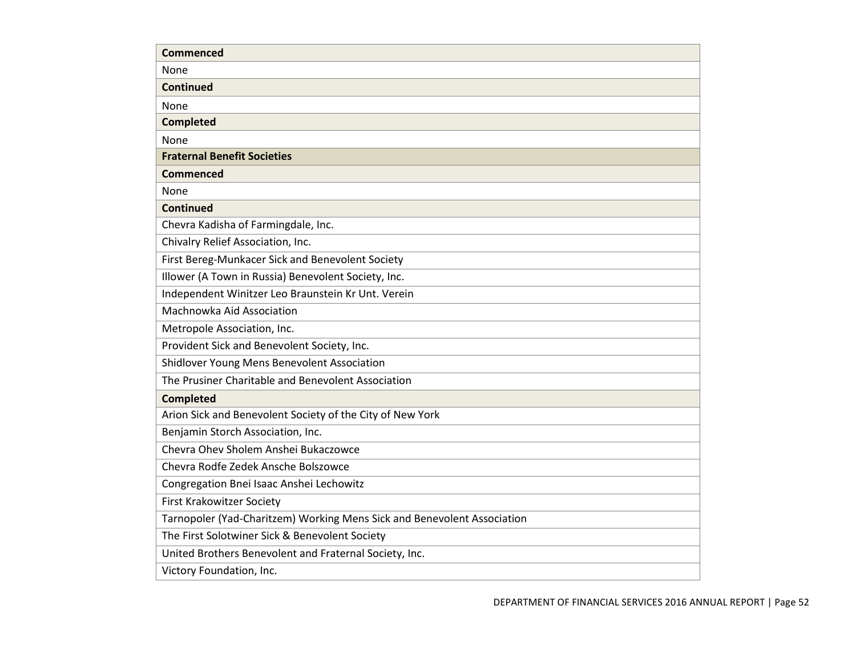| <b>Commenced</b>                                                        |
|-------------------------------------------------------------------------|
| None                                                                    |
| <b>Continued</b>                                                        |
| <b>None</b>                                                             |
| <b>Completed</b>                                                        |
| None                                                                    |
| <b>Fraternal Benefit Societies</b>                                      |
| <b>Commenced</b>                                                        |
| None                                                                    |
| <b>Continued</b>                                                        |
| Chevra Kadisha of Farmingdale, Inc.                                     |
| Chivalry Relief Association, Inc.                                       |
| First Bereg-Munkacer Sick and Benevolent Society                        |
| Illower (A Town in Russia) Benevolent Society, Inc.                     |
| Independent Winitzer Leo Braunstein Kr Unt. Verein                      |
| Machnowka Aid Association                                               |
| Metropole Association, Inc.                                             |
| Provident Sick and Benevolent Society, Inc.                             |
| Shidlover Young Mens Benevolent Association                             |
| The Prusiner Charitable and Benevolent Association                      |
| <b>Completed</b>                                                        |
| Arion Sick and Benevolent Society of the City of New York               |
| Benjamin Storch Association, Inc.                                       |
| Chevra Ohev Sholem Anshei Bukaczowce                                    |
| Chevra Rodfe Zedek Ansche Bolszowce                                     |
| Congregation Bnei Isaac Anshei Lechowitz                                |
| <b>First Krakowitzer Society</b>                                        |
| Tarnopoler (Yad-Charitzem) Working Mens Sick and Benevolent Association |
| The First Solotwiner Sick & Benevolent Society                          |
| United Brothers Benevolent and Fraternal Society, Inc.                  |
| Victory Foundation, Inc.                                                |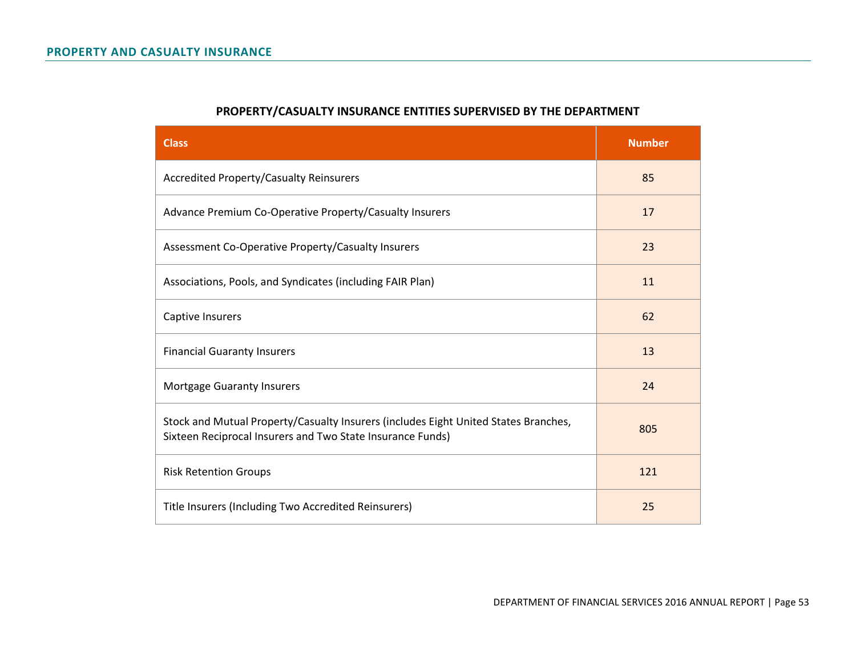<span id="page-54-1"></span><span id="page-54-0"></span>

| <b>Class</b>                                                                                                                                      | <b>Number</b> |
|---------------------------------------------------------------------------------------------------------------------------------------------------|---------------|
| <b>Accredited Property/Casualty Reinsurers</b>                                                                                                    | 85            |
| Advance Premium Co-Operative Property/Casualty Insurers                                                                                           | 17            |
| Assessment Co-Operative Property/Casualty Insurers                                                                                                | 23            |
| Associations, Pools, and Syndicates (including FAIR Plan)                                                                                         | 11            |
| Captive Insurers                                                                                                                                  | 62            |
| <b>Financial Guaranty Insurers</b>                                                                                                                | 13            |
| Mortgage Guaranty Insurers                                                                                                                        | 24            |
| Stock and Mutual Property/Casualty Insurers (includes Eight United States Branches,<br>Sixteen Reciprocal Insurers and Two State Insurance Funds) | 805           |
| <b>Risk Retention Groups</b>                                                                                                                      | 121           |
| Title Insurers (Including Two Accredited Reinsurers)                                                                                              | 25            |

# **PROPERTY/CASUALTY INSURANCE ENTITIES SUPERVISED BY THE DEPARTMENT**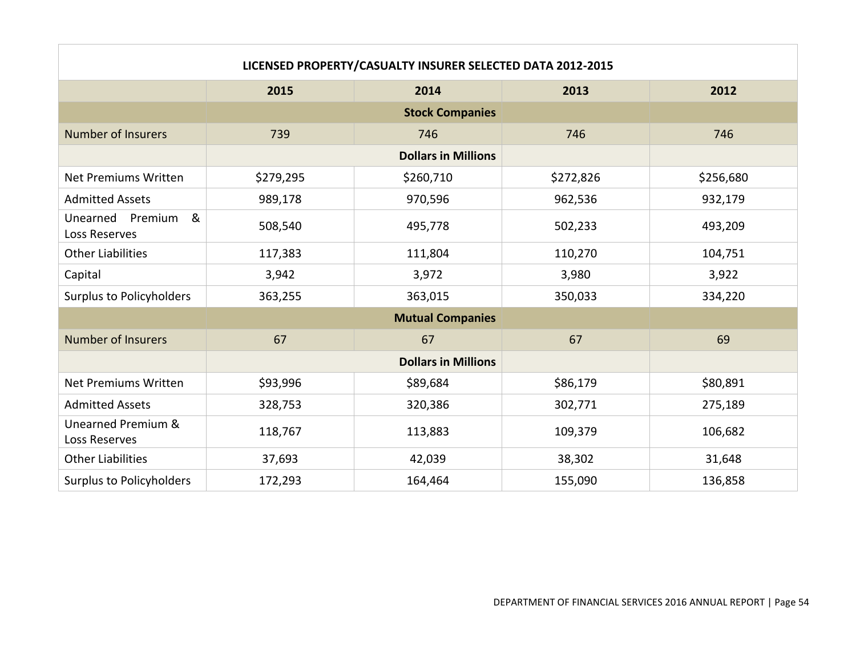<span id="page-55-0"></span>

| LICENSED PROPERTY/CASUALTY INSURER SELECTED DATA 2012-2015 |           |                            |           |           |
|------------------------------------------------------------|-----------|----------------------------|-----------|-----------|
|                                                            | 2015      | 2014                       | 2013      | 2012      |
|                                                            |           | <b>Stock Companies</b>     |           |           |
| <b>Number of Insurers</b>                                  | 739       | 746                        | 746       | 746       |
|                                                            |           | <b>Dollars in Millions</b> |           |           |
| <b>Net Premiums Written</b>                                | \$279,295 | \$260,710                  | \$272,826 | \$256,680 |
| <b>Admitted Assets</b>                                     | 989,178   | 970,596                    | 962,536   | 932,179   |
| &<br>Unearned<br>Premium<br>Loss Reserves                  | 508,540   | 495,778                    | 502,233   | 493,209   |
| <b>Other Liabilities</b>                                   | 117,383   | 111,804                    | 110,270   | 104,751   |
| Capital                                                    | 3,942     | 3,972                      | 3,980     | 3,922     |
| <b>Surplus to Policyholders</b>                            | 363,255   | 363,015                    | 350,033   | 334,220   |
|                                                            |           | <b>Mutual Companies</b>    |           |           |
| <b>Number of Insurers</b>                                  | 67        | 67                         | 67        | 69        |
|                                                            |           | <b>Dollars in Millions</b> |           |           |
| <b>Net Premiums Written</b>                                | \$93,996  | \$89,684                   | \$86,179  | \$80,891  |
| <b>Admitted Assets</b>                                     | 328,753   | 320,386                    | 302,771   | 275,189   |
| Unearned Premium &<br>Loss Reserves                        | 118,767   | 113,883                    | 109,379   | 106,682   |
| <b>Other Liabilities</b>                                   | 37,693    | 42,039                     | 38,302    | 31,648    |
| <b>Surplus to Policyholders</b>                            | 172,293   | 164,464                    | 155,090   | 136,858   |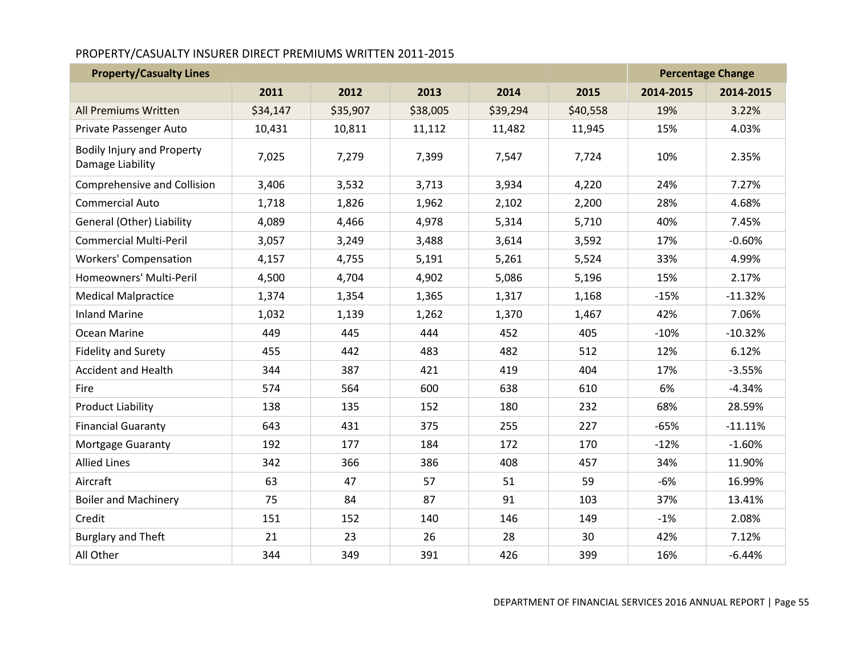# PROPERTY/CASUALTY INSURER DIRECT PREMIUMS WRITTEN 2011-2015

| <b>Property/Casualty Lines</b>                        |          |          |          |          |          |           | <b>Percentage Change</b> |
|-------------------------------------------------------|----------|----------|----------|----------|----------|-----------|--------------------------|
|                                                       | 2011     | 2012     | 2013     | 2014     | 2015     | 2014-2015 | 2014-2015                |
| All Premiums Written                                  | \$34,147 | \$35,907 | \$38,005 | \$39,294 | \$40,558 | 19%       | 3.22%                    |
| Private Passenger Auto                                | 10,431   | 10,811   | 11,112   | 11,482   | 11,945   | 15%       | 4.03%                    |
| <b>Bodily Injury and Property</b><br>Damage Liability | 7,025    | 7,279    | 7,399    | 7,547    | 7,724    | 10%       | 2.35%                    |
| <b>Comprehensive and Collision</b>                    | 3,406    | 3,532    | 3,713    | 3,934    | 4,220    | 24%       | 7.27%                    |
| <b>Commercial Auto</b>                                | 1,718    | 1,826    | 1,962    | 2,102    | 2,200    | 28%       | 4.68%                    |
| General (Other) Liability                             | 4,089    | 4,466    | 4,978    | 5,314    | 5,710    | 40%       | 7.45%                    |
| <b>Commercial Multi-Peril</b>                         | 3,057    | 3,249    | 3,488    | 3,614    | 3,592    | 17%       | $-0.60%$                 |
| <b>Workers' Compensation</b>                          | 4,157    | 4,755    | 5,191    | 5,261    | 5,524    | 33%       | 4.99%                    |
| Homeowners' Multi-Peril                               | 4,500    | 4,704    | 4,902    | 5,086    | 5,196    | 15%       | 2.17%                    |
| <b>Medical Malpractice</b>                            | 1,374    | 1,354    | 1,365    | 1,317    | 1,168    | $-15%$    | $-11.32%$                |
| <b>Inland Marine</b>                                  | 1,032    | 1,139    | 1,262    | 1,370    | 1,467    | 42%       | 7.06%                    |
| Ocean Marine                                          | 449      | 445      | 444      | 452      | 405      | $-10%$    | $-10.32%$                |
| <b>Fidelity and Surety</b>                            | 455      | 442      | 483      | 482      | 512      | 12%       | 6.12%                    |
| <b>Accident and Health</b>                            | 344      | 387      | 421      | 419      | 404      | 17%       | $-3.55%$                 |
| Fire                                                  | 574      | 564      | 600      | 638      | 610      | 6%        | $-4.34%$                 |
| <b>Product Liability</b>                              | 138      | 135      | 152      | 180      | 232      | 68%       | 28.59%                   |
| <b>Financial Guaranty</b>                             | 643      | 431      | 375      | 255      | 227      | $-65%$    | $-11.11%$                |
| Mortgage Guaranty                                     | 192      | 177      | 184      | 172      | 170      | $-12%$    | $-1.60%$                 |
| <b>Allied Lines</b>                                   | 342      | 366      | 386      | 408      | 457      | 34%       | 11.90%                   |
| Aircraft                                              | 63       | 47       | 57       | 51       | 59       | $-6%$     | 16.99%                   |
| <b>Boiler and Machinery</b>                           | 75       | 84       | 87       | 91       | 103      | 37%       | 13.41%                   |
| Credit                                                | 151      | 152      | 140      | 146      | 149      | $-1%$     | 2.08%                    |
| <b>Burglary and Theft</b>                             | 21       | 23       | 26       | 28       | 30       | 42%       | 7.12%                    |
| All Other                                             | 344      | 349      | 391      | 426      | 399      | 16%       | $-6.44%$                 |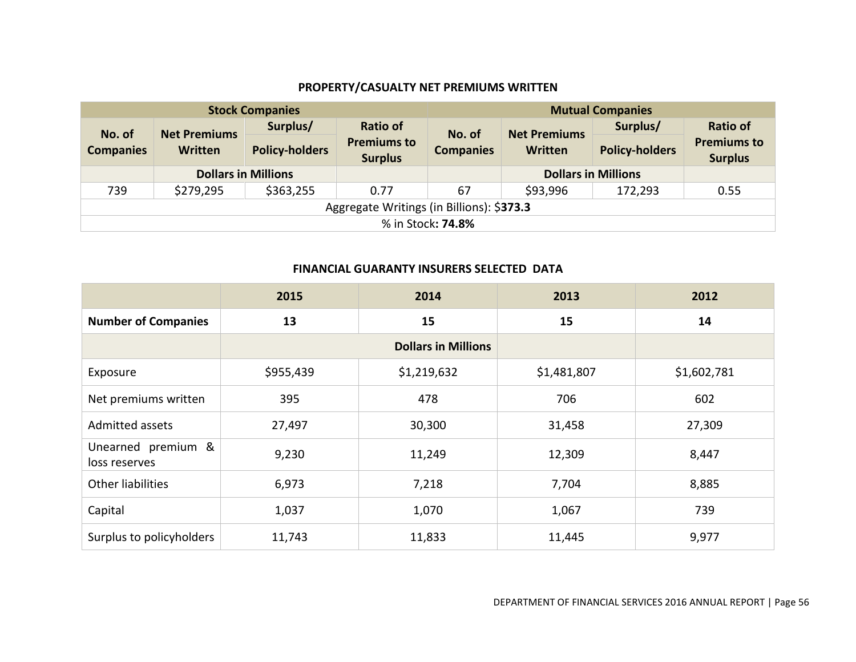# **PROPERTY/CASUALTY NET PREMIUMS WRITTEN**

|                  |                                           | <b>Stock Companies</b>     |                                      | <b>Mutual Companies</b> |                            |                       |                                      |
|------------------|-------------------------------------------|----------------------------|--------------------------------------|-------------------------|----------------------------|-----------------------|--------------------------------------|
| No. of           | <b>Net Premiums</b>                       | Surplus/                   | <b>Ratio of</b>                      | No. of                  | <b>Net Premiums</b>        | Surplus/              | <b>Ratio of</b>                      |
| <b>Companies</b> | Written                                   | <b>Policy-holders</b>      | <b>Premiums to</b><br><b>Surplus</b> | <b>Companies</b>        | Written                    | <b>Policy-holders</b> | <b>Premiums to</b><br><b>Surplus</b> |
|                  |                                           | <b>Dollars in Millions</b> |                                      |                         | <b>Dollars in Millions</b> |                       |                                      |
| 739              | \$279,295                                 | \$363,255                  | 0.77                                 | 67                      | \$93,996                   | 172,293               | 0.55                                 |
|                  | Aggregate Writings (in Billions): \$373.3 |                            |                                      |                         |                            |                       |                                      |
|                  | % in Stock: <b>74.8%</b>                  |                            |                                      |                         |                            |                       |                                      |

#### **FINANCIAL GUARANTY INSURERS SELECTED DATA**

<span id="page-57-1"></span><span id="page-57-0"></span>

|                                     | 2015      | 2014                       | 2013        | 2012        |
|-------------------------------------|-----------|----------------------------|-------------|-------------|
| <b>Number of Companies</b>          | 13        | 15                         | 15          | 14          |
|                                     |           | <b>Dollars in Millions</b> |             |             |
| Exposure                            | \$955,439 | \$1,219,632                | \$1,481,807 | \$1,602,781 |
| Net premiums written                | 395       | 478                        | 706         | 602         |
| Admitted assets                     | 27,497    | 30,300                     | 31,458      | 27,309      |
| Unearned premium &<br>loss reserves | 9,230     | 11,249                     | 12,309      | 8,447       |
| Other liabilities                   | 6,973     | 7,218                      | 7,704       | 8,885       |
| Capital                             | 1,037     | 1,070                      | 1,067       | 739         |
| Surplus to policyholders            | 11,743    | 11,833                     | 11,445      | 9,977       |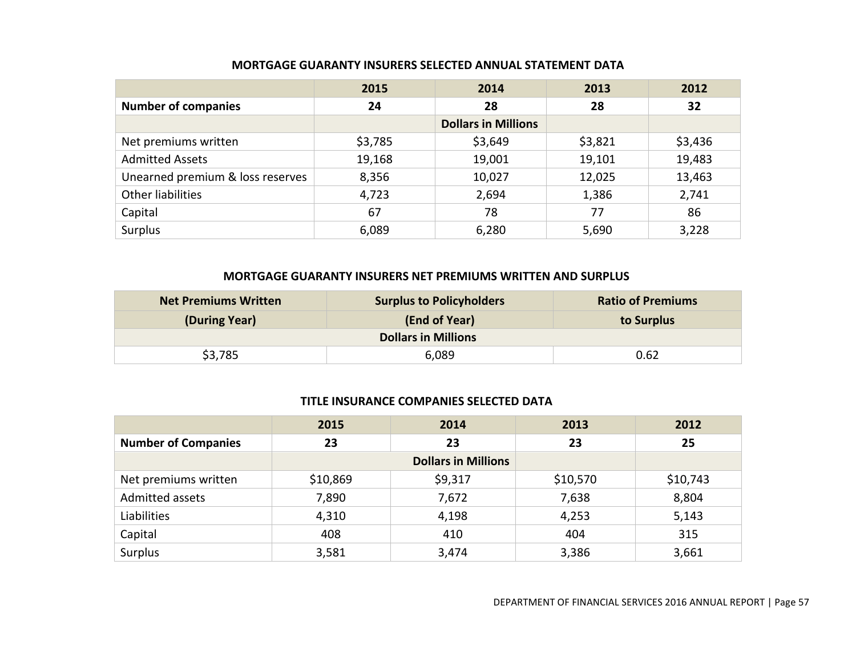|                                  | 2015    | 2014                       | 2013    | 2012    |
|----------------------------------|---------|----------------------------|---------|---------|
| <b>Number of companies</b>       | 24      | 28                         | 28      | 32      |
|                                  |         | <b>Dollars in Millions</b> |         |         |
| Net premiums written             | \$3,785 | \$3,649                    | \$3,821 | \$3,436 |
| <b>Admitted Assets</b>           | 19,168  | 19,001                     | 19,101  | 19,483  |
| Unearned premium & loss reserves | 8,356   | 10,027                     | 12,025  | 13,463  |
| Other liabilities                | 4,723   | 2,694                      | 1,386   | 2,741   |
| Capital                          | 67      | 78                         | 77      | 86      |
| Surplus                          | 6,089   | 6,280                      | 5,690   | 3,228   |

#### **MORTGAGE GUARANTY INSURERS NET PREMIUMS WRITTEN AND SURPLUS**

<span id="page-58-0"></span>

| <b>Net Premiums Written</b> | <b>Surplus to Policyholders</b> | <b>Ratio of Premiums</b> |
|-----------------------------|---------------------------------|--------------------------|
| (During Year)               | (End of Year)                   | to Surplus               |
|                             | <b>Dollars in Millions</b>      |                          |
| \$3,785                     | 6,089                           | 0.62                     |

#### **TITLE INSURANCE COMPANIES SELECTED DATA**

<span id="page-58-2"></span><span id="page-58-1"></span>

|                            | 2015     | 2014                       | 2013     | 2012     |
|----------------------------|----------|----------------------------|----------|----------|
| <b>Number of Companies</b> | 23       | 23                         | 23       | 25       |
|                            |          | <b>Dollars in Millions</b> |          |          |
| Net premiums written       | \$10,869 | \$9,317                    | \$10,570 | \$10,743 |
| Admitted assets            | 7,890    | 7,672                      | 7,638    | 8,804    |
| Liabilities                | 4,310    | 4,198                      | 4,253    | 5,143    |
| Capital                    | 408      | 410                        | 404      | 315      |
| Surplus                    | 3,581    | 3,474                      | 3,386    | 3,661    |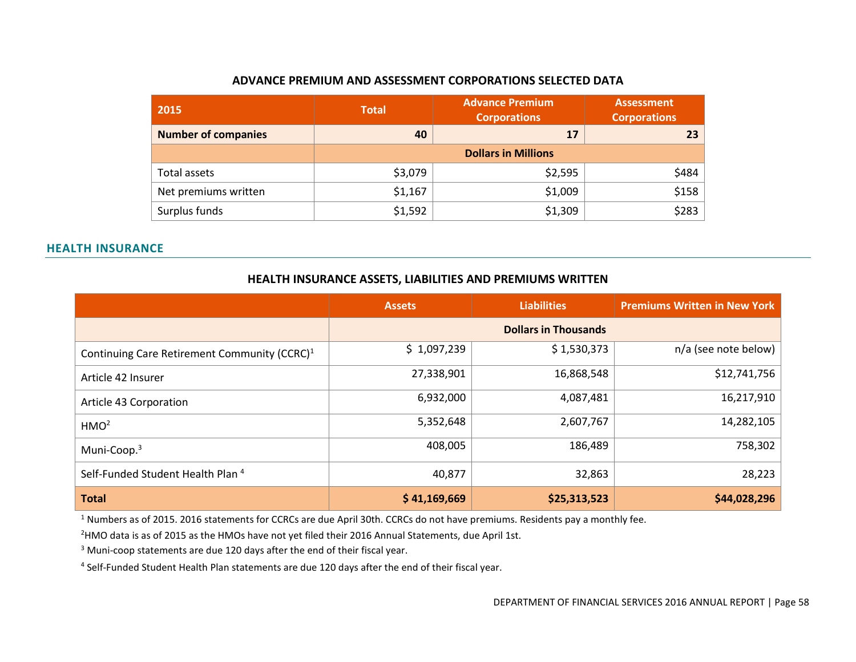#### **ADVANCE PREMIUM AND ASSESSMENT CORPORATIONS SELECTED DATA**

| 2015                       | <b>Advance Premium</b><br><b>Total</b><br><b>Corporations</b> |                            | <b>Assessment</b><br><b>Corporations</b> |
|----------------------------|---------------------------------------------------------------|----------------------------|------------------------------------------|
| <b>Number of companies</b> | 40                                                            | 17                         | 23                                       |
|                            |                                                               | <b>Dollars in Millions</b> |                                          |
| Total assets               | \$3,079                                                       | \$2,595                    | \$484                                    |
| Net premiums written       | \$1,167                                                       | \$1,009                    | \$158                                    |
| Surplus funds              | \$1,592                                                       | \$1,309                    | \$283                                    |

#### <span id="page-59-0"></span>**HEALTH INSURANCE**

#### **HEALTH INSURANCE ASSETS, LIABILITIES AND PREMIUMS WRITTEN**

|                                                          | <b>Assets</b> | <b>Liabilities</b>          | <b>Premiums Written in New York</b> |
|----------------------------------------------------------|---------------|-----------------------------|-------------------------------------|
|                                                          |               | <b>Dollars in Thousands</b> |                                     |
| Continuing Care Retirement Community (CCRC) <sup>1</sup> | \$1,097,239   | \$1,530,373                 | $n/a$ (see note below)              |
| Article 42 Insurer                                       | 27,338,901    | 16,868,548                  | \$12,741,756                        |
| Article 43 Corporation                                   | 6,932,000     | 4,087,481                   | 16,217,910                          |
| HMO <sup>2</sup>                                         | 5,352,648     | 2,607,767                   | 14,282,105                          |
| Muni-Coop. <sup>3</sup>                                  | 408,005       | 186,489                     | 758,302                             |
| Self-Funded Student Health Plan <sup>4</sup>             | 40,877        | 32,863                      | 28,223                              |
| <b>Total</b>                                             | \$41,169,669  | \$25,313,523                | \$44,028,296                        |

<span id="page-59-2"></span><span id="page-59-1"></span><sup>1</sup> Numbers as of 2015. 2016 statements for CCRCs are due April 30th. CCRCs do not have premiums. Residents pay a monthly fee.

<sup>2</sup>HMO data is as of 2015 as the HMOs have not yet filed their 2016 Annual Statements, due April 1st.

<sup>3</sup> Muni-coop statements are due 120 days after the end of their fiscal year.

4 Self-Funded Student Health Plan statements are due 120 days after the end of their fiscal year.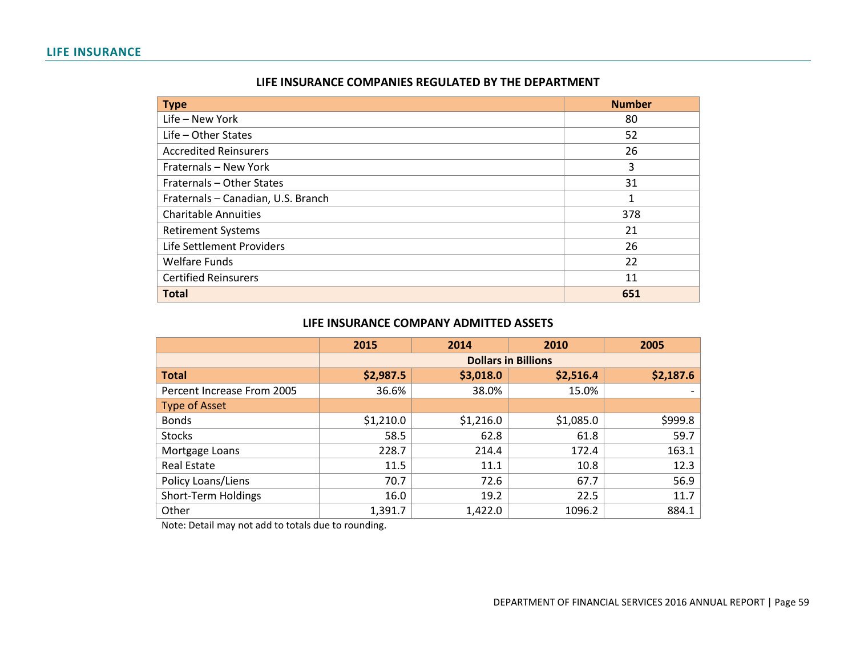#### **LIFE INSURANCE**

| LIFE INSURANCE COMPANIES REGULATED BY THE DEPARTMENT |
|------------------------------------------------------|
|------------------------------------------------------|

| <b>Type</b>                        | <b>Number</b> |
|------------------------------------|---------------|
| Life - New York                    | 80            |
| $Life - Other States$              | 52            |
| <b>Accredited Reinsurers</b>       | 26            |
| Fraternals - New York              | 3             |
| Fraternals - Other States          | 31            |
| Fraternals - Canadian, U.S. Branch | 1             |
| <b>Charitable Annuities</b>        | 378           |
| <b>Retirement Systems</b>          | 21            |
| Life Settlement Providers          | 26            |
| <b>Welfare Funds</b>               | 22            |
| <b>Certified Reinsurers</b>        | 11            |
| <b>Total</b>                       | 651           |

#### **LIFE INSURANCE COMPANY ADMITTED ASSETS**

<span id="page-60-1"></span><span id="page-60-0"></span>

|                            | 2015      | 2014      | 2010                       | 2005      |
|----------------------------|-----------|-----------|----------------------------|-----------|
|                            |           |           | <b>Dollars in Billions</b> |           |
| <b>Total</b>               | \$2,987.5 | \$3,018.0 | \$2,516.4                  | \$2,187.6 |
| Percent Increase From 2005 | 36.6%     | 38.0%     | 15.0%                      |           |
| <b>Type of Asset</b>       |           |           |                            |           |
| <b>Bonds</b>               | \$1,210.0 | \$1,216.0 | \$1,085.0                  | \$999.8   |
| <b>Stocks</b>              | 58.5      | 62.8      | 61.8                       | 59.7      |
| Mortgage Loans             | 228.7     | 214.4     | 172.4                      | 163.1     |
| Real Estate                | 11.5      | 11.1      | 10.8                       | 12.3      |
| Policy Loans/Liens         | 70.7      | 72.6      | 67.7                       | 56.9      |
| Short-Term Holdings        | 16.0      | 19.2      | 22.5                       | 11.7      |
| Other                      | 1,391.7   | 1,422.0   | 1096.2                     | 884.1     |

<span id="page-60-2"></span>Note: Detail may not add to totals due to rounding.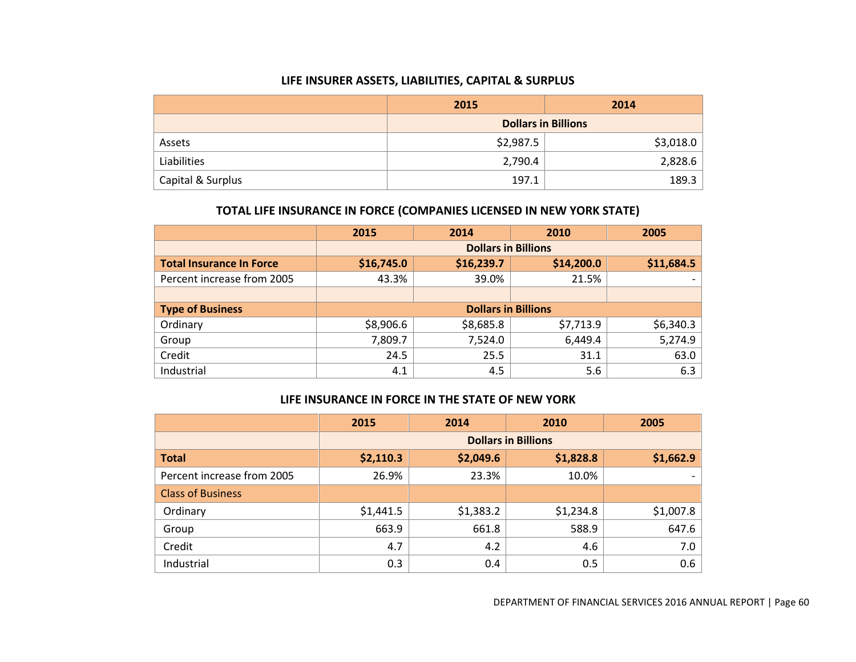#### **LIFE INSURER ASSETS, LIABILITIES, CAPITAL & SURPLUS**

|                   | 2015                       | 2014      |  |
|-------------------|----------------------------|-----------|--|
|                   | <b>Dollars in Billions</b> |           |  |
| Assets            | \$2,987.5                  | \$3,018.0 |  |
| Liabilities       | 2,790.4                    | 2,828.6   |  |
| Capital & Surplus | 197.1                      | 189.3     |  |

#### **TOTAL LIFE INSURANCE IN FORCE (COMPANIES LICENSED IN NEW YORK STATE)**

<span id="page-61-0"></span>

|                                 | 2015       | 2014                       | 2010       | 2005       |
|---------------------------------|------------|----------------------------|------------|------------|
|                                 |            | <b>Dollars in Billions</b> |            |            |
| <b>Total Insurance In Force</b> | \$16,745.0 | \$16,239.7                 | \$14,200.0 | \$11,684.5 |
| Percent increase from 2005      | 43.3%      | 39.0%                      | 21.5%      |            |
|                                 |            |                            |            |            |
| <b>Type of Business</b>         |            | <b>Dollars in Billions</b> |            |            |
| Ordinary                        | \$8,906.6  | \$8,685.8                  | \$7,713.9  | \$6,340.3  |
| Group                           | 7,809.7    | 7,524.0                    | 6,449.4    | 5,274.9    |
| Credit                          | 24.5       | 25.5                       | 31.1       | 63.0       |
| Industrial                      | 4.1        | 4.5                        | 5.6        | 6.3        |

#### **LIFE INSURANCE IN FORCE IN THE STATE OF NEW YORK**

<span id="page-61-2"></span><span id="page-61-1"></span>

|                            | 2015      | 2014      | 2010                       | 2005      |
|----------------------------|-----------|-----------|----------------------------|-----------|
|                            |           |           | <b>Dollars in Billions</b> |           |
| <b>Total</b>               | \$2,110.3 | \$2,049.6 | \$1,828.8                  | \$1,662.9 |
| Percent increase from 2005 | 26.9%     | 23.3%     | 10.0%                      |           |
| <b>Class of Business</b>   |           |           |                            |           |
| Ordinary                   | \$1,441.5 | \$1,383.2 | \$1,234.8                  | \$1,007.8 |
| Group                      | 663.9     | 661.8     | 588.9                      | 647.6     |
| Credit                     | 4.7       | 4.2       | 4.6                        | 7.0       |
| Industrial                 | 0.3       | 0.4       | 0.5                        | 0.6       |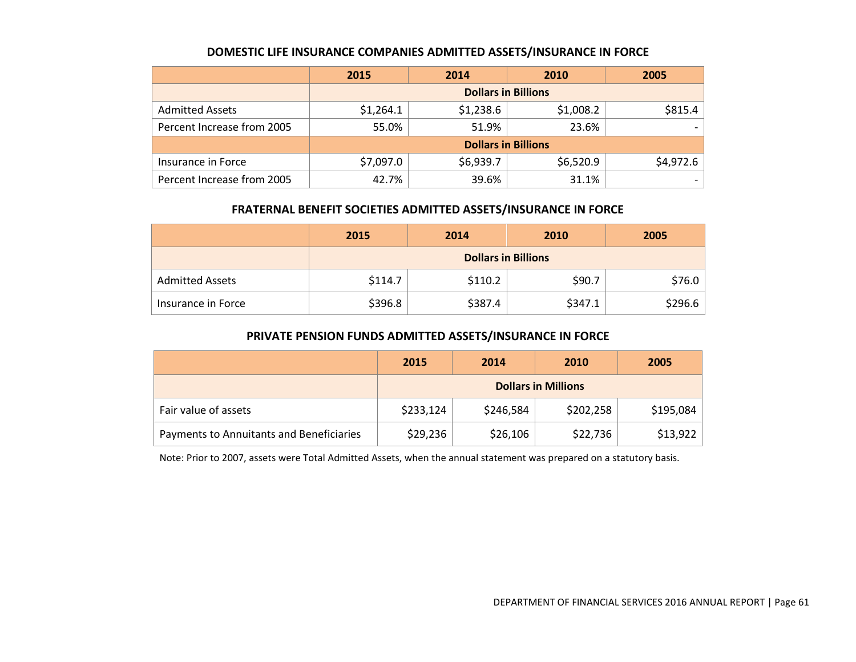#### **DOMESTIC LIFE INSURANCE COMPANIES ADMITTED ASSETS/INSURANCE IN FORCE**

|                            | 2015                       | 2014      | 2010      | 2005      |  |
|----------------------------|----------------------------|-----------|-----------|-----------|--|
|                            | <b>Dollars in Billions</b> |           |           |           |  |
| <b>Admitted Assets</b>     | \$1,264.1                  | \$1,238.6 | \$1,008.2 | \$815.4   |  |
| Percent Increase from 2005 | 55.0%                      | 51.9%     | 23.6%     |           |  |
|                            | <b>Dollars in Billions</b> |           |           |           |  |
| Insurance in Force         | \$7,097.0                  | \$6,939.7 | \$6,520.9 | \$4,972.6 |  |
| Percent Increase from 2005 | 42.7%                      | 39.6%     | 31.1%     |           |  |

#### **FRATERNAL BENEFIT SOCIETIES ADMITTED ASSETS/INSURANCE IN FORCE**

<span id="page-62-0"></span>

|                        | 2015                       | 2014    | 2010    | 2005    |
|------------------------|----------------------------|---------|---------|---------|
|                        | <b>Dollars in Billions</b> |         |         |         |
| <b>Admitted Assets</b> | \$114.7                    | \$110.2 | \$90.7  | \$76.0  |
| Insurance in Force     | \$396.8                    | \$387.4 | \$347.1 | \$296.6 |

#### **PRIVATE PENSION FUNDS ADMITTED ASSETS/INSURANCE IN FORCE**

<span id="page-62-1"></span>

|                                          | 2015                       | 2014      | 2010      | 2005      |
|------------------------------------------|----------------------------|-----------|-----------|-----------|
|                                          | <b>Dollars in Millions</b> |           |           |           |
| Fair value of assets                     | \$233,124                  | \$246,584 | \$202,258 | \$195,084 |
| Payments to Annuitants and Beneficiaries | \$29,236                   | \$26,106  | \$22,736  | \$13,922  |

<span id="page-62-2"></span>Note: Prior to 2007, assets were Total Admitted Assets, when the annual statement was prepared on a statutory basis.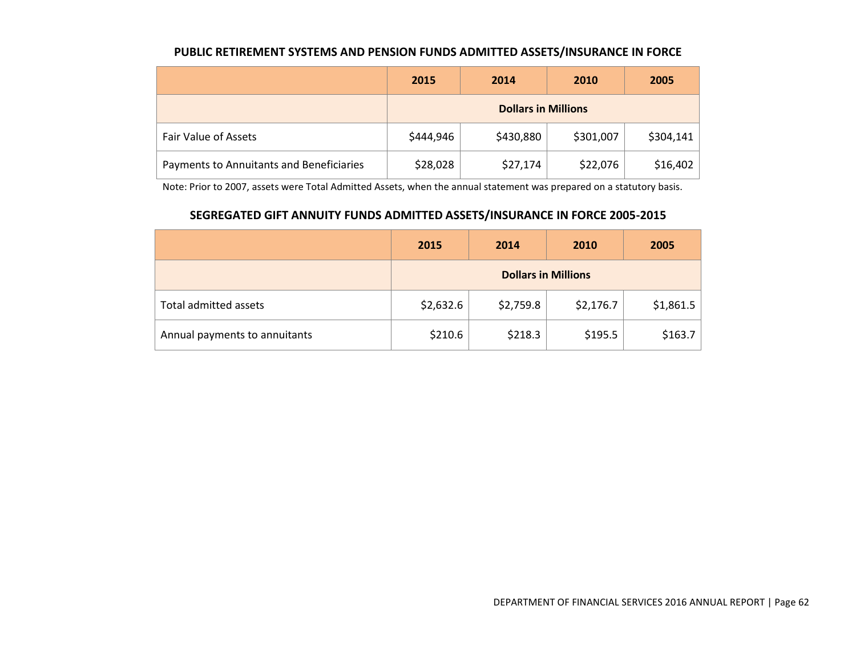#### **PUBLIC RETIREMENT SYSTEMS AND PENSION FUNDS ADMITTED ASSETS/INSURANCE IN FORCE**

|                                          | 2015                       | 2014      | 2010      | 2005      |
|------------------------------------------|----------------------------|-----------|-----------|-----------|
|                                          | <b>Dollars in Millions</b> |           |           |           |
| Fair Value of Assets                     | \$444,946                  | \$430,880 | \$301,007 | \$304,141 |
| Payments to Annuitants and Beneficiaries | \$28,028                   | \$27,174  | \$22,076  | \$16,402  |

Note: Prior to 2007, assets were Total Admitted Assets, when the annual statement was prepared on a statutory basis.

# **SEGREGATED GIFT ANNUITY FUNDS ADMITTED ASSETS/INSURANCE IN FORCE 2005-2015**

<span id="page-63-1"></span><span id="page-63-0"></span>

|                               | 2015      | 2014                       | 2010      | 2005      |
|-------------------------------|-----------|----------------------------|-----------|-----------|
|                               |           | <b>Dollars in Millions</b> |           |           |
| Total admitted assets         | \$2,632.6 | \$2,759.8                  | \$2,176.7 | \$1,861.5 |
| Annual payments to annuitants | \$210.6   | \$218.3                    | \$195.5   | \$163.7   |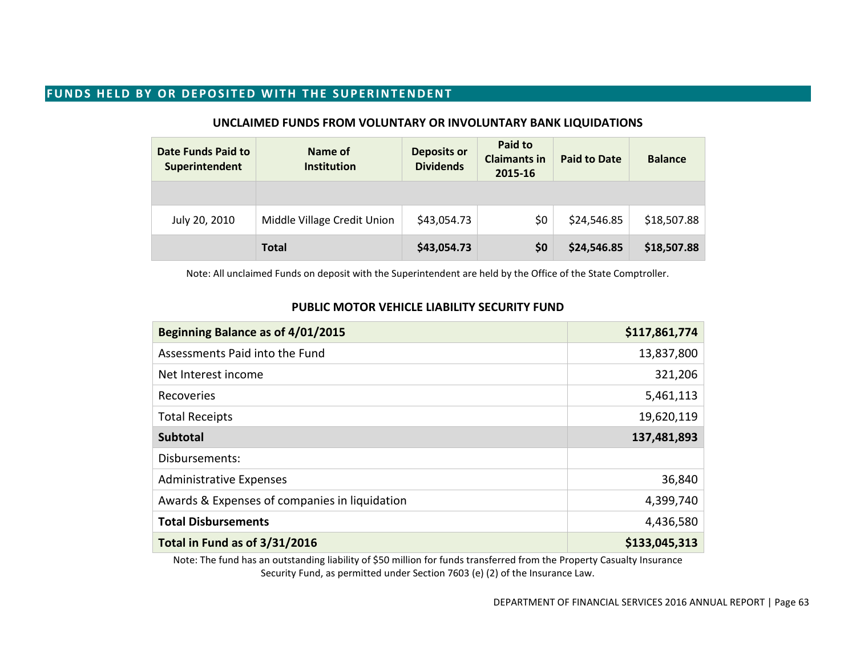## **FUNDS HELD BY OR DEPOSITED WITH THE SUPERINTENDENT**

| <b>Date Funds Paid to</b><br>Superintendent | Name of<br><b>Institution</b> | <b>Deposits or</b><br><b>Dividends</b> | Paid to<br><b>Claimants in</b><br>2015-16 | <b>Paid to Date</b> | <b>Balance</b> |
|---------------------------------------------|-------------------------------|----------------------------------------|-------------------------------------------|---------------------|----------------|
|                                             |                               |                                        |                                           |                     |                |
| July 20, 2010                               | Middle Village Credit Union   | \$43,054.73                            | \$0                                       | \$24,546.85         | \$18,507.88    |
|                                             | <b>Total</b>                  | \$43,054.73                            | \$0                                       | \$24,546.85         | \$18,507.88    |

#### **UNCLAIMED FUNDS FROM VOLUNTARY OR INVOLUNTARY BANK LIQUIDATIONS**

Note: All unclaimed Funds on deposit with the Superintendent are held by the Office of the State Comptroller.

# <span id="page-64-1"></span><span id="page-64-0"></span>**Beginning Balance as of 4/01/2015 \$117,861,774** Assessments Paid into the Fund 13,837,800 Net Interest income 321,206 Recoveries  $5,461,113$ Total Receipts 19,620,119 **Subtotal 137,481,893** Disbursements: Administrative Expenses 36,840 Awards & Expenses of companies in liquidation and the state of the 4,399,740 **Total Disbursements** 4,436,580 **Total in Fund as of 3/31/2016 \$133,045,313**

**PUBLIC MOTOR VEHICLE LIABILITY SECURITY FUND**

<span id="page-64-2"></span>Note: The fund has an outstanding liability of \$50 million for funds transferred from the Property Casualty Insurance Security Fund, as permitted under Section 7603 (e) (2) of the Insurance Law.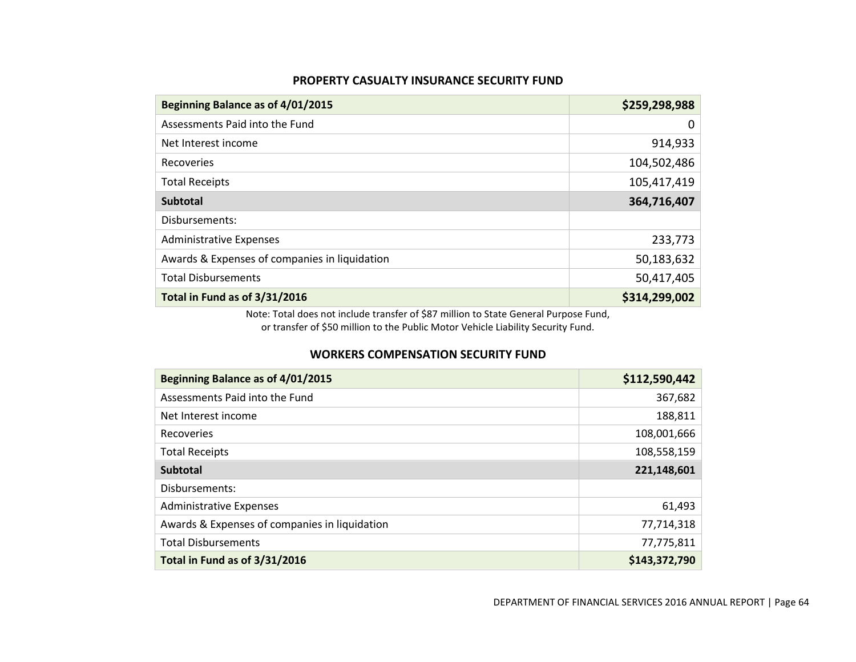#### **PROPERTY CASUALTY INSURANCE SECURITY FUND**

| Beginning Balance as of 4/01/2015             | \$259,298,988 |
|-----------------------------------------------|---------------|
| Assessments Paid into the Fund                | 0             |
| Net Interest income                           | 914,933       |
| Recoveries                                    | 104,502,486   |
| <b>Total Receipts</b>                         | 105,417,419   |
| <b>Subtotal</b>                               | 364,716,407   |
| Disbursements:                                |               |
| <b>Administrative Expenses</b>                | 233,773       |
| Awards & Expenses of companies in liquidation | 50,183,632    |
| <b>Total Disbursements</b>                    | 50,417,405    |
| Total in Fund as of 3/31/2016                 | \$314,299,002 |

Note: Total does not include transfer of \$87 million to State General Purpose Fund, or transfer of \$50 million to the Public Motor Vehicle Liability Security Fund.

#### **WORKERS COMPENSATION SECURITY FUND**

<span id="page-65-1"></span><span id="page-65-0"></span>

| Beginning Balance as of 4/01/2015             | \$112,590,442 |
|-----------------------------------------------|---------------|
| Assessments Paid into the Fund                | 367,682       |
| Net Interest income                           | 188,811       |
| Recoveries                                    | 108,001,666   |
| <b>Total Receipts</b>                         | 108,558,159   |
| <b>Subtotal</b>                               | 221,148,601   |
| Disbursements:                                |               |
| <b>Administrative Expenses</b>                | 61,493        |
| Awards & Expenses of companies in liquidation | 77,714,318    |
| <b>Total Disbursements</b>                    | 77,775,811    |
| Total in Fund as of 3/31/2016                 | \$143,372,790 |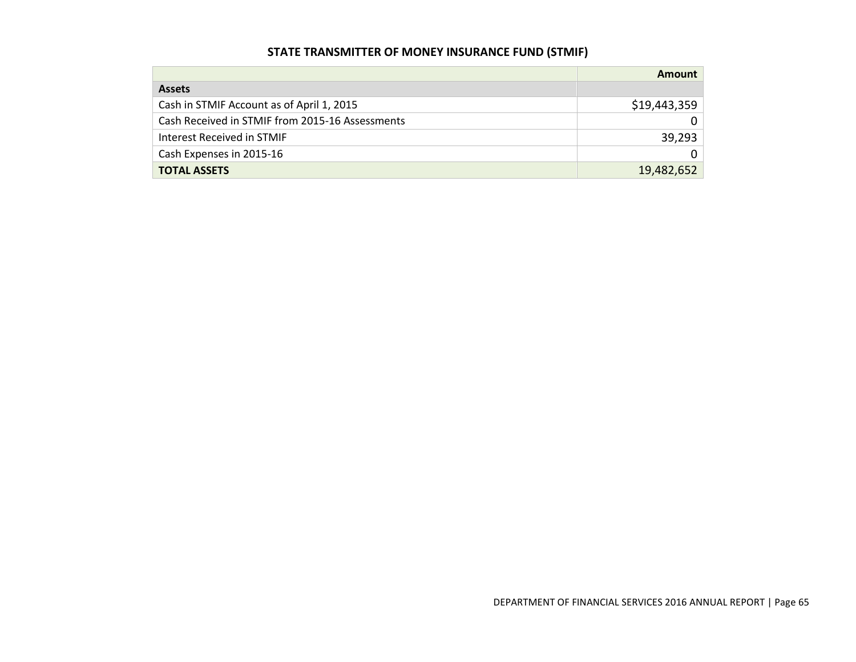# **STATE TRANSMITTER OF MONEY INSURANCE FUND (STMIF)**

<span id="page-66-0"></span>

|                                                 | Amount       |
|-------------------------------------------------|--------------|
| <b>Assets</b>                                   |              |
| Cash in STMIF Account as of April 1, 2015       | \$19,443,359 |
| Cash Received in STMIF from 2015-16 Assessments |              |
| Interest Received in STMIF                      | 39,293       |
| Cash Expenses in 2015-16                        |              |
| <b>TOTAL ASSETS</b>                             | 19,482,652   |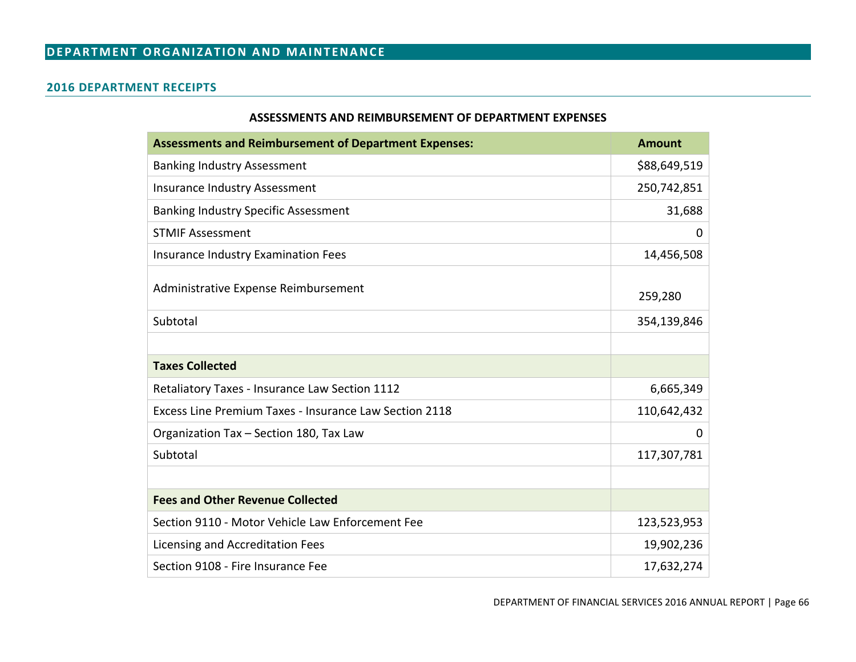# **DEPARTMENT ORGANIZATION AND MAINTENANCE**

#### **2016 DEPARTMENT RECEIPTS**

#### **ASSESSMENTS AND REIMBURSEMENT OF DEPARTMENT EXPENSES**

<span id="page-67-2"></span><span id="page-67-1"></span><span id="page-67-0"></span>

| <b>Assessments and Reimbursement of Department Expenses:</b> | <b>Amount</b> |
|--------------------------------------------------------------|---------------|
| <b>Banking Industry Assessment</b>                           | \$88,649,519  |
| <b>Insurance Industry Assessment</b>                         | 250,742,851   |
| <b>Banking Industry Specific Assessment</b>                  | 31,688        |
| <b>STMIF Assessment</b>                                      | 0             |
| Insurance Industry Examination Fees                          | 14,456,508    |
| Administrative Expense Reimbursement                         | 259,280       |
| Subtotal                                                     | 354,139,846   |
|                                                              |               |
| <b>Taxes Collected</b>                                       |               |
| Retaliatory Taxes - Insurance Law Section 1112               | 6,665,349     |
| Excess Line Premium Taxes - Insurance Law Section 2118       | 110,642,432   |
| Organization Tax - Section 180, Tax Law                      | 0             |
| Subtotal                                                     | 117,307,781   |
|                                                              |               |
| <b>Fees and Other Revenue Collected</b>                      |               |
| Section 9110 - Motor Vehicle Law Enforcement Fee             | 123,523,953   |
| Licensing and Accreditation Fees                             | 19,902,236    |
| Section 9108 - Fire Insurance Fee                            | 17,632,274    |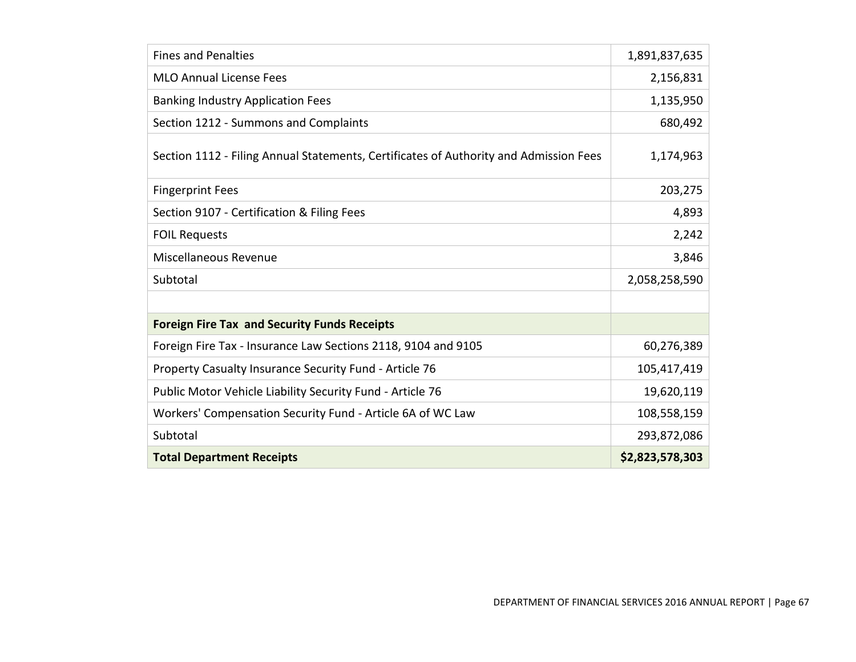| <b>Fines and Penalties</b>                                                            | 1,891,837,635   |
|---------------------------------------------------------------------------------------|-----------------|
| <b>MLO Annual License Fees</b>                                                        | 2,156,831       |
| <b>Banking Industry Application Fees</b>                                              | 1,135,950       |
| Section 1212 - Summons and Complaints                                                 | 680,492         |
| Section 1112 - Filing Annual Statements, Certificates of Authority and Admission Fees | 1,174,963       |
| <b>Fingerprint Fees</b>                                                               | 203,275         |
| Section 9107 - Certification & Filing Fees                                            | 4,893           |
| <b>FOIL Requests</b>                                                                  | 2,242           |
| Miscellaneous Revenue                                                                 | 3,846           |
| Subtotal                                                                              | 2,058,258,590   |
|                                                                                       |                 |
| <b>Foreign Fire Tax and Security Funds Receipts</b>                                   |                 |
| Foreign Fire Tax - Insurance Law Sections 2118, 9104 and 9105                         | 60,276,389      |
| Property Casualty Insurance Security Fund - Article 76                                | 105,417,419     |
| Public Motor Vehicle Liability Security Fund - Article 76                             | 19,620,119      |
| Workers' Compensation Security Fund - Article 6A of WC Law                            | 108,558,159     |
| Subtotal                                                                              | 293,872,086     |
| <b>Total Department Receipts</b>                                                      | \$2,823,578,303 |